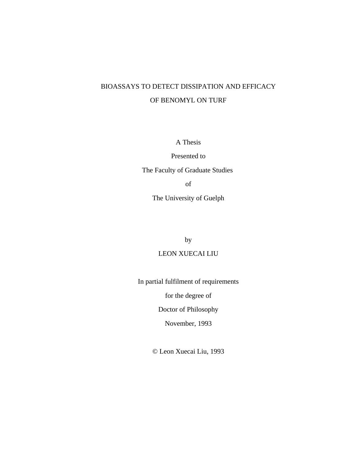# BIOASSAYS TO DETECT DISSIPATION AND EFFICACY OF BENOMYL ON TURF

A Thesis

Presented to The Faculty of Graduate Studies of The University of Guelph

by

# LEON XUECAI LIU

In partial fulfilment of requirements

for the degree of

Doctor of Philosophy

November, 1993

© Leon Xuecai Liu, 1993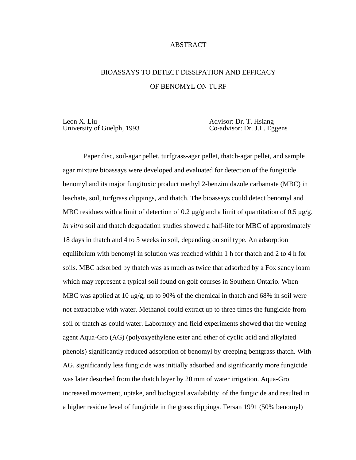# ABSTRACT

# BIOASSAYS TO DETECT DISSIPATION AND EFFICACY OF BENOMYL ON TURF

Leon X. Liu Advisor: Dr. T. Hsiang<br>
University of Guelph, 1993 Co-advisor: Dr. J.L. Eg

Co-advisor: Dr. J.L. Eggens

Paper disc, soil-agar pellet, turfgrass-agar pellet, thatch-agar pellet, and sample agar mixture bioassays were developed and evaluated for detection of the fungicide benomyl and its major fungitoxic product methyl 2-benzimidazole carbamate (MBC) in leachate, soil, turfgrass clippings, and thatch. The bioassays could detect benomyl and MBC residues with a limit of detection of 0.2  $\mu$ g/g and a limit of quantitation of 0.5  $\mu$ g/g. *In vitro* soil and thatch degradation studies showed a half-life for MBC of approximately 18 days in thatch and 4 to 5 weeks in soil, depending on soil type. An adsorption equilibrium with benomyl in solution was reached within 1 h for thatch and 2 to 4 h for soils. MBC adsorbed by thatch was as much as twice that adsorbed by a Fox sandy loam which may represent a typical soil found on golf courses in Southern Ontario. When MBC was applied at 10  $\mu$ g/g, up to 90% of the chemical in thatch and 68% in soil were not extractable with water. Methanol could extract up to three times the fungicide from soil or thatch as could water. Laboratory and field experiments showed that the wetting agent Aqua-Gro (AG) (polyoxyethylene ester and ether of cyclic acid and alkylated phenols) significantly reduced adsorption of benomyl by creeping bentgrass thatch. With AG, significantly less fungicide was initially adsorbed and significantly more fungicide was later desorbed from the thatch layer by 20 mm of water irrigation. Aqua-Gro increased movement, uptake, and biological availability of the fungicide and resulted in a higher residue level of fungicide in the grass clippings. Tersan 1991 (50% benomyl)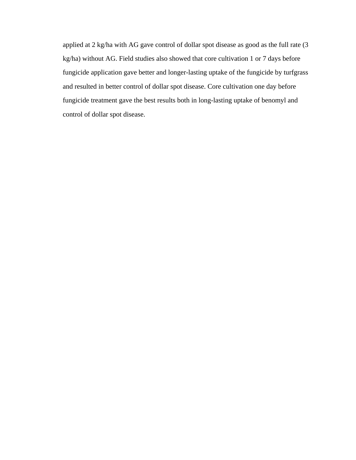applied at 2 kg/ha with AG gave control of dollar spot disease as good as the full rate (3 kg/ha) without AG. Field studies also showed that core cultivation 1 or 7 days before fungicide application gave better and longer-lasting uptake of the fungicide by turfgrass and resulted in better control of dollar spot disease. Core cultivation one day before fungicide treatment gave the best results both in long-lasting uptake of benomyl and control of dollar spot disease.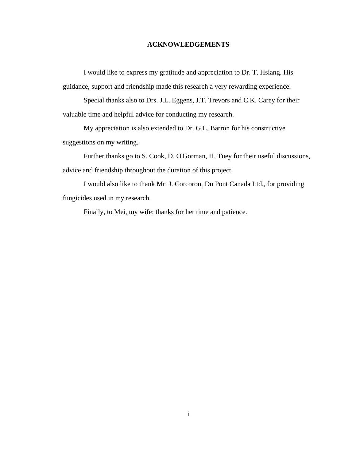# **ACKNOWLEDGEMENTS**

I would like to express my gratitude and appreciation to Dr. T. Hsiang. His guidance, support and friendship made this research a very rewarding experience.

Special thanks also to Drs. J.L. Eggens, J.T. Trevors and C.K. Carey for their valuable time and helpful advice for conducting my research.

My appreciation is also extended to Dr. G.L. Barron for his constructive suggestions on my writing.

Further thanks go to S. Cook, D. O'Gorman, H. Tuey for their useful discussions, advice and friendship throughout the duration of this project.

I would also like to thank Mr. J. Corcoron, Du Pont Canada Ltd., for providing fungicides used in my research.

Finally, to Mei, my wife: thanks for her time and patience.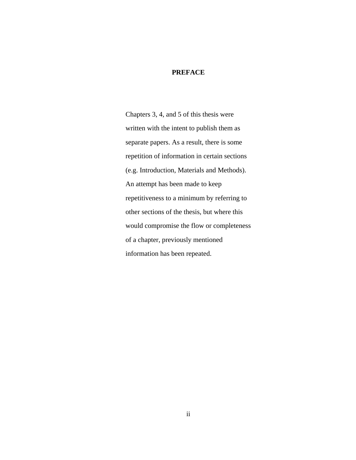#### **PREFACE**

Chapters 3, 4, and 5 of this thesis were written with the intent to publish them as separate papers. As a result, there is some repetition of information in certain sections (e.g. Introduction, Materials and Methods). An attempt has been made to keep repetitiveness to a minimum by referring to other sections of the thesis, but where this would compromise the flow or completeness of a chapter, previously mentioned information has been repeated.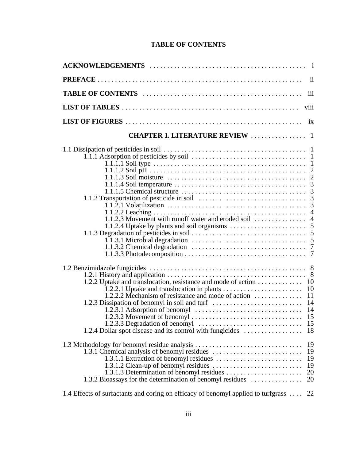# **TABLE OF CONTENTS**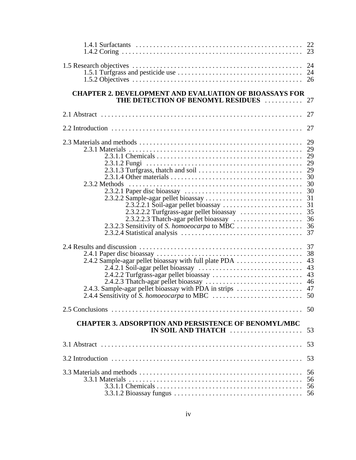| <b>CHAPTER 2. DEVELOPMENT AND EVALUATION OF BIOASSAYS FOR</b><br>THE DETECTION OF BENOMYL RESIDUES  27                                             |
|----------------------------------------------------------------------------------------------------------------------------------------------------|
| 27                                                                                                                                                 |
|                                                                                                                                                    |
| 2.3.2 Methods<br>30<br>31<br>31<br>36                                                                                                              |
| 43<br>2.4.2 Sample-agar pellet bioassay with full plate PDA<br>43<br>43<br>46<br>2.4.3. Sample-agar pellet bioassay with PDA in strips<br>47<br>50 |
|                                                                                                                                                    |
| <b>CHAPTER 3. ADSORPTION AND PERSISTENCE OF BENOMYL/MBC</b><br>IN SOIL AND THATCH<br>53                                                            |
|                                                                                                                                                    |
|                                                                                                                                                    |
| 56                                                                                                                                                 |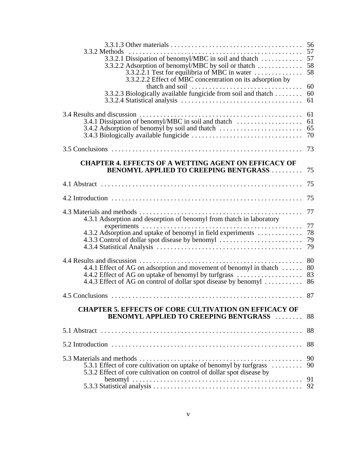| 3.3.2 Methods                                                                    |    |
|----------------------------------------------------------------------------------|----|
|                                                                                  |    |
| 3.3.2.2.1 Test for equilibria of MBC in water $\dots\dots\dots\dots\dots$        | 58 |
| 3.3.2.2.2 Effect of MBC concentration on its adsorption by                       |    |
| thatch and soil $\ldots \ldots \ldots \ldots \ldots \ldots \ldots \ldots \ldots$ | 60 |
| 3.3.2.3 Biologically available fungicide from soil and thatch                    | 60 |
|                                                                                  | 61 |
|                                                                                  |    |
|                                                                                  | 61 |
| 3.4.1 Dissipation of benomyl/MBC in soil and thatch                              | 61 |
|                                                                                  |    |
|                                                                                  |    |
|                                                                                  | 73 |
|                                                                                  |    |
| <b>CHAPTER 4. EFFECTS OF A WETTING AGENT ON EFFICACY OF</b>                      |    |
| <b>BENOMYL APPLIED TO CREEPING BENTGRASS </b>                                    | 75 |
|                                                                                  | 75 |
|                                                                                  |    |
|                                                                                  | 75 |
|                                                                                  | 77 |
| 4.3.1 Adsorption and desorption of benomyl from thatch in laboratory             |    |
|                                                                                  | 77 |
|                                                                                  |    |
| 4.3.3 Control of dollar spot disease by benomyl                                  | 79 |
|                                                                                  | 79 |
|                                                                                  | 80 |
| 4.4.1 Effect of AG on adsorption and movement of benomyl in thatch               | 80 |
| 4.4.2 Effect of AG on uptake of benomyl by turfgrass                             | 83 |
| 4.4.3 Effect of AG on control of dollar spot disease by benomyl                  | 86 |
|                                                                                  | 87 |
|                                                                                  |    |
| <b>CHAPTER 5. EFFECTS OF CORE CULTIVATION ON EFFICACY OF</b>                     |    |
| <b>BENOMYL APPLIED TO CREEPING BENTGRASS </b>                                    | 88 |
|                                                                                  | 88 |
|                                                                                  |    |
|                                                                                  | 88 |
|                                                                                  | 90 |
| 5.3.1 Effect of core cultivation on uptake of benomyl by turfgrass               | 90 |
| 5.3.2 Effect of core cultivation on control of dollar spot disease by            |    |
|                                                                                  | 91 |
|                                                                                  | 92 |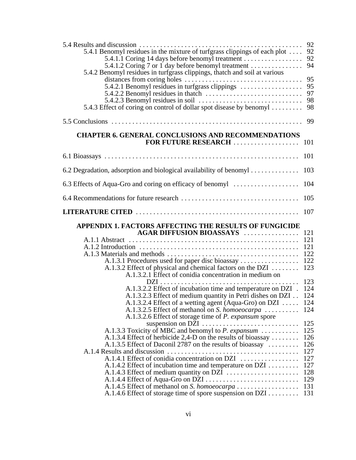|                                                                                                                                 | 92         |
|---------------------------------------------------------------------------------------------------------------------------------|------------|
| 5.4.1 Benomyl residues in the mixture of turfgrass clippings of each plot                                                       | 92         |
| 5.4.1.1 Coring 14 days before benomyl treatment                                                                                 | 92<br>94   |
| 5.4.1.2 Coring 7 or 1 day before benomyl treatment<br>5.4.2 Benomyl residues in turfgrass clippings, thatch and soil at various |            |
|                                                                                                                                 | 95         |
| 5.4.2.1 Benomyl residues in turfgrass clippings                                                                                 | 95         |
| 5.4.2.2 Benomyl residues in thatch $\dots \dots \dots \dots \dots \dots \dots \dots \dots$                                      | 97         |
|                                                                                                                                 | 98         |
| 5.4.3 Effect of coring on control of dollar spot disease by benomyl                                                             | 98         |
|                                                                                                                                 | 99         |
| <b>CHAPTER 6. GENERAL CONCLUSIONS AND RECOMMENDATIONS</b>                                                                       |            |
| FOR FUTURE RESEARCH                                                                                                             | 101        |
|                                                                                                                                 | 101        |
|                                                                                                                                 |            |
| 6.2 Degradation, adsorption and biological availability of benomyl                                                              | 103        |
| 6.3 Effects of Aqua-Gro and coring on efficacy of benomyl                                                                       | 104        |
|                                                                                                                                 | 105        |
|                                                                                                                                 | 107        |
|                                                                                                                                 |            |
| APPENDIX 1. FACTORS AFFECTING THE RESULTS OF FUNGICIDE                                                                          |            |
| <b>AGAR DIFFUSION BIOASSAYS</b>                                                                                                 | 121        |
|                                                                                                                                 | 121        |
|                                                                                                                                 | 121        |
|                                                                                                                                 | 122        |
| A.1.3.1 Procedures used for paper disc bioassay                                                                                 | 122        |
| A.1.3.2 Effect of physical and chemical factors on the DZI                                                                      | 123        |
| A.1.3.2.1 Effect of conidia concentration in medium on                                                                          |            |
| $DZI$                                                                                                                           | 123        |
| A.1.3.2.2 Effect of incubation time and temperature on DZI .                                                                    | 124<br>124 |
| A.1.3.2.3 Effect of medium quantity in Petri dishes on DZI                                                                      | 124        |
| A.1.3.2.4 Effect of a wetting agent (Aqua-Gro) on DZI<br>A.1.3.2.5 Effect of methanol on S. homoeocarpa                         | 124        |
| A.1.3.2.6 Effect of storage time of <i>P. expansum</i> spore                                                                    |            |
|                                                                                                                                 | 125        |
| A.1.3.3 Toxicity of MBC and benomyl to <i>P. expansum</i>                                                                       | 125        |
| A.1.3.4 Effect of herbicide 2,4-D on the results of bioassay $\dots \dots$                                                      | 126        |
| A.1.3.5 Effect of Daconil 2787 on the results of bioassay                                                                       | 126        |
|                                                                                                                                 | 127        |
| A.1.4.1 Effect of conidia concentration on DZI                                                                                  | 127        |
| A.1.4.2 Effect of incubation time and temperature on DZI                                                                        | 127        |
|                                                                                                                                 | 128<br>129 |
|                                                                                                                                 | 131        |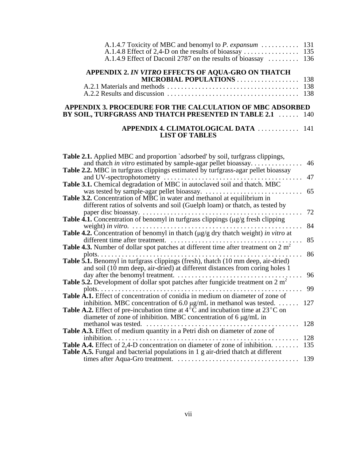| A.1.4.9 Effect of Daconil 2787 on the results of bioassay  136   |  |
|------------------------------------------------------------------|--|
| APPENDIX 2. IN VITRO EFFECTS OF AQUA-GRO ON THATCH               |  |
| <b>MICROBIAL POPULATIONS</b> 138                                 |  |
|                                                                  |  |
|                                                                  |  |
| APPENDIX 3. PROCEDURE FOR THE CALCULATION OF MBC ADSORBED        |  |
| <b>BY SOIL, TURFGRASS AND THATCH PRESENTED IN TABLE 2.1  140</b> |  |

### **APPENDIX 4. CLIMATOLOGICAL DATA** . . . . . . . . . . . . 141 **LIST OF TABLES**

| <b>Table 2.1.</b> Applied MBC and proportion `adsorbed' by soil, turfgrass clippings,                               |
|---------------------------------------------------------------------------------------------------------------------|
| and thatch in vitro estimated by sample-agar pellet bioassay<br>46                                                  |
| <b>Table 2.2.</b> MBC in turfgrass clippings estimated by turfgrass-agar pellet bioassay                            |
| 47<br>and UV-spectrophotometry                                                                                      |
| Table 3.1. Chemical degradation of MBC in autoclaved soil and thatch. MBC                                           |
| 65<br>was tested by sample-agar pellet bioassay.                                                                    |
| Table 3.2. Concentration of MBC in water and methanol at equilibrium in                                             |
| different ratios of solvents and soil (Guelph loam) or thatch, as tested by                                         |
| 72<br>paper disc bioassay. $\dots \dots \dots \dots \dots \dots \dots \dots$                                        |
| Table 4.1. Concentration of benomyl in turfgrass clippings (µg/g fresh clipping                                     |
| 84<br>weight) in vitro. $\dots \dots \dots \dots \dots \dots \dots \dots \dots \dots \dots$                         |
| <b>Table 4.2.</b> Concentration of benomyl in thatch $\left(\frac{\mu g}{g} \right)$ dry thatch weight) in vitro at |
| 85<br>different time after treatment.                                                                               |
| <b>Table 4.3.</b> Number of dollar spot patches at different time after treatment on $2 m2$                         |
| 86<br>plots. $\ldots \ldots \ldots \ldots \ldots$                                                                   |
| Table 5.1. Benomyl in turfgrass clippings (fresh), thatch (10 mm deep, air-dried)                                   |
| and soil (10 mm deep, air-dried) at different distances from coring holes 1                                         |
| 96<br>day after the benomyl treatment.                                                                              |
| Table 5.2. Development of dollar spot patches after fungicide treatment on $2 m2$                                   |
| 99<br>plots. $\ldots$                                                                                               |
| Table A.1. Effect of concentration of conidia in medium on diameter of zone of                                      |
| inhibition. MBC concentration of $6.0 \mu g/mL$ in methanol was tested.<br>127                                      |
| <b>Table A.2.</b> Effect of pre-incubation time at $4^{\circ}$ C and incubation time at $23^{\circ}$ C on           |
| diameter of zone of inhibition. MBC concentration of 6 $\mu$ g/mL in                                                |
| 128<br>methanol was tested.<br>.<br>.                                                                               |
| Table A.3. Effect of medium quantity in a Petri dish on diameter of zone of                                         |
| 128<br>inhibition.                                                                                                  |
| <b>Table A.4.</b> Effect of 2,4-D concentration on diameter of zone of inhibition.<br>135                           |
| <b>Table A.5.</b> Fungal and bacterial populations in 1 g air-dried thatch at different                             |
| 139                                                                                                                 |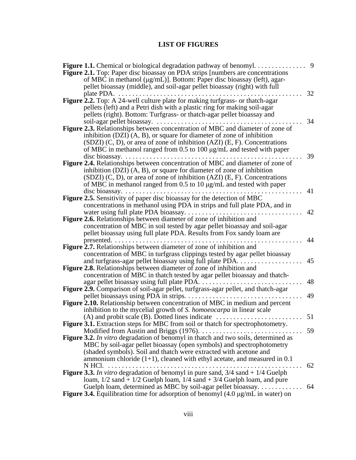# **LIST OF FIGURES**

| <b>Figure 1.1.</b> Chemical or biological degradation pathway of benomyl.                                   | 9 |
|-------------------------------------------------------------------------------------------------------------|---|
| Figure 2.1. Top: Paper disc bioassay on PDA strips [numbers are concentrations                              |   |
| of MBC in methanol (µg/mL)]. Bottom: Paper disc bioassay (left), agar-                                      |   |
| pellet bioassay (middle), and soil-agar pellet bioassay (right) with full                                   |   |
| 32<br>plate PDA.                                                                                            |   |
| Figure 2.2. Top: A 24-well culture plate for making turfgrass- or thatch-agar                               |   |
| pellets (left) and a Petri dish with a plastic ring for making soil-agar                                    |   |
| pellets (right). Bottom: Turfgrass- or thatch-agar pellet bioassay and                                      |   |
| soil-agar pellet bioassay.<br>34                                                                            |   |
| Figure 2.3. Relationships between concentration of MBC and diameter of zone of                              |   |
| inhibition $(DZI)$ $(A, B)$ , or square for diameter of zone of inhibition                                  |   |
| $(SDZI)$ (C, D), or area of zone of inhibition (AZI) (E, F). Concentrations                                 |   |
| of MBC in methanol ranged from $0.5$ to $100 \mu g/mL$ and tested with paper                                |   |
| 39<br>$disc$ bioassay. $\dots$                                                                              |   |
| Figure 2.4. Relationships between concentration of MBC and diameter of zone of                              |   |
| inhibition $(DZI)$ $(A, B)$ , or square for diameter of zone of inhibition                                  |   |
| $(SDZI)$ (C, D), or area of zone of inhibition (AZI) (E, F). Concentrations                                 |   |
| of MBC in methanol ranged from 0.5 to 10 $\mu$ g/mL and tested with paper                                   |   |
| 41<br>$disc$ bioassay                                                                                       |   |
| Figure 2.5. Sensitivity of paper disc bioassay for the detection of MBC                                     |   |
| concentrations in methanol using PDA in strips and full plate PDA, and in<br>42                             |   |
| water using full plate PDA bioassay<br>Figure 2.6. Relationships between diameter of zone of inhibition and |   |
| concentration of MBC in soil tested by agar pellet bioassay and soil-agar                                   |   |
| pellet bioassay using full plate PDA. Results from Fox sandy loam are                                       |   |
| 44<br>presented.                                                                                            |   |
| Figure 2.7. Relationships between diameter of zone of inhibition and                                        |   |
| concentration of MBC in turfgrass clippings tested by agar pellet bioassay                                  |   |
| and turfgrass-agar pellet bioassay using full plate PDA. .<br>45                                            |   |
| <b>Figure 2.8.</b> Relationships between diameter of zone of inhibition and                                 |   |
| concentration of MBC in thatch tested by agar pellet bioassay and thatch-                                   |   |
| 48<br>agar pellet bioassay using full plate PDA.                                                            |   |
| Figure 2.9. Comparison of soil-agar pellet, turfgrass-agar pellet, and thatch-agar                          |   |
| 49<br>pellet bioassays using PDA in strips.                                                                 |   |
| <b>Figure 2.10.</b> Relationship between concentration of MBC in medium and percent                         |   |
| inhibition to the mycelial growth of S. homoeocarpa in linear scale                                         |   |
| $(A)$ and probit scale (B). Dotted lines indicate $\dots \dots \dots \dots$<br>51                           |   |
| Figure 3.1. Extraction steps for MBC from soil or thatch for spectrophotometry.                             |   |
| Modified from Austin and Briggs $(1976)$ .<br>59                                                            |   |
| Figure 3.2. In vitro degradation of benomyl in thatch and two soils, determined as                          |   |
| MBC by soil-agar pellet bioassay (open symbols) and spectrophotometry                                       |   |
| (shaded symbols). Soil and thatch were extracted with acetone and                                           |   |
| ammonium chloride $(1+1)$ , cleaned with ethyl acetate, and measured in 0.1                                 |   |
| 62<br>N HCl.                                                                                                |   |
| <b>Figure 3.3.</b> In vitro degradation of benomyl in pure sand, $3/4$ sand $+1/4$ Guelph                   |   |
| loam, $1/2$ sand + $1/2$ Guelph loam, $1/4$ sand + $3/4$ Guelph loam, and pure                              |   |
| 64<br>Guelph loam, determined as MBC by soil-agar pellet bioassay                                           |   |
| <b>Figure 3.4.</b> Equilibration time for adsorption of benomyl $(4.0 \mu g/mL)$ in water) on               |   |
|                                                                                                             |   |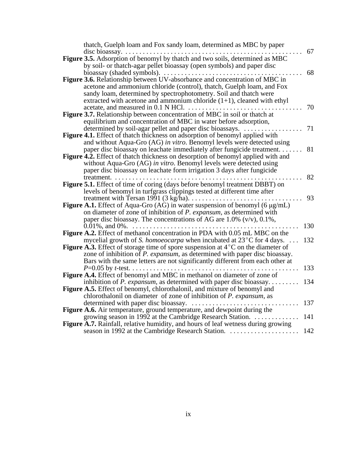|               | thatch, Guelph loam and Fox sandy loam, determined as MBC by paper                                                                                                                                                                                                                               |     |
|---------------|--------------------------------------------------------------------------------------------------------------------------------------------------------------------------------------------------------------------------------------------------------------------------------------------------|-----|
| disc bioassay | Figure 3.5. Adsorption of benomyl by thatch and two soils, determined as MBC<br>by soil- or thatch-agar pellet bioassay (open symbols) and paper disc                                                                                                                                            | 67  |
|               | bioassay (shaded symbols)<br>Figure 3.6. Relationship between UV-absorbance and concentration of MBC in<br>acetone and ammonium chloride (control), thatch, Guelph loam, and Fox<br>sandy loam, determined by spectrophotometry. Soil and thatch were                                            | 68  |
|               | extracted with acetone and ammonium chloride $(1+1)$ , cleaned with ethyl<br>acetate, and measured in 0.1 N HCl.<br><b>Figure 3.7.</b> Relationship between concentration of MBC in soil or thatch at                                                                                            | 70  |
|               | equilibrium and concentration of MBC in water before adsorption,<br>determined by soil-agar pellet and paper disc bioassays.<br>Figure 4.1. Effect of thatch thickness on adsorption of benomyl applied with                                                                                     | 71  |
|               | and without Aqua-Gro (AG) in vitro. Benomyl levels were detected using<br>paper disc bioassay on leachate immediately after fungicide treatment.<br><b>Figure 4.2.</b> Effect of thatch thickness on desorption of benomyl applied with and                                                      | 81  |
|               | without Aqua-Gro (AG) in vitro. Benomyl levels were detected using<br>paper disc bioassay on leachate form irrigation 3 days after fungicide                                                                                                                                                     |     |
| treatment.    | Figure 5.1. Effect of time of coring (days before benomyl treatment DBBT) on<br>levels of benomyl in turfgrass clippings tested at different time after                                                                                                                                          | 82  |
|               | treatment with Tersan 1991 $(3 \text{ kg/ha})$<br><b>Figure A.1.</b> Effect of Aqua-Gro (AG) in water suspension of benomyl (6 $\mu$ g/mL)<br>on diameter of zone of inhibition of P. expansum, as determined with<br>paper disc bioassay. The concentrations of AG are $1.0\%$ (v/v), $0.1\%$ , | 93  |
|               | $0.01\%$ , and $0\%$ .<br>Figure A.2. Effect of methanol concentration in PDA with 0.05 mL MBC on the                                                                                                                                                                                            | 130 |
|               | mycelial growth of S. homoeocarpa when incubated at 23 <sup>°</sup> C for 4 days.<br><b>Figure A.3.</b> Effect of storage time of spore suspension at $4^{\circ}$ C on the diameter of<br>zone of inhibition of <i>P. expansum</i> , as determined with paper disc bioassay.                     | 132 |
|               | Bars with the same letters are not significantly different from each other at<br>$P=0.05$ by <i>t</i> -test<br>Figure A.4. Effect of benomyl and MBC in methanol on diameter of zone of                                                                                                          | 133 |
|               | inhibition of P. expansum, as determined with paper disc bioassay<br><b>Figure A.5.</b> Effect of benomyl, chlorothalonil, and mixture of benomyl and                                                                                                                                            | 134 |
|               | chlorothalonil on diameter of zone of inhibition of <i>P. expansum</i> , as<br>determined with paper disc bioassay.<br>Figure A.6. Air temperature, ground temperature, and dewpoint during the                                                                                                  | 137 |
|               | growing season in 1992 at the Cambridge Research Station.<br>Figure A.7. Rainfall, relative humidity, and hours of leaf wetness during growing                                                                                                                                                   | 141 |
|               | season in 1992 at the Cambridge Research Station.<br>.                                                                                                                                                                                                                                           | 142 |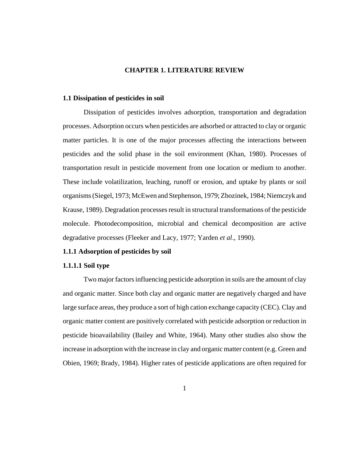# **CHAPTER 1. LITERATURE REVIEW**

#### **1.1 Dissipation of pesticides in soil**

Dissipation of pesticides involves adsorption, transportation and degradation processes. Adsorption occurs when pesticides are adsorbed or attracted to clay or organic matter particles. It is one of the major processes affecting the interactions between pesticides and the solid phase in the soil environment (Khan, 1980). Processes of transportation result in pesticide movement from one location or medium to another. These include volatilization, leaching, runoff or erosion, and uptake by plants or soil organisms (Siegel, 1973; McEwen and Stephenson, 1979; Zbozinek, 1984; Niemczyk and Krause, 1989). Degradation processes result in structural transformations of the pesticide molecule. Photodecomposition, microbial and chemical decomposition are active degradative processes (Fleeker and Lacy, 1977; Yarden *et al*., 1990).

#### **1.1.1 Adsorption of pesticides by soil**

### **1.1.1.1 Soil type**

Two major factors influencing pesticide adsorption in soils are the amount of clay and organic matter. Since both clay and organic matter are negatively charged and have large surface areas, they produce a sort of high cation exchange capacity (CEC). Clay and organic matter content are positively correlated with pesticide adsorption or reduction in pesticide bioavailability (Bailey and White, 1964). Many other studies also show the increase in adsorption with the increase in clay and organic matter content (e.g. Green and Obien, 1969; Brady, 1984). Higher rates of pesticide applications are often required for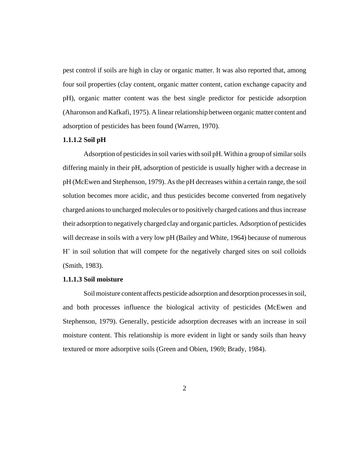pest control if soils are high in clay or organic matter. It was also reported that, among four soil properties (clay content, organic matter content, cation exchange capacity and pH), organic matter content was the best single predictor for pesticide adsorption (Aharonson and Kafkafi, 1975). A linear relationship between organic matter content and adsorption of pesticides has been found (Warren, 1970).

## **1.1.1.2 Soil pH**

Adsorption of pesticides in soil varies with soil pH. Within a group of similar soils differing mainly in their pH, adsorption of pesticide is usually higher with a decrease in pH (McEwen and Stephenson, 1979). As the pH decreases within a certain range, the soil solution becomes more acidic, and thus pesticides become converted from negatively charged anions to uncharged molecules or to positively charged cations and thus increase their adsorption to negatively charged clay and organic particles. Adsorption of pesticides will decrease in soils with a very low pH (Bailey and White, 1964) because of numerous H<sup>+</sup> in soil solution that will compete for the negatively charged sites on soil colloids (Smith, 1983).

# **1.1.1.3 Soil moisture**

Soil moisture content affects pesticide adsorption and desorption processes in soil, and both processes influence the biological activity of pesticides (McEwen and Stephenson, 1979). Generally, pesticide adsorption decreases with an increase in soil moisture content. This relationship is more evident in light or sandy soils than heavy textured or more adsorptive soils (Green and Obien, 1969; Brady, 1984).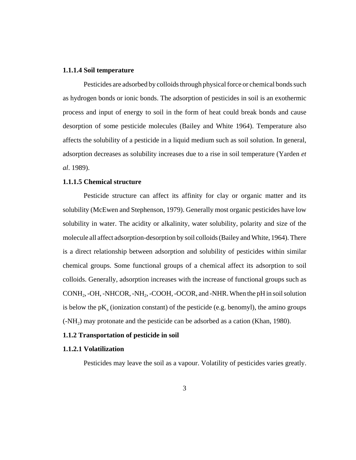#### **1.1.1.4 Soil temperature**

Pesticides are adsorbed by colloids through physical force or chemical bonds such as hydrogen bonds or ionic bonds. The adsorption of pesticides in soil is an exothermic process and input of energy to soil in the form of heat could break bonds and cause desorption of some pesticide molecules (Bailey and White 1964). Temperature also affects the solubility of a pesticide in a liquid medium such as soil solution. In general, adsorption decreases as solubility increases due to a rise in soil temperature (Yarden *et al*. 1989).

### **1.1.1.5 Chemical structure**

Pesticide structure can affect its affinity for clay or organic matter and its solubility (McEwen and Stephenson, 1979). Generally most organic pesticides have low solubility in water. The acidity or alkalinity, water solubility, polarity and size of the molecule all affect adsorption-desorption by soil colloids (Bailey and White, 1964). There is a direct relationship between adsorption and solubility of pesticides within similar chemical groups. Some functional groups of a chemical affect its adsorption to soil colloids. Generally, adsorption increases with the increase of functional groups such as CONH<sub>2</sub>, -OH, -NHCOR, -NH<sub>2</sub>, -COOH, -OCOR, and -NHR. When the pH in soil solution is below the  $pK_a$  (ionization constant) of the pesticide (e.g. benomyl), the amino groups  $(-NH<sub>2</sub>)$  may protonate and the pesticide can be adsorbed as a cation (Khan, 1980).

#### **1.1.2 Transportation of pesticide in soil**

#### **1.1.2.1 Volatilization**

Pesticides may leave the soil as a vapour. Volatility of pesticides varies greatly.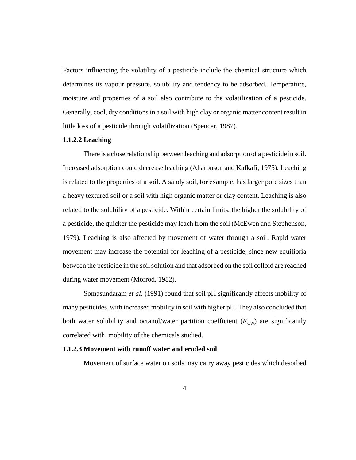Factors influencing the volatility of a pesticide include the chemical structure which determines its vapour pressure, solubility and tendency to be adsorbed. Temperature, moisture and properties of a soil also contribute to the volatilization of a pesticide. Generally, cool, dry conditions in a soil with high clay or organic matter content result in little loss of a pesticide through volatilization (Spencer, 1987).

### **1.1.2.2 Leaching**

There is a close relationship between leaching and adsorption of a pesticide in soil. Increased adsorption could decrease leaching (Aharonson and Kafkafi, 1975). Leaching is related to the properties of a soil. A sandy soil, for example, has larger pore sizes than a heavy textured soil or a soil with high organic matter or clay content. Leaching is also related to the solubility of a pesticide. Within certain limits, the higher the solubility of a pesticide, the quicker the pesticide may leach from the soil (McEwen and Stephenson, 1979). Leaching is also affected by movement of water through a soil. Rapid water movement may increase the potential for leaching of a pesticide, since new equilibria between the pesticide in the soil solution and that adsorbed on the soil colloid are reached during water movement (Morrod, 1982).

Somasundaram *et al*. (1991) found that soil pH significantly affects mobility of many pesticides, with increased mobility in soil with higher pH. They also concluded that both water solubility and octanol/water partition coefficient  $(K<sub>ow</sub>)$  are significantly correlated with mobility of the chemicals studied.

#### **1.1.2.3 Movement with runoff water and eroded soil**

Movement of surface water on soils may carry away pesticides which desorbed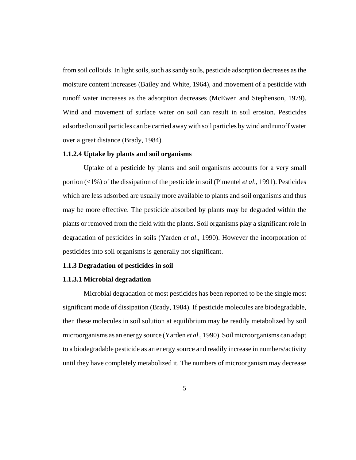from soil colloids. In light soils, such as sandy soils, pesticide adsorption decreases as the moisture content increases (Bailey and White, 1964), and movement of a pesticide with runoff water increases as the adsorption decreases (McEwen and Stephenson, 1979). Wind and movement of surface water on soil can result in soil erosion. Pesticides adsorbed on soil particles can be carried away with soil particles by wind and runoff water over a great distance (Brady, 1984).

## **1.1.2.4 Uptake by plants and soil organisms**

Uptake of a pesticide by plants and soil organisms accounts for a very small portion (<1%) of the dissipation of the pesticide in soil (Pimentel *et al*., 1991). Pesticides which are less adsorbed are usually more available to plants and soil organisms and thus may be more effective. The pesticide absorbed by plants may be degraded within the plants or removed from the field with the plants. Soil organisms play a significant role in degradation of pesticides in soils (Yarden *et al*., 1990). However the incorporation of pesticides into soil organisms is generally not significant.

#### **1.1.3 Degradation of pesticides in soil**

### **1.1.3.1 Microbial degradation**

Microbial degradation of most pesticides has been reported to be the single most significant mode of dissipation (Brady, 1984). If pesticide molecules are biodegradable, then these molecules in soil solution at equilibrium may be readily metabolized by soil microorganisms as an energy source (Yarden *et al*., 1990). Soil microorganisms can adapt to a biodegradable pesticide as an energy source and readily increase in numbers/activity until they have completely metabolized it. The numbers of microorganism may decrease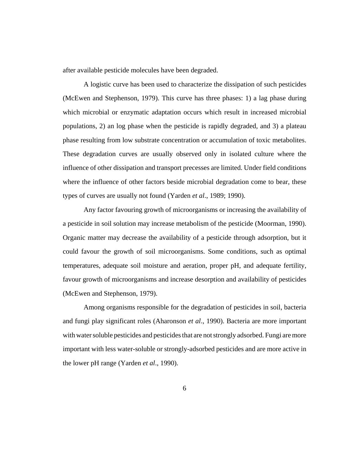after available pesticide molecules have been degraded.

A logistic curve has been used to characterize the dissipation of such pesticides (McEwen and Stephenson, 1979). This curve has three phases: 1) a lag phase during which microbial or enzymatic adaptation occurs which result in increased microbial populations, 2) an log phase when the pesticide is rapidly degraded, and 3) a plateau phase resulting from low substrate concentration or accumulation of toxic metabolites. These degradation curves are usually observed only in isolated culture where the influence of other dissipation and transport precesses are limited. Under field conditions where the influence of other factors beside microbial degradation come to bear, these types of curves are usually not found (Yarden *et al*., 1989; 1990).

Any factor favouring growth of microorganisms or increasing the availability of a pesticide in soil solution may increase metabolism of the pesticide (Moorman, 1990). Organic matter may decrease the availability of a pesticide through adsorption, but it could favour the growth of soil microorganisms. Some conditions, such as optimal temperatures, adequate soil moisture and aeration, proper pH, and adequate fertility, favour growth of microorganisms and increase desorption and availability of pesticides (McEwen and Stephenson, 1979).

Among organisms responsible for the degradation of pesticides in soil, bacteria and fungi play significant roles (Aharonson *et al*., 1990). Bacteria are more important with water soluble pesticides and pesticides that are not strongly adsorbed. Fungi are more important with less water-soluble or strongly-adsorbed pesticides and are more active in the lower pH range (Yarden *et al*., 1990).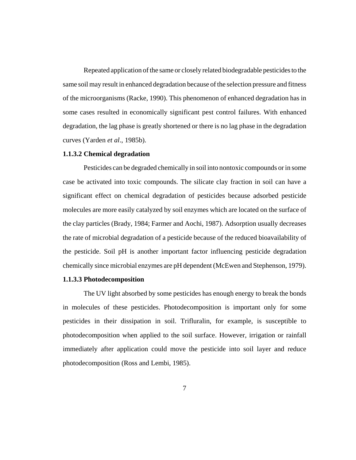Repeated application of the same or closely related biodegradable pesticides to the same soil may result in enhanced degradation because of the selection pressure and fitness of the microorganisms (Racke, 1990). This phenomenon of enhanced degradation has in some cases resulted in economically significant pest control failures. With enhanced degradation, the lag phase is greatly shortened or there is no lag phase in the degradation curves (Yarden *et al*., 1985b).

### **1.1.3.2 Chemical degradation**

Pesticides can be degraded chemically in soil into nontoxic compounds or in some case be activated into toxic compounds. The silicate clay fraction in soil can have a significant effect on chemical degradation of pesticides because adsorbed pesticide molecules are more easily catalyzed by soil enzymes which are located on the surface of the clay particles (Brady, 1984; Farmer and Aochi, 1987). Adsorption usually decreases the rate of microbial degradation of a pesticide because of the reduced bioavailability of the pesticide. Soil pH is another important factor influencing pesticide degradation chemically since microbial enzymes are pH dependent (McEwen and Stephenson, 1979).

#### **1.1.3.3 Photodecomposition**

The UV light absorbed by some pesticides has enough energy to break the bonds in molecules of these pesticides. Photodecomposition is important only for some pesticides in their dissipation in soil. Trifluralin, for example, is susceptible to photodecomposition when applied to the soil surface. However, irrigation or rainfall immediately after application could move the pesticide into soil layer and reduce photodecomposition (Ross and Lembi, 1985).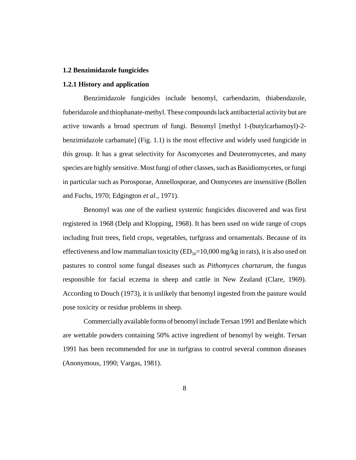#### **1.2 Benzimidazole fungicides**

#### **1.2.1 History and application**

Benzimidazole fungicides include benomyl, carbendazim, thiabendazole, fuberidazole and thiophanate-methyl. These compounds lack antibacterial activity but are active towards a broad spectrum of fungi. Benomyl [methyl 1-(butylcarbamoyl)-2 benzimidazole carbamate] (Fig. 1.1) is the most effective and widely used fungicide in this group. It has a great selectivity for Ascomycetes and Deuteromycetes, and many species are highly sensitive. Most fungi of other classes, such as Basidiomycetes, or fungi in particular such as Porosporae, Annellosporae, and Oomycetes are insensitive (Bollen and Fuchs, 1970; Edgington *et al*., 1971).

 Benomyl was one of the earliest systemic fungicides discovered and was first registered in 1968 (Delp and Klopping, 1968). It has been used on wide range of crops including fruit trees, field crops, vegetables, turfgrass and ornamentals. Because of its effectiveness and low mammalian toxicity  $(ED_{50}=10,000 \text{ mg/kg}$  in rats), it is also used on pastures to control some fungal diseases such as *Pithomyces chartarum*, the fungus responsible for facial eczema in sheep and cattle in New Zealand (Clare, 1969). According to Douch (1973), it is unlikely that benomyl ingested from the pasture would pose toxicity or residue problems in sheep.

Commercially available forms of benomyl include Tersan 1991 and Benlate which are wettable powders containing 50% active ingredient of benomyl by weight. Tersan 1991 has been recommended for use in turfgrass to control several common diseases (Anonymous, 1990; Vargas, 1981).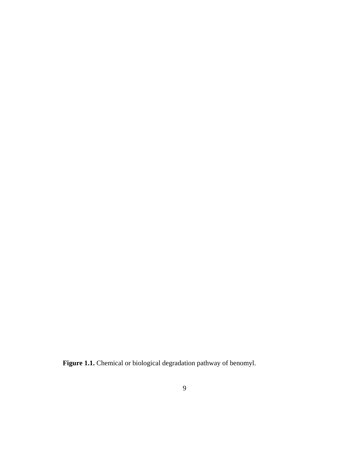**Figure 1.1.** Chemical or biological degradation pathway of benomyl.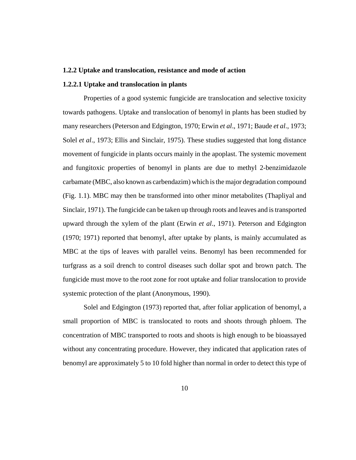#### **1.2.2 Uptake and translocation, resistance and mode of action**

#### **1.2.2.1 Uptake and translocation in plants**

Properties of a good systemic fungicide are translocation and selective toxicity towards pathogens. Uptake and translocation of benomyl in plants has been studied by many researchers (Peterson and Edgington, 1970; Erwin *et al*., 1971; Baude *et al*., 1973; Solel *et al*., 1973; Ellis and Sinclair, 1975). These studies suggested that long distance movement of fungicide in plants occurs mainly in the apoplast. The systemic movement and fungitoxic properties of benomyl in plants are due to methyl 2-benzimidazole carbamate (MBC, also known as carbendazim) which is the major degradation compound (Fig. 1.1). MBC may then be transformed into other minor metabolites (Thapliyal and Sinclair, 1971). The fungicide can be taken up through roots and leaves and is transported upward through the xylem of the plant (Erwin *et al*., 1971). Peterson and Edgington (1970; 1971) reported that benomyl, after uptake by plants, is mainly accumulated as MBC at the tips of leaves with parallel veins. Benomyl has been recommended for turfgrass as a soil drench to control diseases such dollar spot and brown patch. The fungicide must move to the root zone for root uptake and foliar translocation to provide systemic protection of the plant (Anonymous, 1990).

Solel and Edgington (1973) reported that, after foliar application of benomyl, a small proportion of MBC is translocated to roots and shoots through phloem. The concentration of MBC transported to roots and shoots is high enough to be bioassayed without any concentrating procedure. However, they indicated that application rates of benomyl are approximately 5 to 10 fold higher than normal in order to detect this type of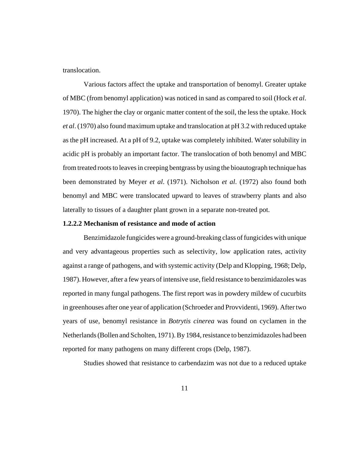translocation.

Various factors affect the uptake and transportation of benomyl. Greater uptake of MBC (from benomyl application) was noticed in sand as compared to soil (Hock *et al*. 1970). The higher the clay or organic matter content of the soil, the less the uptake. Hock *et al*. (1970) also found maximum uptake and translocation at pH 3.2 with reduced uptake as the pH increased. At a pH of 9.2, uptake was completely inhibited. Water solubility in acidic pH is probably an important factor. The translocation of both benomyl and MBC from treated roots to leaves in creeping bentgrass by using the bioautograph technique has been demonstrated by Meyer *et al*. (1971). Nicholson *et al*. (1972) also found both benomyl and MBC were translocated upward to leaves of strawberry plants and also laterally to tissues of a daughter plant grown in a separate non-treated pot.

#### **1.2.2.2 Mechanism of resistance and mode of action**

Benzimidazole fungicides were a ground-breaking class of fungicides with unique and very advantageous properties such as selectivity, low application rates, activity against a range of pathogens, and with systemic activity (Delp and Klopping, 1968; Delp, 1987). However, after a few years of intensive use, field resistance to benzimidazoles was reported in many fungal pathogens. The first report was in powdery mildew of cucurbits in greenhouses after one year of application (Schroeder and Provvidenti, 1969). After two years of use, benomyl resistance in *Botrytis cinerea* was found on cyclamen in the Netherlands (Bollen and Scholten, 1971). By 1984, resistance to benzimidazoles had been reported for many pathogens on many different crops (Delp, 1987).

Studies showed that resistance to carbendazim was not due to a reduced uptake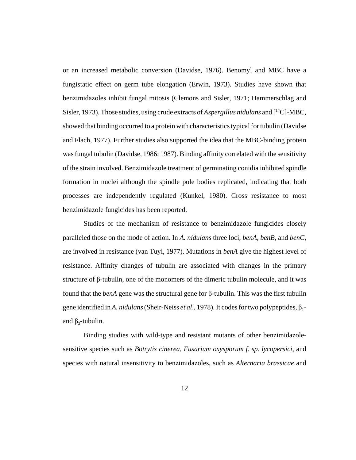or an increased metabolic conversion (Davidse, 1976). Benomyl and MBC have a fungistatic effect on germ tube elongation (Erwin, 1973). Studies have shown that benzimidazoles inhibit fungal mitosis (Clemons and Sisler, 1971; Hammerschlag and Sisler, 1973). Those studies, using crude extracts of *Aspergillus nidulans* and [14C]-MBC, showed that binding occurred to a protein with characteristics typical for tubulin (Davidse and Flach, 1977). Further studies also supported the idea that the MBC-binding protein was fungal tubulin (Davidse, 1986; 1987). Binding affinity correlated with the sensitivity of the strain involved. Benzimidazole treatment of germinating conidia inhibited spindle formation in nuclei although the spindle pole bodies replicated, indicating that both processes are independently regulated (Kunkel, 1980). Cross resistance to most benzimidazole fungicides has been reported.

Studies of the mechanism of resistance to benzimidazole fungicides closely paralleled those on the mode of action. In *A. nidulans* three loci, *benA, benB,* and *benC,* are involved in resistance (van Tuyl, 1977). Mutations in *benA* give the highest level of resistance. Affinity changes of tubulin are associated with changes in the primary structure of β-tubulin, one of the monomers of the dimeric tubulin molecule, and it was found that the *benA* gene was the structural gene for β-tubulin. This was the first tubulin gene identified in *A. nidulans* (Sheir-Neiss *et al.*, 1978). It codes for two polypeptides, β<sub>1</sub>and  $β_2$ -tubulin.

Binding studies with wild-type and resistant mutants of other benzimidazolesensitive species such as *Botrytis cinerea, Fusarium oxysporum f. sp. lycopersici,* and species with natural insensitivity to benzimidazoles, such as *Alternaria brassicae* and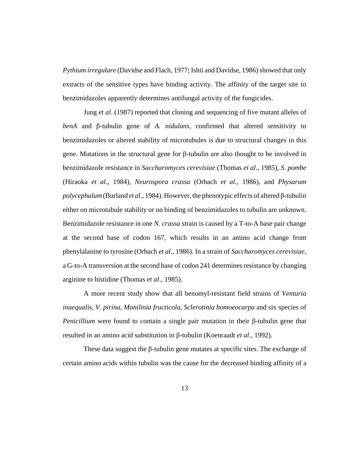*Pythium irregulare* (Davidse and Flach, 1977; Ishii and Davidse, 1986) showed that only extracts of the sensitive types have binding activity. The affinity of the target site to benzimidazoles apparently determines antifungal activity of the fungicides.

Jung *et al*. (1987) reported that cloning and sequencing of five mutant alleles of *benA* and β-tubulin gene of *A. nidulans*, confirmed that altered sensitivity to benzimidazoles or altered stability of microtubules is due to structural changes in this gene. Mutations in the structural gene for β-tubulin are also thought to be involved in benzimidazole resistance in *Saccharomyces cerevisiae* (Thomas *et al*., 1985), *S. pombe* (Hiraoka *et al*., 1984), *Neurospora crassa* (Orbach *et al*., 1986), and *Physarum polycephalum* (Burland *et al*., 1984). However, the phenotypic effects of altered β-tubulin either on microtubule stability or on binding of benzimidazoles to tubulin are unknown. Benzimidazole resistance in one *N. crassa* strain is caused by a T-to-A base pair change at the second base of codon 167, which results in an amino acid change from phenylalanine to tyrosine (Orbach *et al*., 1986). In a strain of *Saccharomyces cerevisiae*, a G-to-A transversion at the second base of codon 241 determines resistance by changing arginine to histidine (Thomas *et al*., 1985).

A more recent study show that all benomyl-resistant field strains of *Venturia inaequalis*, *V. pirina*, *Monilinia fructicola*, *Sclerotinia homoeocarpa* and six species of *Penicillium* were found to contain a single pair mutation in their β-tubulin gene that resulted in an amino acid substitution in β-tubulin (Koenraadt *et al*., 1992).

 These data suggest the β-tubulin gene mutates at specific sites. The exchange of certain amino acids within tubulin was the cause for the decreased binding affinity of a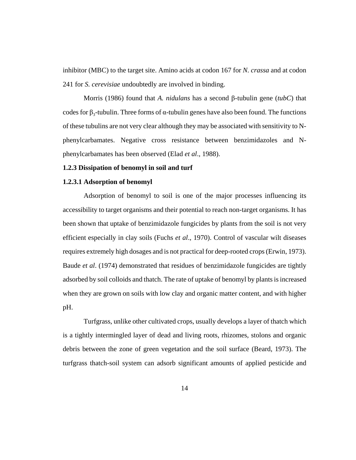inhibitor (MBC) to the target site. Amino acids at codon 167 for *N. crassa* and at codon 241 for *S. cerevisiae* undoubtedly are involved in binding.

Morris (1986) found that *A. nidulans* has a second β-tubulin gene (*tubC*) that codes for  $β_3$ -tubulin. Three forms of α-tubulin genes have also been found. The functions of these tubulins are not very clear although they may be associated with sensitivity to Nphenylcarbamates. Negative cross resistance between benzimidazoles and Nphenylcarbamates has been observed (Elad *et al*., 1988).

#### **1.2.3 Dissipation of benomyl in soil and turf**

### **1.2.3.1 Adsorption of benomyl**

Adsorption of benomyl to soil is one of the major processes influencing its accessibility to target organisms and their potential to reach non-target organisms. It has been shown that uptake of benzimidazole fungicides by plants from the soil is not very efficient especially in clay soils (Fuchs *et al*., 1970). Control of vascular wilt diseases requires extremely high dosages and is not practical for deep-rooted crops (Erwin, 1973). Baude *et al*. (1974) demonstrated that residues of benzimidazole fungicides are tightly adsorbed by soil colloids and thatch. The rate of uptake of benomyl by plants is increased when they are grown on soils with low clay and organic matter content, and with higher pH.

Turfgrass, unlike other cultivated crops, usually develops a layer of thatch which is a tightly intermingled layer of dead and living roots, rhizomes, stolons and organic debris between the zone of green vegetation and the soil surface (Beard, 1973). The turfgrass thatch-soil system can adsorb significant amounts of applied pesticide and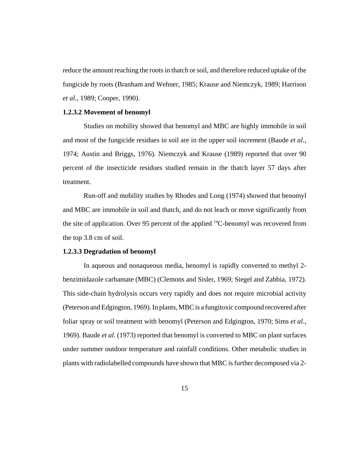reduce the amount reaching the roots in thatch or soil, and therefore reduced uptake of the fungicide by roots (Branham and Wehner, 1985; Krause and Niemczyk, 1989; Harrison *et al*., 1989; Cooper, 1990).

#### **1.2.3.2 Movement of benomyl**

Studies on mobility showed that benomyl and MBC are highly immobile in soil and most of the fungicide residues in soil are in the upper soil increment (Baude *et al*., 1974; Austin and Briggs, 1976). Niemczyk and Krause (1989) reported that over 90 percent of the insecticide residues studied remain in the thatch layer 57 days after treatment.

Run-off and mobility studies by Rhodes and Long (1974) showed that benomyl and MBC are immobile in soil and thatch, and do not leach or move significantly from the site of application. Over 95 percent of the applied  ${}^{14}C$ -benomyl was recovered from the top 3.8 cm of soil.

#### **1.2.3.3 Degradation of benomyl**

In aqueous and nonaqueous media, benomyl is rapidly converted to methyl 2 benzimidazole carbamate (MBC) (Clemons and Sisler, 1969; Siegel and Zabbia, 1972). This side-chain hydrolysis occurs very rapidly and does not require microbial activity (Peterson and Edgington, 1969). In plants, MBC is a fungitoxic compound recovered after foliar spray or soil treatment with benomyl (Peterson and Edgington, 1970; Sims *et al*., 1969). Baude *et al*. (1973) reported that benomyl is converted to MBC on plant surfaces under summer outdoor temperature and rainfall conditions. Other metabolic studies in plants with radiolabelled compounds have shown that MBC is further decomposed via 2-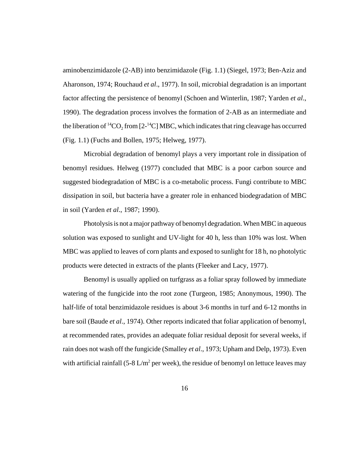aminobenzimidazole (2-AB) into benzimidazole (Fig. 1.1) (Siegel, 1973; Ben-Aziz and Aharonson, 1974; Rouchaud *et al*., 1977). In soil, microbial degradation is an important factor affecting the persistence of benomyl (Schoen and Winterlin, 1987; Yarden *et al*., 1990). The degradation process involves the formation of 2-AB as an intermediate and the liberation of  ${}^{14}CO_2$  from [2- ${}^{14}Cl$ ] MBC, which indicates that ring cleavage has occurred (Fig. 1.1) (Fuchs and Bollen, 1975; Helweg, 1977).

Microbial degradation of benomyl plays a very important role in dissipation of benomyl residues. Helweg (1977) concluded that MBC is a poor carbon source and suggested biodegradation of MBC is a co-metabolic process. Fungi contribute to MBC dissipation in soil, but bacteria have a greater role in enhanced biodegradation of MBC in soil (Yarden *et al*., 1987; 1990).

Photolysis is not a major pathway of benomyl degradation. When MBC in aqueous solution was exposed to sunlight and UV-light for 40 h, less than 10% was lost. When MBC was applied to leaves of corn plants and exposed to sunlight for 18 h, no photolytic products were detected in extracts of the plants (Fleeker and Lacy, 1977).

Benomyl is usually applied on turfgrass as a foliar spray followed by immediate watering of the fungicide into the root zone (Turgeon, 1985; Anonymous, 1990). The half-life of total benzimidazole residues is about 3-6 months in turf and 6-12 months in bare soil (Baude *et al*., 1974). Other reports indicated that foliar application of benomyl, at recommended rates, provides an adequate foliar residual deposit for several weeks, if rain does not wash off the fungicide (Smalley *et al*., 1973; Upham and Delp, 1973). Even with artificial rainfall  $(5{\text -}8 \text{ L/m}^2 \text{ per week})$ , the residue of benomyl on lettuce leaves may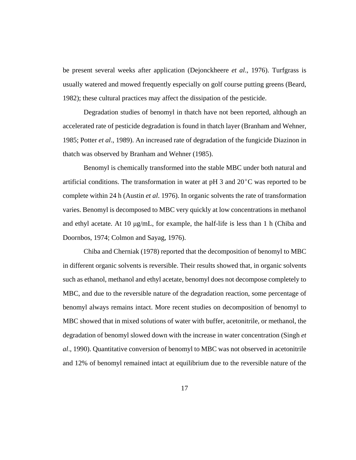be present several weeks after application (Dejonckheere *et al*., 1976). Turfgrass is usually watered and mowed frequently especially on golf course putting greens (Beard, 1982); these cultural practices may affect the dissipation of the pesticide.

Degradation studies of benomyl in thatch have not been reported, although an accelerated rate of pesticide degradation is found in thatch layer (Branham and Wehner, 1985; Potter *et al*., 1989). An increased rate of degradation of the fungicide Diazinon in thatch was observed by Branham and Wehner (1985).

Benomyl is chemically transformed into the stable MBC under both natural and artificial conditions. The transformation in water at pH 3 and  $20^{\circ}$ C was reported to be complete within 24 h (Austin *et al*. 1976). In organic solvents the rate of transformation varies. Benomyl is decomposed to MBC very quickly at low concentrations in methanol and ethyl acetate. At 10 μg/mL, for example, the half-life is less than 1 h (Chiba and Doornbos, 1974; Colmon and Sayag, 1976).

Chiba and Cherniak (1978) reported that the decomposition of benomyl to MBC in different organic solvents is reversible. Their results showed that, in organic solvents such as ethanol, methanol and ethyl acetate, benomyl does not decompose completely to MBC, and due to the reversible nature of the degradation reaction, some percentage of benomyl always remains intact. More recent studies on decomposition of benomyl to MBC showed that in mixed solutions of water with buffer, acetonitrile, or methanol, the degradation of benomyl slowed down with the increase in water concentration (Singh *et al*., 1990). Quantitative conversion of benomyl to MBC was not observed in acetonitrile and 12% of benomyl remained intact at equilibrium due to the reversible nature of the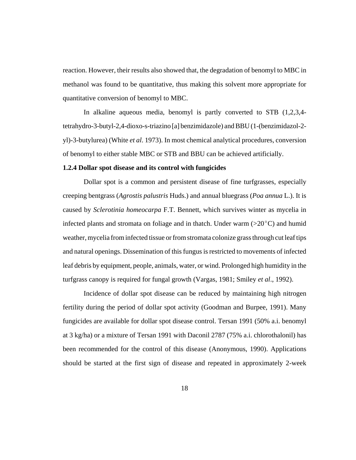reaction. However, their results also showed that, the degradation of benomyl to MBC in methanol was found to be quantitative, thus making this solvent more appropriate for quantitative conversion of benomyl to MBC.

In alkaline aqueous media, benomyl is partly converted to STB (1,2,3,4 tetrahydro-3-butyl-2,4-dioxo-s-triazino [a] benzimidazole) and BBU (1-(benzimidazol-2 yl)-3-butylurea) (White *et al*. 1973). In most chemical analytical procedures, conversion of benomyl to either stable MBC or STB and BBU can be achieved artificially.

#### **1.2.4 Dollar spot disease and its control with fungicides**

Dollar spot is a common and persistent disease of fine turfgrasses, especially creeping bentgrass (*Agrostis palustris* Huds.) and annual bluegrass (*Poa annua* L.). It is caused by *Sclerotinia homeocarpa* F.T. Bennett, which survives winter as mycelia in infected plants and stromata on foliage and in thatch. Under warm  $(>20^{\circ}C)$  and humid weather, mycelia from infected tissue or from stromata colonize grass through cut leaf tips and natural openings. Dissemination of this fungus is restricted to movements of infected leaf debris by equipment, people, animals, water, or wind. Prolonged high humidity in the turfgrass canopy is required for fungal growth (Vargas, 1981; Smiley *et al*., 1992).

Incidence of dollar spot disease can be reduced by maintaining high nitrogen fertility during the period of dollar spot activity (Goodman and Burpee, 1991). Many fungicides are available for dollar spot disease control. Tersan 1991 (50% a.i. benomyl at 3 kg/ha) or a mixture of Tersan 1991 with Daconil 2787 (75% a.i. chlorothalonil) has been recommended for the control of this disease (Anonymous, 1990). Applications should be started at the first sign of disease and repeated in approximately 2-week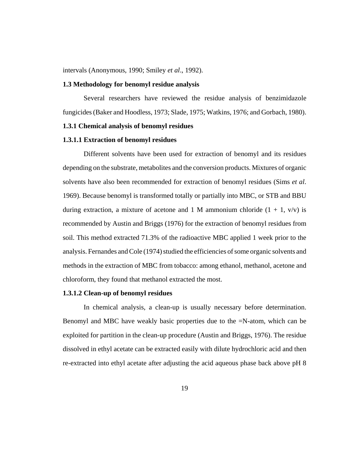intervals (Anonymous, 1990; Smiley *et al*., 1992).

#### **1.3 Methodology for benomyl residue analysis**

Several researchers have reviewed the residue analysis of benzimidazole fungicides (Baker and Hoodless, 1973; Slade, 1975; Watkins, 1976; and Gorbach, 1980).

# **1.3.1 Chemical analysis of benomyl residues**

#### **1.3.1.1 Extraction of benomyl residues**

Different solvents have been used for extraction of benomyl and its residues depending on the substrate, metabolites and the conversion products. Mixtures of organic solvents have also been recommended for extraction of benomyl residues (Sims *et al*. 1969). Because benomyl is transformed totally or partially into MBC, or STB and BBU during extraction, a mixture of acetone and 1 M ammonium chloride  $(1 + 1, v/v)$  is recommended by Austin and Briggs (1976) for the extraction of benomyl residues from soil. This method extracted 71.3% of the radioactive MBC applied 1 week prior to the analysis. Fernandes and Cole (1974) studied the efficiencies of some organic solvents and methods in the extraction of MBC from tobacco: among ethanol, methanol, acetone and chloroform, they found that methanol extracted the most.

# **1.3.1.2 Clean-up of benomyl residues**

In chemical analysis, a clean-up is usually necessary before determination. Benomyl and MBC have weakly basic properties due to the =N-atom, which can be exploited for partition in the clean-up procedure (Austin and Briggs, 1976). The residue dissolved in ethyl acetate can be extracted easily with dilute hydrochloric acid and then re-extracted into ethyl acetate after adjusting the acid aqueous phase back above pH 8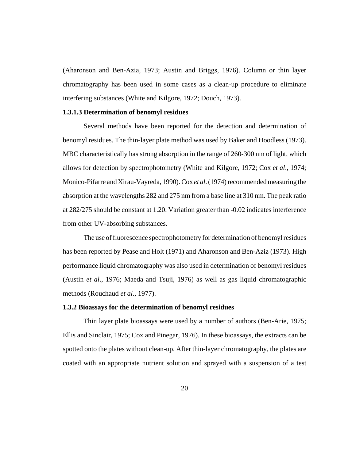(Aharonson and Ben-Azia, 1973; Austin and Briggs, 1976). Column or thin layer chromatography has been used in some cases as a clean-up procedure to eliminate interfering substances (White and Kilgore, 1972; Douch, 1973).

#### **1.3.1.3 Determination of benomyl residues**

Several methods have been reported for the detection and determination of benomyl residues. The thin-layer plate method was used by Baker and Hoodless (1973). MBC characteristically has strong absorption in the range of 260-300 nm of light, which allows for detection by spectrophotometry (White and Kilgore, 1972; Cox *et al*., 1974; Monico-Pifarre and Xirau-Vayreda, 1990). Cox *et al*. (1974) recommended measuring the absorption at the wavelengths 282 and 275 nm from a base line at 310 nm. The peak ratio at 282/275 should be constant at 1.20. Variation greater than -0.02 indicates interference from other UV-absorbing substances.

The use of fluorescence spectrophotometry for determination of benomyl residues has been reported by Pease and Holt (1971) and Aharonson and Ben-Aziz (1973). High performance liquid chromatography was also used in determination of benomyl residues (Austin *et al*., 1976; Maeda and Tsuji, 1976) as well as gas liquid chromatographic methods (Rouchaud *et al*., 1977).

#### **1.3.2 Bioassays for the determination of benomyl residues**

Thin layer plate bioassays were used by a number of authors (Ben-Arie, 1975; Ellis and Sinclair, 1975; Cox and Pinegar, 1976). In these bioassays, the extracts can be spotted onto the plates without clean-up. After thin-layer chromatography, the plates are coated with an appropriate nutrient solution and sprayed with a suspension of a test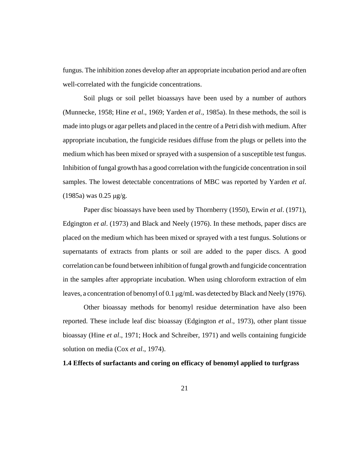fungus. The inhibition zones develop after an appropriate incubation period and are often well-correlated with the fungicide concentrations.

Soil plugs or soil pellet bioassays have been used by a number of authors (Munnecke, 1958; Hine *et al*., 1969; Yarden *et al*., 1985a). In these methods, the soil is made into plugs or agar pellets and placed in the centre of a Petri dish with medium. After appropriate incubation, the fungicide residues diffuse from the plugs or pellets into the medium which has been mixed or sprayed with a suspension of a susceptible test fungus. Inhibition of fungal growth has a good correlation with the fungicide concentration in soil samples. The lowest detectable concentrations of MBC was reported by Yarden *et al*. (1985a) was 0.25 μg/g.

Paper disc bioassays have been used by Thornberry (1950), Erwin *et al*. (1971), Edgington *et al*. (1973) and Black and Neely (1976). In these methods, paper discs are placed on the medium which has been mixed or sprayed with a test fungus. Solutions or supernatants of extracts from plants or soil are added to the paper discs. A good correlation can be found between inhibition of fungal growth and fungicide concentration in the samples after appropriate incubation. When using chloroform extraction of elm leaves, a concentration of benomyl of 0.1 μg/mL was detected by Black and Neely (1976).

Other bioassay methods for benomyl residue determination have also been reported. These include leaf disc bioassay (Edgington *et al*., 1973), other plant tissue bioassay (Hine *et al*., 1971; Hock and Schreiber, 1971) and wells containing fungicide solution on media (Cox *et al*., 1974).

#### **1.4 Effects of surfactants and coring on efficacy of benomyl applied to turfgrass**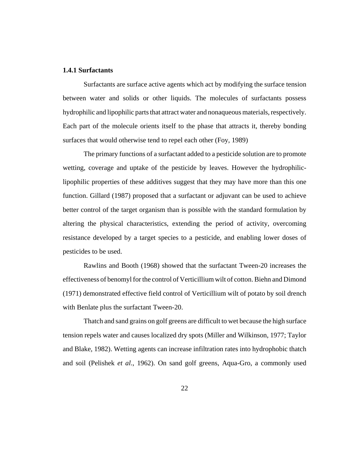#### **1.4.1 Surfactants**

Surfactants are surface active agents which act by modifying the surface tension between water and solids or other liquids. The molecules of surfactants possess hydrophilic and lipophilic parts that attract water and nonaqueous materials, respectively. Each part of the molecule orients itself to the phase that attracts it, thereby bonding surfaces that would otherwise tend to repel each other (Foy, 1989)

The primary functions of a surfactant added to a pesticide solution are to promote wetting, coverage and uptake of the pesticide by leaves. However the hydrophiliclipophilic properties of these additives suggest that they may have more than this one function. Gillard (1987) proposed that a surfactant or adjuvant can be used to achieve better control of the target organism than is possible with the standard formulation by altering the physical characteristics, extending the period of activity, overcoming resistance developed by a target species to a pesticide, and enabling lower doses of pesticides to be used.

Rawlins and Booth (1968) showed that the surfactant Tween-20 increases the effectiveness of benomyl for the control of Verticillium wilt of cotton. Biehn and Dimond (1971) demonstrated effective field control of Verticillium wilt of potato by soil drench with Benlate plus the surfactant Tween-20.

Thatch and sand grains on golf greens are difficult to wet because the high surface tension repels water and causes localized dry spots (Miller and Wilkinson, 1977; Taylor and Blake, 1982). Wetting agents can increase infiltration rates into hydrophobic thatch and soil (Pelishek *et al*., 1962). On sand golf greens, Aqua-Gro, a commonly used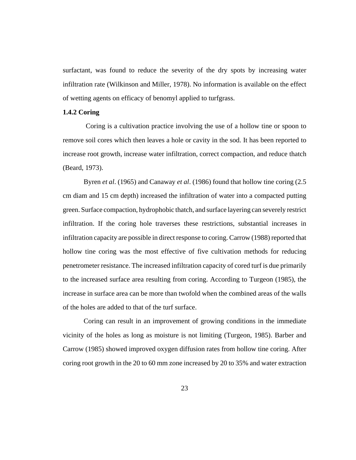surfactant, was found to reduce the severity of the dry spots by increasing water infiltration rate (Wilkinson and Miller, 1978). No information is available on the effect of wetting agents on efficacy of benomyl applied to turfgrass.

#### **1.4.2 Coring**

 Coring is a cultivation practice involving the use of a hollow tine or spoon to remove soil cores which then leaves a hole or cavity in the sod. It has been reported to increase root growth, increase water infiltration, correct compaction, and reduce thatch (Beard, 1973).

Byren *et al*. (1965) and Canaway *et al*. (1986) found that hollow tine coring (2.5 cm diam and 15 cm depth) increased the infiltration of water into a compacted putting green. Surface compaction, hydrophobic thatch, and surface layering can severely restrict infiltration. If the coring hole traverses these restrictions, substantial increases in infiltration capacity are possible in direct response to coring. Carrow (1988) reported that hollow tine coring was the most effective of five cultivation methods for reducing penetrometer resistance. The increased infiltration capacity of cored turf is due primarily to the increased surface area resulting from coring. According to Turgeon (1985), the increase in surface area can be more than twofold when the combined areas of the walls of the holes are added to that of the turf surface.

Coring can result in an improvement of growing conditions in the immediate vicinity of the holes as long as moisture is not limiting (Turgeon, 1985). Barber and Carrow (1985) showed improved oxygen diffusion rates from hollow tine coring. After coring root growth in the 20 to 60 mm zone increased by 20 to 35% and water extraction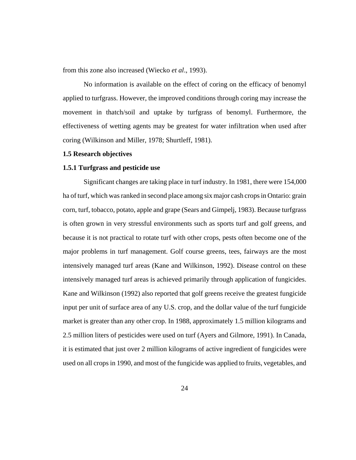from this zone also increased (Wiecko *et al*., 1993).

No information is available on the effect of coring on the efficacy of benomyl applied to turfgrass. However, the improved conditions through coring may increase the movement in thatch/soil and uptake by turfgrass of benomyl. Furthermore, the effectiveness of wetting agents may be greatest for water infiltration when used after coring (Wilkinson and Miller, 1978; Shurtleff, 1981).

### **1.5 Research objectives**

#### **1.5.1 Turfgrass and pesticide use**

Significant changes are taking place in turf industry. In 1981, there were 154,000 ha of turf, which was ranked in second place among six major cash crops in Ontario: grain corn, turf, tobacco, potato, apple and grape (Sears and Gimpelj, 1983). Because turfgrass is often grown in very stressful environments such as sports turf and golf greens, and because it is not practical to rotate turf with other crops, pests often become one of the major problems in turf management. Golf course greens, tees, fairways are the most intensively managed turf areas (Kane and Wilkinson, 1992). Disease control on these intensively managed turf areas is achieved primarily through application of fungicides. Kane and Wilkinson (1992) also reported that golf greens receive the greatest fungicide input per unit of surface area of any U.S. crop, and the dollar value of the turf fungicide market is greater than any other crop. In 1988, approximately 1.5 million kilograms and 2.5 million liters of pesticides were used on turf (Ayers and Gilmore, 1991). In Canada, it is estimated that just over 2 million kilograms of active ingredient of fungicides were used on all crops in 1990, and most of the fungicide was applied to fruits, vegetables, and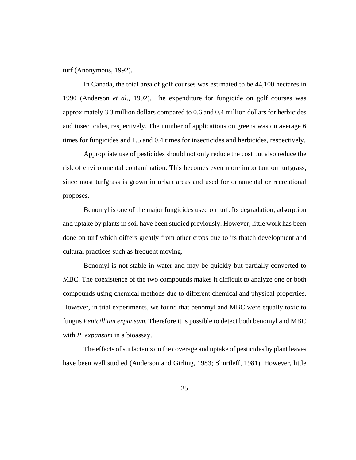turf (Anonymous, 1992).

In Canada, the total area of golf courses was estimated to be 44,100 hectares in 1990 (Anderson *et al*., 1992). The expenditure for fungicide on golf courses was approximately 3.3 million dollars compared to 0.6 and 0.4 million dollars for herbicides and insecticides, respectively. The number of applications on greens was on average 6 times for fungicides and 1.5 and 0.4 times for insecticides and herbicides, respectively.

Appropriate use of pesticides should not only reduce the cost but also reduce the risk of environmental contamination. This becomes even more important on turfgrass, since most turfgrass is grown in urban areas and used for ornamental or recreational proposes.

Benomyl is one of the major fungicides used on turf. Its degradation, adsorption and uptake by plants in soil have been studied previously. However, little work has been done on turf which differs greatly from other crops due to its thatch development and cultural practices such as frequent moving.

Benomyl is not stable in water and may be quickly but partially converted to MBC. The coexistence of the two compounds makes it difficult to analyze one or both compounds using chemical methods due to different chemical and physical properties. However, in trial experiments, we found that benomyl and MBC were equally toxic to fungus *Penicillium expansum*. Therefore it is possible to detect both benomyl and MBC with *P. expansum* in a bioassay.

The effects of surfactants on the coverage and uptake of pesticides by plant leaves have been well studied (Anderson and Girling, 1983; Shurtleff, 1981). However, little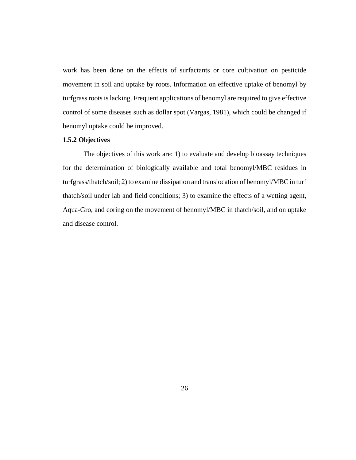work has been done on the effects of surfactants or core cultivation on pesticide movement in soil and uptake by roots. Information on effective uptake of benomyl by turfgrass roots is lacking. Frequent applications of benomyl are required to give effective control of some diseases such as dollar spot (Vargas, 1981), which could be changed if benomyl uptake could be improved.

# **1.5.2 Objectives**

The objectives of this work are: 1) to evaluate and develop bioassay techniques for the determination of biologically available and total benomyl/MBC residues in turfgrass/thatch/soil; 2) to examine dissipation and translocation of benomyl/MBC in turf thatch/soil under lab and field conditions; 3) to examine the effects of a wetting agent, Aqua-Gro, and coring on the movement of benomyl/MBC in thatch/soil, and on uptake and disease control.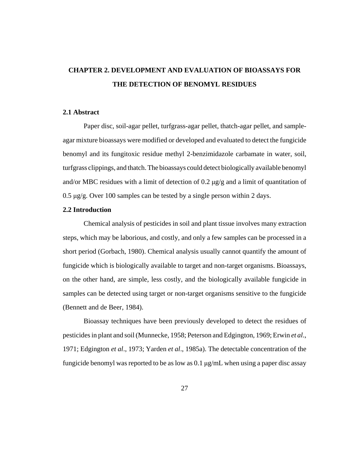# **CHAPTER 2. DEVELOPMENT AND EVALUATION OF BIOASSAYS FOR THE DETECTION OF BENOMYL RESIDUES**

## **2.1 Abstract**

Paper disc, soil-agar pellet, turfgrass-agar pellet, thatch-agar pellet, and sampleagar mixture bioassays were modified or developed and evaluated to detect the fungicide benomyl and its fungitoxic residue methyl 2-benzimidazole carbamate in water, soil, turfgrass clippings, and thatch. The bioassays could detect biologically available benomyl and/or MBC residues with a limit of detection of 0.2 μg/g and a limit of quantitation of 0.5 μg/g. Over 100 samples can be tested by a single person within 2 days.

#### **2.2 Introduction**

Chemical analysis of pesticides in soil and plant tissue involves many extraction steps, which may be laborious, and costly, and only a few samples can be processed in a short period (Gorbach, 1980). Chemical analysis usually cannot quantify the amount of fungicide which is biologically available to target and non-target organisms. Bioassays, on the other hand, are simple, less costly, and the biologically available fungicide in samples can be detected using target or non-target organisms sensitive to the fungicide (Bennett and de Beer, 1984).

Bioassay techniques have been previously developed to detect the residues of pesticides in plant and soil (Munnecke, 1958; Peterson and Edgington, 1969; Erwin *et al*., 1971; Edgington *et al*., 1973; Yarden *et al*., 1985a). The detectable concentration of the fungicide benomyl was reported to be as low as 0.1 μg/mL when using a paper disc assay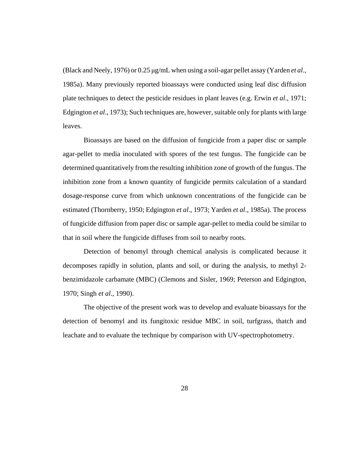(Black and Neely, 1976) or 0.25 μg/mL when using a soil-agar pellet assay (Yarden *et al*., 1985a). Many previously reported bioassays were conducted using leaf disc diffusion plate techniques to detect the pesticide residues in plant leaves (e.g. Erwin *et al*., 1971; Edgington *et al*., 1973); Such techniques are, however, suitable only for plants with large leaves.

Bioassays are based on the diffusion of fungicide from a paper disc or sample agar-pellet to media inoculated with spores of the test fungus. The fungicide can be determined quantitatively from the resulting inhibition zone of growth of the fungus. The inhibition zone from a known quantity of fungicide permits calculation of a standard dosage-response curve from which unknown concentrations of the fungicide can be estimated (Thornberry, 1950; Edgington *et al*., 1973; Yarden *et al*., 1985a). The process of fungicide diffusion from paper disc or sample agar-pellet to media could be similar to that in soil where the fungicide diffuses from soil to nearby roots.

Detection of benomyl through chemical analysis is complicated because it decomposes rapidly in solution, plants and soil, or during the analysis, to methyl 2 benzimidazole carbamate (MBC) (Clemons and Sisler, 1969; Peterson and Edgington, 1970; Singh *et al*., 1990).

The objective of the present work was to develop and evaluate bioassays for the detection of benomyl and its fungitoxic residue MBC in soil, turfgrass, thatch and leachate and to evaluate the technique by comparison with UV-spectrophotometry.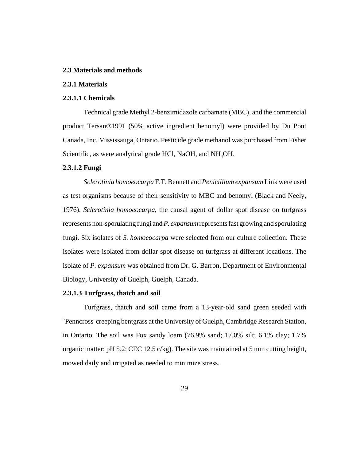#### **2.3 Materials and methods**

## **2.3.1 Materials**

#### **2.3.1.1 Chemicals**

Technical grade Methyl 2-benzimidazole carbamate (MBC), and the commercial product Tersan®1991 (50% active ingredient benomyl) were provided by Du Pont Canada, Inc. Mississauga, Ontario. Pesticide grade methanol was purchased from Fisher Scientific, as were analytical grade HCl, NaOH, and NH<sub>4</sub>OH.

## **2.3.1.2 Fungi**

*Sclerotinia homoeocarpa* F.T. Bennett and *Penicillium expansum* Link were used as test organisms because of their sensitivity to MBC and benomyl (Black and Neely, 1976). *Sclerotinia homoeocarpa*, the causal agent of dollar spot disease on turfgrass represents non-sporulating fungi and *P. expansum* represents fast growing and sporulating fungi. Six isolates of *S. homoeocarpa* were selected from our culture collection. These isolates were isolated from dollar spot disease on turfgrass at different locations. The isolate of *P. expansum* was obtained from Dr. G. Barron, Department of Environmental Biology, University of Guelph, Guelph, Canada.

# **2.3.1.3 Turfgrass, thatch and soil**

Turfgrass, thatch and soil came from a 13-year-old sand green seeded with `Penncross' creeping bentgrass at the University of Guelph, Cambridge Research Station, in Ontario. The soil was Fox sandy loam (76.9% sand; 17.0% silt; 6.1% clay; 1.7% organic matter; pH 5.2; CEC 12.5 c/kg). The site was maintained at 5 mm cutting height, mowed daily and irrigated as needed to minimize stress.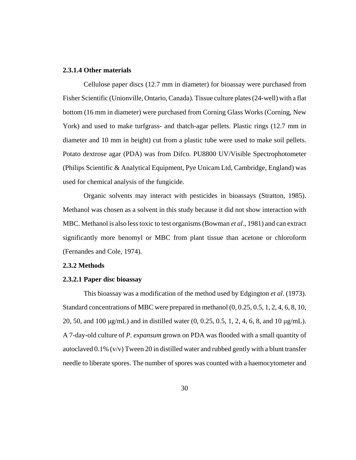## **2.3.1.4 Other materials**

Cellulose paper discs (12.7 mm in diameter) for bioassay were purchased from Fisher Scientific (Unionville, Ontario, Canada). Tissue culture plates (24-well) with a flat bottom (16 mm in diameter) were purchased from Corning Glass Works (Corning, New York) and used to make turfgrass- and thatch-agar pellets. Plastic rings (12.7 mm in diameter and 10 mm in height) cut from a plastic tube were used to make soil pellets. Potato dextrose agar (PDA) was from Difco. PU8800 UV/Visible Spectrophotometer (Philips Scientific & Analytical Equipment, Pye Unicam Ltd, Cambridge, England) was used for chemical analysis of the fungicide.

Organic solvents may interact with pesticides in bioassays (Stratton, 1985). Methanol was chosen as a solvent in this study because it did not show interaction with MBC. Methanol is also less toxic to test organisms (Bowman *et al*., 1981) and can extract significantly more benomyl or MBC from plant tissue than acetone or chloroform (Fernandes and Cole, 1974).

#### **2.3.2 Methods**

#### **2.3.2.1 Paper disc bioassay**

This bioassay was a modification of the method used by Edgington *et al*. (1973). Standard concentrations of MBC were prepared in methanol (0, 0.25, 0.5, 1, 2, 4, 6, 8, 10, 20, 50, and 100 μg/mL) and in distilled water (0, 0.25, 0.5, 1, 2, 4, 6, 8, and 10 μg/mL). A 7-day-old culture of *P. expansum* grown on PDA was flooded with a small quantity of autoclaved  $0.1\%$  (v/v) Tween 20 in distilled water and rubbed gently with a blunt transfer needle to liberate spores. The number of spores was counted with a haemocytometer and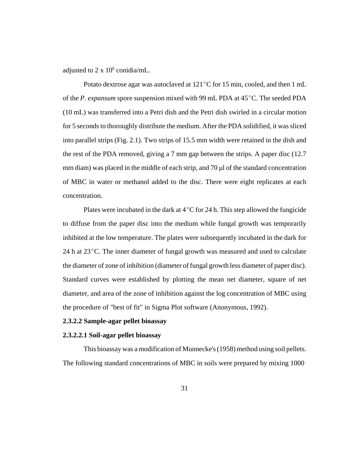adjusted to  $2 \times 10^6$  conidia/mL.

Potato dextrose agar was autoclaved at  $121^{\circ}$ C for 15 min, cooled, and then 1 mL of the *P. expansum* spore suspension mixed with 99 mL PDA at 45<sup>o</sup>C. The seeded PDA (10 mL) was transferred into a Petri dish and the Petri dish swirled in a circular motion for 5 seconds to thoroughly distribute the medium. After the PDA solidified, it was sliced into parallel strips (Fig. 2.1). Two strips of 15.5 mm width were retained in the dish and the rest of the PDA removed, giving a 7 mm gap between the strips. A paper disc (12.7 mm diam) was placed in the middle of each strip, and 70 μl of the standard concentration of MBC in water or methanol added to the disc. There were eight replicates at each concentration.

Plates were incubated in the dark at  $4^{\circ}$ C for 24 h. This step allowed the fungicide to diffuse from the paper disc into the medium while fungal growth was temporarily inhibited at the low temperature. The plates were subsequently incubated in the dark for 24 h at  $23^{\circ}$ C. The inner diameter of fungal growth was measured and used to calculate the diameter of zone of inhibition (diameter of fungal growth less diameter of paper disc). Standard curves were established by plotting the mean net diameter, square of net diameter, and area of the zone of inhibition against the log concentration of MBC using the procedure of "best of fit" in Sigma Plot software (Anonymous, 1992).

## **2.3.2.2 Sample-agar pellet bioassay**

# **2.3.2.2.1 Soil-agar pellet bioassay**

This bioassay was a modification of Munnecke's (1958) method using soil pellets. The following standard concentrations of MBC in soils were prepared by mixing 1000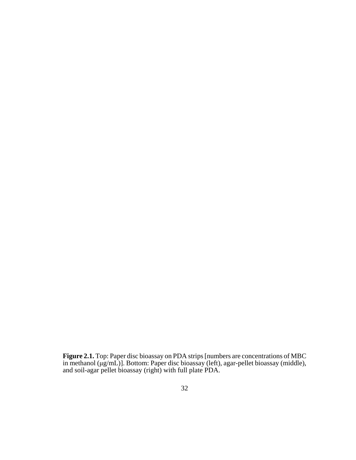**Figure 2.1.** Top: Paper disc bioassay on PDA strips [numbers are concentrations of MBC in methanol (μg/mL)]. Bottom: Paper disc bioassay (left), agar-pellet bioassay (middle), and soil-agar pellet bioassay (right) with full plate PDA.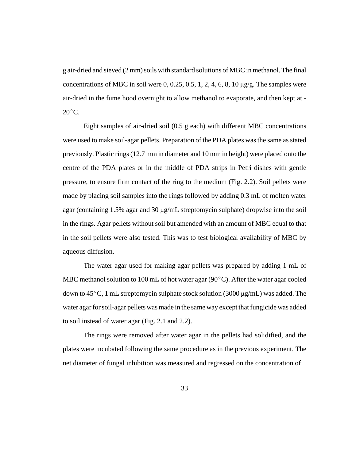g air-dried and sieved (2 mm) soils with standard solutions of MBC in methanol. The final concentrations of MBC in soil were  $0, 0.25, 0.5, 1, 2, 4, 6, 8, 10 \mu g/g$ . The samples were air-dried in the fume hood overnight to allow methanol to evaporate, and then kept at -  $20^{\circ}$ C.

Eight samples of air-dried soil (0.5 g each) with different MBC concentrations were used to make soil-agar pellets. Preparation of the PDA plates was the same as stated previously. Plastic rings (12.7 mm in diameter and 10 mm in height) were placed onto the centre of the PDA plates or in the middle of PDA strips in Petri dishes with gentle pressure, to ensure firm contact of the ring to the medium (Fig. 2.2). Soil pellets were made by placing soil samples into the rings followed by adding 0.3 mL of molten water agar (containing 1.5% agar and 30 μg/mL streptomycin sulphate) dropwise into the soil in the rings. Agar pellets without soil but amended with an amount of MBC equal to that in the soil pellets were also tested. This was to test biological availability of MBC by aqueous diffusion.

The water agar used for making agar pellets was prepared by adding 1 mL of MBC methanol solution to 100 mL of hot water agar  $(90^{\circ}C)$ . After the water agar cooled down to  $45^{\circ}$ C, 1 mL streptomycin sulphate stock solution (3000 μg/mL) was added. The water agar for soil-agar pellets was made in the same way except that fungicide was added to soil instead of water agar (Fig. 2.1 and 2.2).

The rings were removed after water agar in the pellets had solidified, and the plates were incubated following the same procedure as in the previous experiment. The net diameter of fungal inhibition was measured and regressed on the concentration of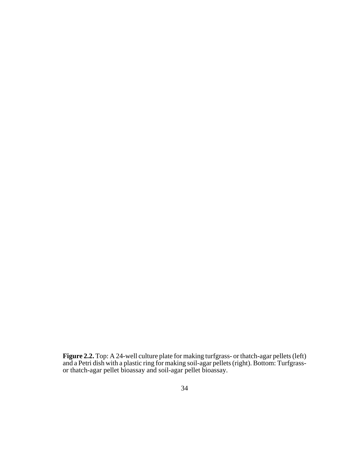**Figure 2.2.** Top: A 24-well culture plate for making turfgrass- or thatch-agar pellets (left) and a Petri dish with a plastic ring for making soil-agar pellets (right). Bottom: Turfgrassor thatch-agar pellet bioassay and soil-agar pellet bioassay.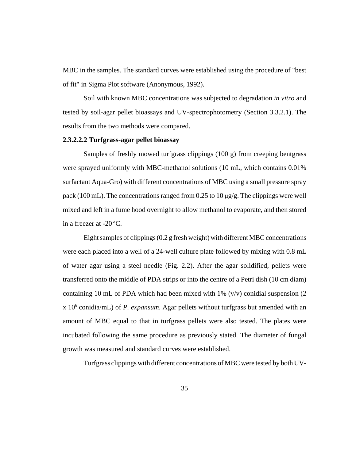MBC in the samples. The standard curves were established using the procedure of "best of fit" in Sigma Plot software (Anonymous, 1992).

Soil with known MBC concentrations was subjected to degradation *in vitro* and tested by soil-agar pellet bioassays and UV-spectrophotometry (Section 3.3.2.1). The results from the two methods were compared.

# **2.3.2.2.2 Turfgrass-agar pellet bioassay**

Samples of freshly mowed turfgrass clippings (100 g) from creeping bentgrass were sprayed uniformly with MBC-methanol solutions (10 mL, which contains 0.01% surfactant Aqua-Gro) with different concentrations of MBC using a small pressure spray pack (100 mL). The concentrations ranged from 0.25 to 10  $\mu$ g/g. The clippings were well mixed and left in a fume hood overnight to allow methanol to evaporate, and then stored in a freezer at  $-20^{\circ}$ C.

Eight samples of clippings (0.2 g fresh weight) with different MBC concentrations were each placed into a well of a 24-well culture plate followed by mixing with 0.8 mL of water agar using a steel needle (Fig. 2.2). After the agar solidified, pellets were transferred onto the middle of PDA strips or into the centre of a Petri dish (10 cm diam) containing 10 mL of PDA which had been mixed with 1%  $(v/v)$  conidial suspension (2) x 106 conidia/mL) of *P. expansum*. Agar pellets without turfgrass but amended with an amount of MBC equal to that in turfgrass pellets were also tested. The plates were incubated following the same procedure as previously stated. The diameter of fungal growth was measured and standard curves were established.

Turfgrass clippings with different concentrations of MBC were tested by both UV-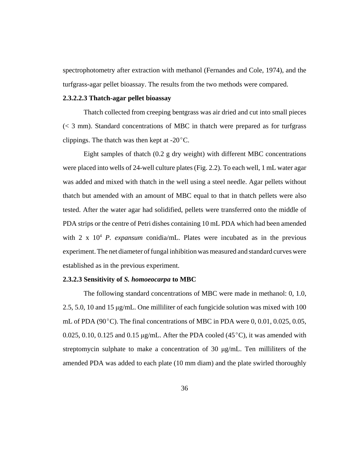spectrophotometry after extraction with methanol (Fernandes and Cole, 1974), and the turfgrass-agar pellet bioassay. The results from the two methods were compared.

## **2.3.2.2.3 Thatch-agar pellet bioassay**

Thatch collected from creeping bentgrass was air dried and cut into small pieces (< 3 mm). Standard concentrations of MBC in thatch were prepared as for turfgrass clippings. The thatch was then kept at  $-20^{\circ}$ C.

Eight samples of thatch (0.2 g dry weight) with different MBC concentrations were placed into wells of 24-well culture plates (Fig. 2.2). To each well, 1 mL water agar was added and mixed with thatch in the well using a steel needle. Agar pellets without thatch but amended with an amount of MBC equal to that in thatch pellets were also tested. After the water agar had solidified, pellets were transferred onto the middle of PDA strips or the centre of Petri dishes containing 10 mL PDA which had been amended with  $2 \times 10^4$  *P. expansum* conidia/mL. Plates were incubated as in the previous experiment. The net diameter of fungal inhibition was measured and standard curves were established as in the previous experiment.

# **2.3.2.3 Sensitivity of** *S. homoeocarpa* **to MBC**

The following standard concentrations of MBC were made in methanol: 0, 1.0, 2.5, 5.0, 10 and 15 μg/mL. One milliliter of each fungicide solution was mixed with 100 mL of PDA (90 $^{\circ}$ C). The final concentrations of MBC in PDA were 0, 0.01, 0.025, 0.05, 0.025, 0.10, 0.125 and 0.15  $\mu$ g/mL. After the PDA cooled (45<sup>°</sup>C), it was amended with streptomycin sulphate to make a concentration of 30  $\mu$ g/mL. Ten milliliters of the amended PDA was added to each plate (10 mm diam) and the plate swirled thoroughly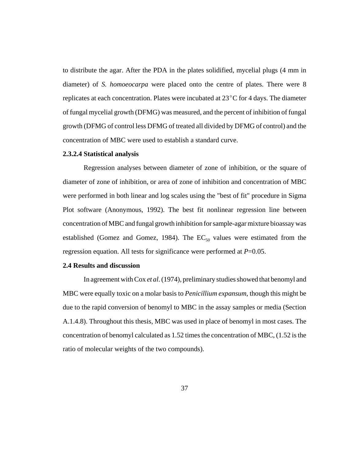to distribute the agar. After the PDA in the plates solidified, mycelial plugs (4 mm in diameter) of *S. homoeocarpa* were placed onto the centre of plates. There were 8 replicates at each concentration. Plates were incubated at  $23^{\circ}$ C for 4 days. The diameter of fungal mycelial growth (DFMG) was measured, and the percent of inhibition of fungal growth (DFMG of control less DFMG of treated all divided by DFMG of control) and the concentration of MBC were used to establish a standard curve.

## **2.3.2.4 Statistical analysis**

Regression analyses between diameter of zone of inhibition, or the square of diameter of zone of inhibition, or area of zone of inhibition and concentration of MBC were performed in both linear and log scales using the "best of fit" procedure in Sigma Plot software (Anonymous, 1992). The best fit nonlinear regression line between concentration of MBC and fungal growth inhibition for sample-agar mixture bioassay was established (Gomez and Gomez, 1984). The  $EC_{50}$  values were estimated from the regression equation. All tests for significance were performed at *P*=0.05.

#### **2.4 Results and discussion**

In agreement with Cox *et al*. (1974), preliminary studies showed that benomyl and MBC were equally toxic on a molar basis to *Penicillium expansum*, though this might be due to the rapid conversion of benomyl to MBC in the assay samples or media (Section A.1.4.8). Throughout this thesis, MBC was used in place of benomyl in most cases. The concentration of benomyl calculated as 1.52 times the concentration of MBC, (1.52 is the ratio of molecular weights of the two compounds).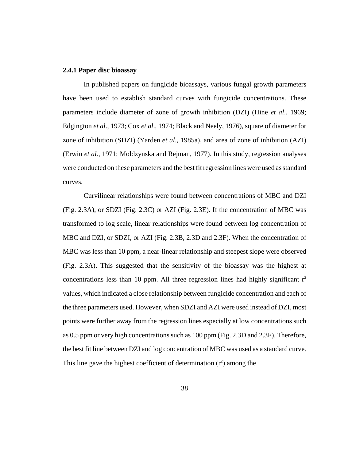## **2.4.1 Paper disc bioassay**

In published papers on fungicide bioassays, various fungal growth parameters have been used to establish standard curves with fungicide concentrations. These parameters include diameter of zone of growth inhibition (DZI) (Hine *et al*., 1969; Edgington *et al*., 1973; Cox *et al*., 1974; Black and Neely, 1976), square of diameter for zone of inhibition (SDZI) (Yarden *et al*., 1985a), and area of zone of inhibition (AZI) (Erwin *et al*., 1971; Moldzynska and Rejman, 1977). In this study, regression analyses were conducted on these parameters and the best fit regression lines were used as standard curves.

Curvilinear relationships were found between concentrations of MBC and DZI (Fig. 2.3A), or SDZI (Fig. 2.3C) or AZI (Fig. 2.3E). If the concentration of MBC was transformed to log scale, linear relationships were found between log concentration of MBC and DZI, or SDZI, or AZI (Fig. 2.3B, 2.3D and 2.3F). When the concentration of MBC was less than 10 ppm, a near-linear relationship and steepest slope were observed (Fig. 2.3A). This suggested that the sensitivity of the bioassay was the highest at concentrations less than 10 ppm. All three regression lines had highly significant  $r^2$ values, which indicated a close relationship between fungicide concentration and each of the three parameters used. However, when SDZI and AZI were used instead of DZI, most points were further away from the regression lines especially at low concentrations such as 0.5 ppm or very high concentrations such as 100 ppm (Fig. 2.3D and 2.3F). Therefore, the best fit line between DZI and log concentration of MBC was used as a standard curve. This line gave the highest coefficient of determination  $(r^2)$  among the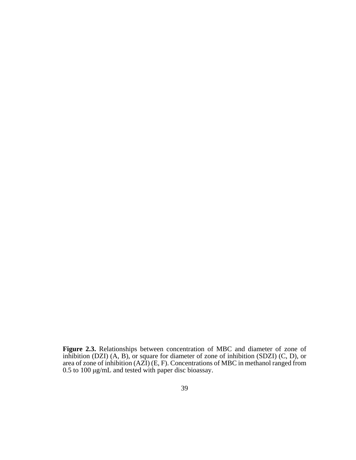**Figure 2.3.** Relationships between concentration of MBC and diameter of zone of inhibition (DZI) (A, B), or square for diameter of zone of inhibition (SDZI) (C, D), or area of zone of inhibition (AZI) (E, F). Concentrations of MBC in methanol ranged from 0.5 to 100 μg/mL and tested with paper disc bioassay.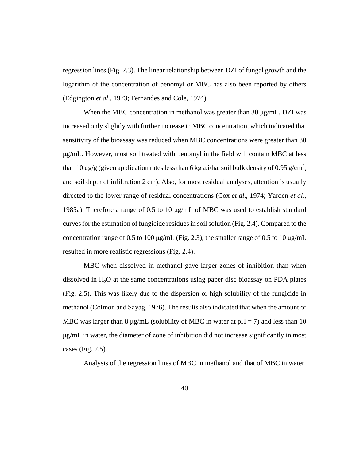regression lines (Fig. 2.3). The linear relationship between DZI of fungal growth and the logarithm of the concentration of benomyl or MBC has also been reported by others (Edgington *et al*., 1973; Fernandes and Cole, 1974).

 When the MBC concentration in methanol was greater than 30 μg/mL, DZI was increased only slightly with further increase in MBC concentration, which indicated that sensitivity of the bioassay was reduced when MBC concentrations were greater than 30 μg/mL. However, most soil treated with benomyl in the field will contain MBC at less than 10  $\mu$ g/g (given application rates less than 6 kg a.i/ha, soil bulk density of 0.95 g/cm<sup>3</sup>, and soil depth of infiltration 2 cm). Also, for most residual analyses, attention is usually directed to the lower range of residual concentrations (Cox *et al*., 1974; Yarden *et al*., 1985a). Therefore a range of 0.5 to 10 μg/mL of MBC was used to establish standard curves for the estimation of fungicide residues in soil solution (Fig. 2.4). Compared to the concentration range of 0.5 to 100 μg/mL (Fig. 2.3), the smaller range of 0.5 to 10 μg/mL resulted in more realistic regressions (Fig. 2.4).

MBC when dissolved in methanol gave larger zones of inhibition than when dissolved in  $H<sub>2</sub>O$  at the same concentrations using paper disc bioassay on PDA plates (Fig. 2.5). This was likely due to the dispersion or high solubility of the fungicide in methanol (Colmon and Sayag, 1976). The results also indicated that when the amount of MBC was larger than 8  $\mu$ g/mL (solubility of MBC in water at pH = 7) and less than 10 μg/mL in water, the diameter of zone of inhibition did not increase significantly in most cases (Fig. 2.5).

Analysis of the regression lines of MBC in methanol and that of MBC in water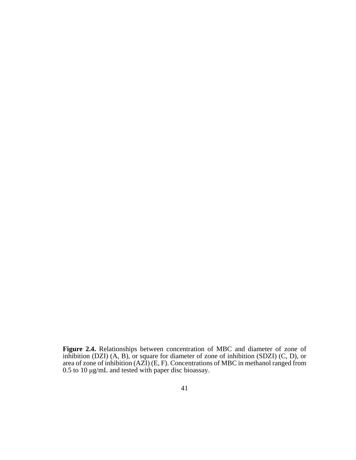**Figure 2.4.** Relationships between concentration of MBC and diameter of zone of inhibition (DZI) (A, B), or square for diameter of zone of inhibition (SDZI) (C, D), or area of zone of inhibition (AZI) (E, F). Concentrations of MBC in methanol ranged from 0.5 to 10 μg/mL and tested with paper disc bioassay.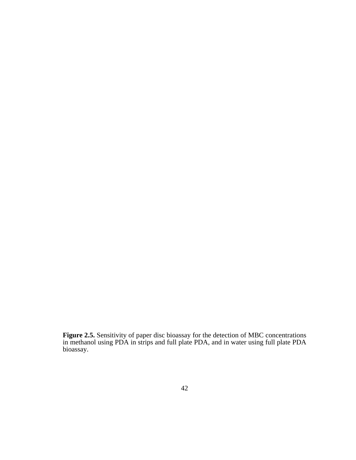**Figure 2.5.** Sensitivity of paper disc bioassay for the detection of MBC concentrations in methanol using PDA in strips and full plate PDA, and in water using full plate PDA bioassay.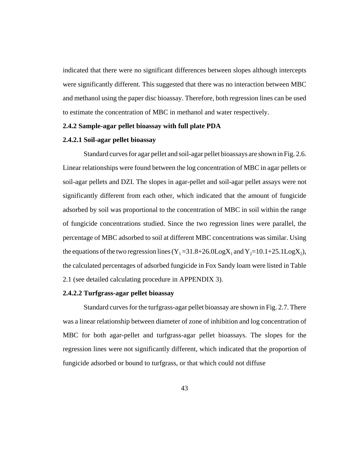indicated that there were no significant differences between slopes although intercepts were significantly different. This suggested that there was no interaction between MBC and methanol using the paper disc bioassay. Therefore, both regression lines can be used to estimate the concentration of MBC in methanol and water respectively.

# **2.4.2 Sample-agar pellet bioassay with full plate PDA**

# **2.4.2.1 Soil-agar pellet bioassay**

Standard curves for agar pellet and soil-agar pellet bioassays are shown in Fig. 2.6. Linear relationships were found between the log concentration of MBC in agar pellets or soil-agar pellets and DZI. The slopes in agar-pellet and soil-agar pellet assays were not significantly different from each other, which indicated that the amount of fungicide adsorbed by soil was proportional to the concentration of MBC in soil within the range of fungicide concentrations studied. Since the two regression lines were parallel, the percentage of MBC adsorbed to soil at different MBC concentrations was similar. Using the equations of the two regression lines  $(Y_1 = 31.8 + 26.0 \text{Log} X_1$  and  $Y_2 = 10.1 + 25.1 \text{Log} X_2$ ), the calculated percentages of adsorbed fungicide in Fox Sandy loam were listed in Table 2.1 (see detailed calculating procedure in APPENDIX 3).

# **2.4.2.2 Turfgrass-agar pellet bioassay**

Standard curves for the turfgrass-agar pellet bioassay are shown in Fig. 2.7. There was a linear relationship between diameter of zone of inhibition and log concentration of MBC for both agar-pellet and turfgrass-agar pellet bioassays. The slopes for the regression lines were not significantly different, which indicated that the proportion of fungicide adsorbed or bound to turfgrass, or that which could not diffuse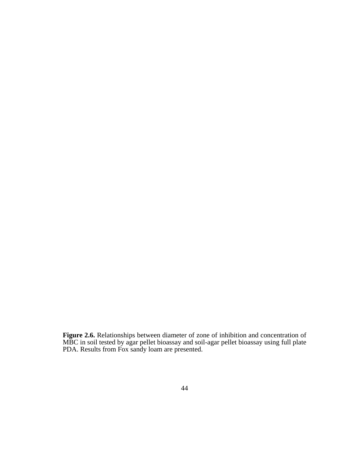**Figure 2.6.** Relationships between diameter of zone of inhibition and concentration of MBC in soil tested by agar pellet bioassay and soil-agar pellet bioassay using full plate PDA. Results from Fox sandy loam are presented.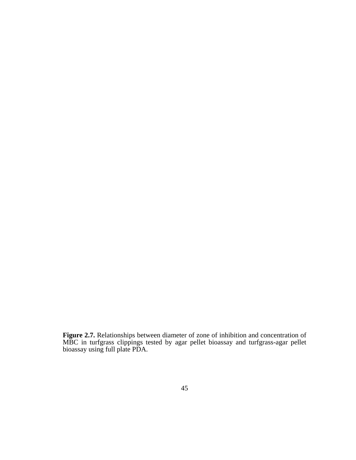**Figure 2.7.** Relationships between diameter of zone of inhibition and concentration of MBC in turfgrass clippings tested by agar pellet bioassay and turfgrass-agar pellet bioassay using full plate PDA.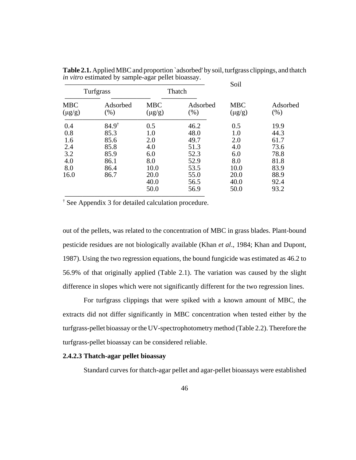|                                                       |                                                                          |                                                                | Soil                                                                 |                                                                |                                                                      |
|-------------------------------------------------------|--------------------------------------------------------------------------|----------------------------------------------------------------|----------------------------------------------------------------------|----------------------------------------------------------------|----------------------------------------------------------------------|
| Turfgrass                                             |                                                                          | Thatch                                                         |                                                                      |                                                                |                                                                      |
| <b>MBC</b><br>$(\mu g/g)$                             | Adsorbed<br>(% )                                                         | <b>MBC</b><br>$(\mu g/g)$                                      | Adsorbed<br>$(\% )$                                                  | <b>MBC</b><br>$(\mu g/g)$                                      | Adsorbed<br>(% )                                                     |
| 0.4<br>0.8<br>1.6<br>2.4<br>3.2<br>4.0<br>8.0<br>16.0 | $84.9^{\dagger}$<br>85.3<br>85.6<br>85.8<br>85.9<br>86.1<br>86.4<br>86.7 | 0.5<br>1.0<br>2.0<br>4.0<br>6.0<br>8.0<br>10.0<br>20.0<br>40.0 | 46.2<br>48.0<br>49.7<br>51.3<br>52.3<br>52.9<br>53.5<br>55.0<br>56.5 | 0.5<br>1.0<br>2.0<br>4.0<br>6.0<br>8.0<br>10.0<br>20.0<br>40.0 | 19.9<br>44.3<br>61.7<br>73.6<br>78.8<br>81.8<br>83.9<br>88.9<br>92.4 |
|                                                       |                                                                          | 50.0                                                           | 56.9                                                                 | 50.0                                                           |                                                                      |

**Table 2.1.** Applied MBC and proportion `adsorbed' by soil, turfgrass clippings, and thatch *in vitro* estimated by sample-agar pellet bioassay.

† See Appendix 3 for detailed calculation procedure.

out of the pellets, was related to the concentration of MBC in grass blades. Plant-bound pesticide residues are not biologically available (Khan *et al*., 1984; Khan and Dupont, 1987). Using the two regression equations, the bound fungicide was estimated as 46.2 to 56.9% of that originally applied (Table 2.1). The variation was caused by the slight difference in slopes which were not significantly different for the two regression lines.

For turfgrass clippings that were spiked with a known amount of MBC, the extracts did not differ significantly in MBC concentration when tested either by the turfgrass-pellet bioassay or the UV-spectrophotometry method (Table 2.2). Therefore the turfgrass-pellet bioassay can be considered reliable.

# **2.4.2.3 Thatch-agar pellet bioassay**

Standard curves for thatch-agar pellet and agar-pellet bioassays were established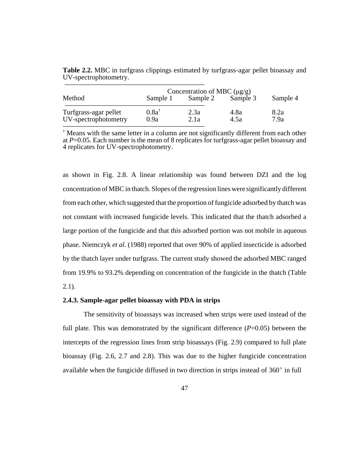|                       | Concentration of MBC $(\mu g/g)$ |          |          |          |  |  |
|-----------------------|----------------------------------|----------|----------|----------|--|--|
| Method                | Sample 1                         | Sample 2 | Sample 3 | Sample 4 |  |  |
| Turfgrass-agar pellet | $0.8a^{\dagger}$                 | 2.3a     | 4.8a     | 8.2a     |  |  |
| UV-spectrophotometry  | 0.9a                             | 2.1a     | 4.5a     | 7.9a     |  |  |

**Table 2.2.** MBC in turfgrass clippings estimated by turfgrass-agar pellet bioassay and UV-spectrophotometry.

† Means with the same letter in a column are not significantly different from each other at *P*=0.05. Each number is the mean of 8 replicates for turfgrass-agar pellet bioassay and 4 replicates for UV-spectrophotometry.

as shown in Fig. 2.8. A linear relationship was found between DZI and the log concentration of MBC in thatch. Slopes of the regression lines were significantly different from each other, which suggested that the proportion of fungicide adsorbed by thatch was not constant with increased fungicide levels. This indicated that the thatch adsorbed a large portion of the fungicide and that this adsorbed portion was not mobile in aqueous phase. Niemczyk *et al*. (1988) reported that over 90% of applied insecticide is adsorbed by the thatch layer under turfgrass. The current study showed the adsorbed MBC ranged from 19.9% to 93.2% depending on concentration of the fungicide in the thatch (Table  $2.1$ ).

# **2.4.3. Sample-agar pellet bioassay with PDA in strips**

The sensitivity of bioassays was increased when strips were used instead of the full plate. This was demonstrated by the significant difference  $(P=0.05)$  between the intercepts of the regression lines from strip bioassays (Fig. 2.9) compared to full plate bioassay (Fig. 2.6, 2.7 and 2.8). This was due to the higher fungicide concentration available when the fungicide diffused in two direction in strips instead of  $360^{\circ}$  in full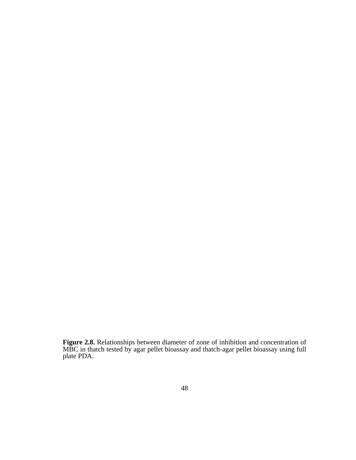**Figure 2.8.** Relationships between diameter of zone of inhibition and concentration of MBC in thatch tested by agar pellet bioassay and thatch-agar pellet bioassay using full plate PDA.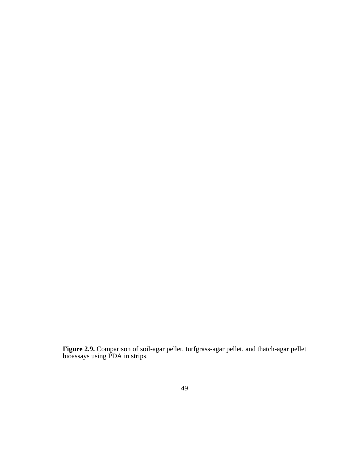**Figure 2.9.** Comparison of soil-agar pellet, turfgrass-agar pellet, and thatch-agar pellet bioassays using PDA in strips.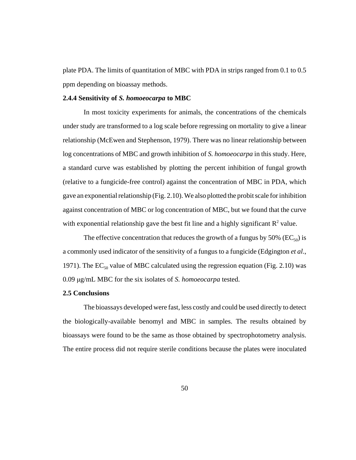plate PDA. The limits of quantitation of MBC with PDA in strips ranged from 0.1 to 0.5 ppm depending on bioassay methods.

#### **2.4.4 Sensitivity of** *S. homoeocarpa* **to MBC**

In most toxicity experiments for animals, the concentrations of the chemicals under study are transformed to a log scale before regressing on mortality to give a linear relationship (McEwen and Stephenson, 1979). There was no linear relationship between log concentrations of MBC and growth inhibition of *S. homoeocarpa* in this study. Here, a standard curve was established by plotting the percent inhibition of fungal growth (relative to a fungicide-free control) against the concentration of MBC in PDA, which gave an exponential relationship (Fig. 2.10). We also plotted the probit scale for inhibition against concentration of MBC or log concentration of MBC, but we found that the curve with exponential relationship gave the best fit line and a highly significant  $\mathbb{R}^2$  value.

The effective concentration that reduces the growth of a fungus by 50% ( $EC_{50}$ ) is a commonly used indicator of the sensitivity of a fungus to a fungicide (Edgington *et al*., 1971). The  $EC_{50}$  value of MBC calculated using the regression equation (Fig. 2.10) was 0.09 μg/mL MBC for the six isolates of *S. homoeocarpa* tested.

# **2.5 Conclusions**

The bioassays developed were fast, less costly and could be used directly to detect the biologically-available benomyl and MBC in samples. The results obtained by bioassays were found to be the same as those obtained by spectrophotometry analysis. The entire process did not require sterile conditions because the plates were inoculated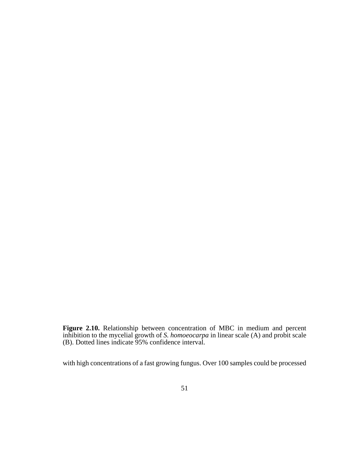**Figure 2.10.** Relationship between concentration of MBC in medium and percent inhibition to the mycelial growth of *S. homoeocarpa* in linear scale (A) and probit scale (B). Dotted lines indicate 95% confidence interval.

with high concentrations of a fast growing fungus. Over 100 samples could be processed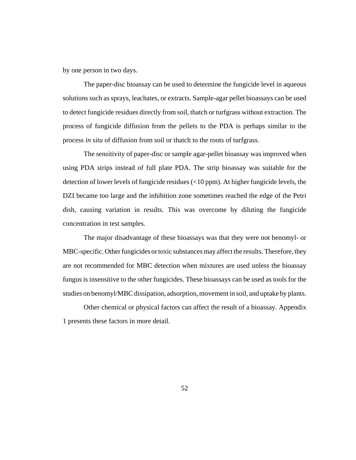by one person in two days.

The paper-disc bioassay can be used to determine the fungicide level in aqueous solutions such as sprays, leachates, or extracts. Sample-agar pellet bioassays can be used to detect fungicide residues directly from soil, thatch or turfgrass without extraction. The process of fungicide diffusion from the pellets to the PDA is perhaps similar to the process *in situ* of diffusion from soil or thatch to the roots of turfgrass.

The sensitivity of paper-disc or sample agar-pellet bioassay was improved when using PDA strips instead of full plate PDA. The strip bioassay was suitable for the detection of lower levels of fungicide residues (<10 ppm). At higher fungicide levels, the DZI became too large and the inhibition zone sometimes reached the edge of the Petri dish, causing variation in results. This was overcome by diluting the fungicide concentration in test samples.

The major disadvantage of these bioassays was that they were not benomyl- or MBC-specific. Other fungicides or toxic substances may affect the results. Therefore, they are not recommended for MBC detection when mixtures are used unless the bioassay fungus is insensitive to the other fungicides. These bioassays can be used as tools for the studies on benomyl/MBC dissipation, adsorption, movement in soil, and uptake by plants.

Other chemical or physical factors can affect the result of a bioassay. Appendix 1 presents these factors in more detail.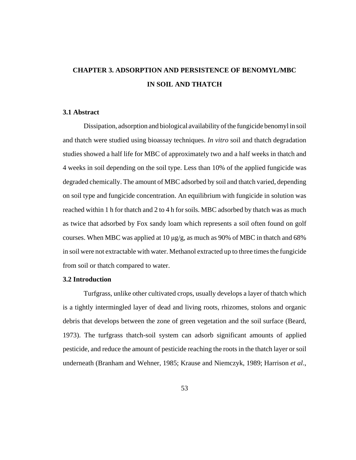# **CHAPTER 3. ADSORPTION AND PERSISTENCE OF BENOMYL/MBC IN SOIL AND THATCH**

# **3.1 Abstract**

Dissipation, adsorption and biological availability of the fungicide benomyl in soil and thatch were studied using bioassay techniques. *In vitro* soil and thatch degradation studies showed a half life for MBC of approximately two and a half weeks in thatch and 4 weeks in soil depending on the soil type. Less than 10% of the applied fungicide was degraded chemically. The amount of MBC adsorbed by soil and thatch varied, depending on soil type and fungicide concentration. An equilibrium with fungicide in solution was reached within 1 h for thatch and 2 to 4 h for soils. MBC adsorbed by thatch was as much as twice that adsorbed by Fox sandy loam which represents a soil often found on golf courses. When MBC was applied at 10 μg/g, as much as 90% of MBC in thatch and 68% in soil were not extractable with water. Methanol extracted up to three times the fungicide from soil or thatch compared to water.

# **3.2 Introduction**

Turfgrass, unlike other cultivated crops, usually develops a layer of thatch which is a tightly intermingled layer of dead and living roots, rhizomes, stolons and organic debris that develops between the zone of green vegetation and the soil surface (Beard, 1973). The turfgrass thatch-soil system can adsorb significant amounts of applied pesticide, and reduce the amount of pesticide reaching the roots in the thatch layer or soil underneath (Branham and Wehner, 1985; Krause and Niemczyk, 1989; Harrison *et al*.,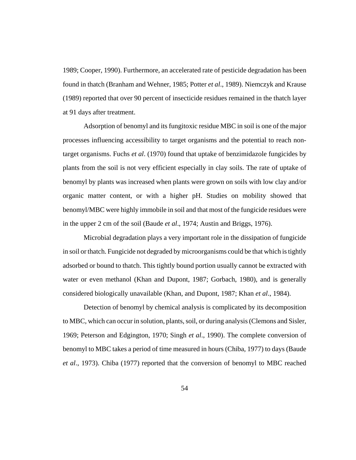1989; Cooper, 1990). Furthermore, an accelerated rate of pesticide degradation has been found in thatch (Branham and Wehner, 1985; Potter *et al*., 1989). Niemczyk and Krause (1989) reported that over 90 percent of insecticide residues remained in the thatch layer at 91 days after treatment.

Adsorption of benomyl and its fungitoxic residue MBC in soil is one of the major processes influencing accessibility to target organisms and the potential to reach nontarget organisms. Fuchs *et al*. (1970) found that uptake of benzimidazole fungicides by plants from the soil is not very efficient especially in clay soils. The rate of uptake of benomyl by plants was increased when plants were grown on soils with low clay and/or organic matter content, or with a higher pH. Studies on mobility showed that benomyl/MBC were highly immobile in soil and that most of the fungicide residues were in the upper 2 cm of the soil (Baude *et al*., 1974; Austin and Briggs, 1976).

Microbial degradation plays a very important role in the dissipation of fungicide in soil or thatch. Fungicide not degraded by microorganisms could be that which is tightly adsorbed or bound to thatch. This tightly bound portion usually cannot be extracted with water or even methanol (Khan and Dupont, 1987; Gorbach, 1980), and is generally considered biologically unavailable (Khan, and Dupont, 1987; Khan *et al*., 1984).

Detection of benomyl by chemical analysis is complicated by its decomposition to MBC, which can occur in solution, plants, soil, or during analysis (Clemons and Sisler, 1969; Peterson and Edgington, 1970; Singh *et al*., 1990). The complete conversion of benomyl to MBC takes a period of time measured in hours (Chiba, 1977) to days (Baude *et al*., 1973). Chiba (1977) reported that the conversion of benomyl to MBC reached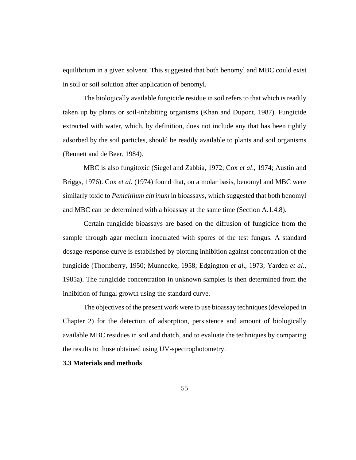equilibrium in a given solvent. This suggested that both benomyl and MBC could exist in soil or soil solution after application of benomyl.

The biologically available fungicide residue in soil refers to that which is readily taken up by plants or soil-inhabiting organisms (Khan and Dupont, 1987). Fungicide extracted with water, which, by definition, does not include any that has been tightly adsorbed by the soil particles, should be readily available to plants and soil organisms (Bennett and de Beer, 1984).

MBC is also fungitoxic (Siegel and Zabbia, 1972; Cox *et al*., 1974; Austin and Briggs, 1976). Cox *et al*. (1974) found that, on a molar basis, benomyl and MBC were similarly toxic to *Penicillium citrinum* in bioassays, which suggested that both benomyl and MBC can be determined with a bioassay at the same time (Section A.1.4.8).

Certain fungicide bioassays are based on the diffusion of fungicide from the sample through agar medium inoculated with spores of the test fungus. A standard dosage-response curve is established by plotting inhibition against concentration of the fungicide (Thornberry, 1950; Munnecke, 1958; Edgington *et al*., 1973; Yarden *et al*., 1985a). The fungicide concentration in unknown samples is then determined from the inhibition of fungal growth using the standard curve.

The objectives of the present work were to use bioassay techniques (developed in Chapter 2) for the detection of adsorption, persistence and amount of biologically available MBC residues in soil and thatch, and to evaluate the techniques by comparing the results to those obtained using UV-spectrophotometry.

#### **3.3 Materials and methods**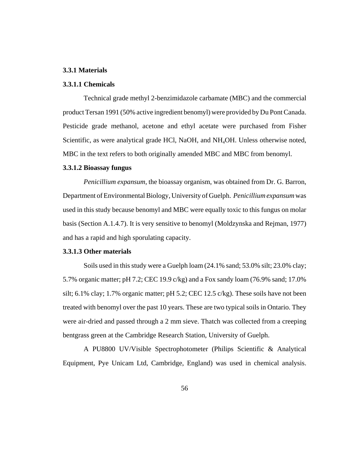## **3.3.1 Materials**

# **3.3.1.1 Chemicals**

Technical grade methyl 2-benzimidazole carbamate (MBC) and the commercial product Tersan 1991 (50% active ingredient benomyl) were provided by Du Pont Canada. Pesticide grade methanol, acetone and ethyl acetate were purchased from Fisher Scientific, as were analytical grade HCl, NaOH, and NH<sub>4</sub>OH. Unless otherwise noted, MBC in the text refers to both originally amended MBC and MBC from benomyl.

#### **3.3.1.2 Bioassay fungus**

*Penicillium expansum*, the bioassay organism, was obtained from Dr. G. Barron, Department of Environmental Biology, University of Guelph. *Penicillium expansum* was used in this study because benomyl and MBC were equally toxic to this fungus on molar basis (Section A.1.4.7). It is very sensitive to benomyl (Moldzynska and Rejman, 1977) and has a rapid and high sporulating capacity.

# **3.3.1.3 Other materials**

Soils used in this study were a Guelph loam (24.1% sand; 53.0% silt; 23.0% clay; 5.7% organic matter; pH 7.2; CEC 19.9 c/kg) and a Fox sandy loam (76.9% sand; 17.0% silt; 6.1% clay; 1.7% organic matter; pH 5.2; CEC 12.5 c/kg). These soils have not been treated with benomyl over the past 10 years. These are two typical soils in Ontario. They were air-dried and passed through a 2 mm sieve. Thatch was collected from a creeping bentgrass green at the Cambridge Research Station, University of Guelph.

A PU8800 UV/Visible Spectrophotometer (Philips Scientific & Analytical Equipment, Pye Unicam Ltd, Cambridge, England) was used in chemical analysis.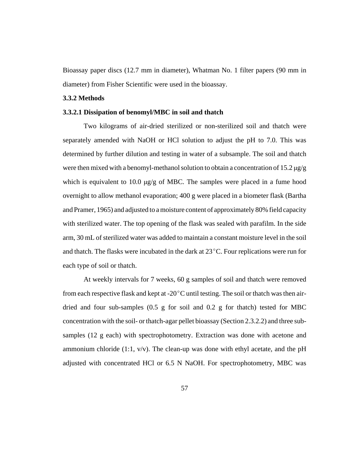Bioassay paper discs (12.7 mm in diameter), Whatman No. 1 filter papers (90 mm in diameter) from Fisher Scientific were used in the bioassay.

#### **3.3.2 Methods**

#### **3.3.2.1 Dissipation of benomyl/MBC in soil and thatch**

Two kilograms of air-dried sterilized or non-sterilized soil and thatch were separately amended with NaOH or HCl solution to adjust the pH to 7.0. This was determined by further dilution and testing in water of a subsample. The soil and thatch were then mixed with a benomyl-methanol solution to obtain a concentration of 15.2  $\mu$ g/g which is equivalent to 10.0  $\mu$ g/g of MBC. The samples were placed in a fume hood overnight to allow methanol evaporation; 400 g were placed in a biometer flask (Bartha and Pramer, 1965) and adjusted to a moisture content of approximately 80% field capacity with sterilized water. The top opening of the flask was sealed with parafilm. In the side arm, 30 mL of sterilized water was added to maintain a constant moisture level in the soil and thatch. The flasks were incubated in the dark at  $23^{\circ}$ C. Four replications were run for each type of soil or thatch.

At weekly intervals for 7 weeks, 60 g samples of soil and thatch were removed from each respective flask and kept at -20 $^{\circ}$ C until testing. The soil or thatch was then airdried and four sub-samples  $(0.5 \text{ g}$  for soil and  $0.2 \text{ g}$  for thatch) tested for MBC concentration with the soil- or thatch-agar pellet bioassay (Section 2.3.2.2) and three subsamples (12 g each) with spectrophotometry. Extraction was done with acetone and ammonium chloride (1:1,  $v/v$ ). The clean-up was done with ethyl acetate, and the pH adjusted with concentrated HCl or 6.5 N NaOH. For spectrophotometry, MBC was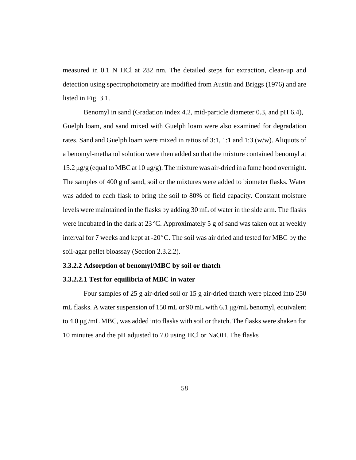measured in 0.1 N HCl at 282 nm. The detailed steps for extraction, clean-up and detection using spectrophotometry are modified from Austin and Briggs (1976) and are listed in Fig. 3.1.

Benomyl in sand (Gradation index 4.2, mid-particle diameter 0.3, and pH 6.4), Guelph loam, and sand mixed with Guelph loam were also examined for degradation rates. Sand and Guelph loam were mixed in ratios of 3:1, 1:1 and 1:3 (w/w). Aliquots of a benomyl-methanol solution were then added so that the mixture contained benomyl at 15.2 μg/g (equal to MBC at 10 μg/g). The mixture was air-dried in a fume hood overnight. The samples of 400 g of sand, soil or the mixtures were added to biometer flasks. Water was added to each flask to bring the soil to 80% of field capacity. Constant moisture levels were maintained in the flasks by adding 30 mL of water in the side arm. The flasks were incubated in the dark at  $23^{\circ}$ C. Approximately 5 g of sand was taken out at weekly interval for 7 weeks and kept at  $-20^{\circ}$ C. The soil was air dried and tested for MBC by the soil-agar pellet bioassay (Section 2.3.2.2).

# **3.3.2.2 Adsorption of benomyl/MBC by soil or thatch**

# **3.3.2.2.1 Test for equilibria of MBC in water**

Four samples of 25 g air-dried soil or 15 g air-dried thatch were placed into 250 mL flasks. A water suspension of 150 mL or 90 mL with 6.1 μg/mL benomyl, equivalent to 4.0  $\mu$ g/mL MBC, was added into flasks with soil or thatch. The flasks were shaken for 10 minutes and the pH adjusted to 7.0 using HCl or NaOH. The flasks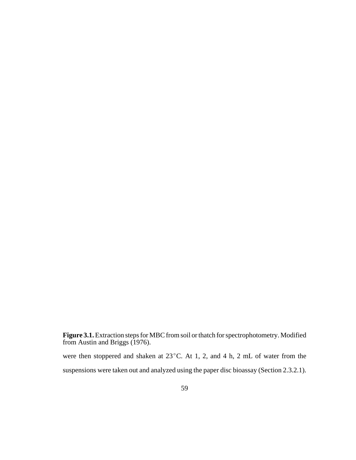**Figure 3.1.** Extraction steps for MBC from soil or thatch for spectrophotometry. Modified from Austin and Briggs (1976).

were then stoppered and shaken at  $23^{\circ}$ C. At 1, 2, and 4 h, 2 mL of water from the suspensions were taken out and analyzed using the paper disc bioassay (Section 2.3.2.1).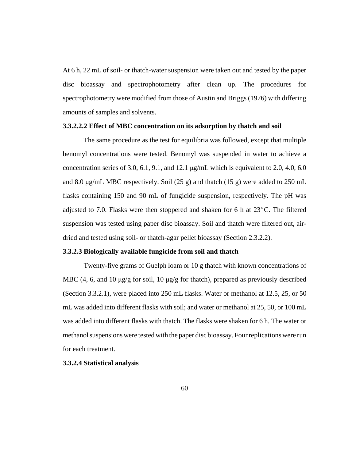At 6 h, 22 mL of soil- or thatch-water suspension were taken out and tested by the paper disc bioassay and spectrophotometry after clean up. The procedures for spectrophotometry were modified from those of Austin and Briggs (1976) with differing amounts of samples and solvents.

# **3.3.2.2.2 Effect of MBC concentration on its adsorption by thatch and soil**

The same procedure as the test for equilibria was followed, except that multiple benomyl concentrations were tested. Benomyl was suspended in water to achieve a concentration series of 3.0, 6.1, 9.1, and 12.1  $\mu$ g/mL which is equivalent to 2.0, 4.0, 6.0 and 8.0 μg/mL MBC respectively. Soil (25 g) and thatch (15 g) were added to 250 mL flasks containing 150 and 90 mL of fungicide suspension, respectively. The pH was adjusted to 7.0. Flasks were then stoppered and shaken for 6 h at  $23^{\circ}$ C. The filtered suspension was tested using paper disc bioassay. Soil and thatch were filtered out, airdried and tested using soil- or thatch-agar pellet bioassay (Section 2.3.2.2).

## **3.3.2.3 Biologically available fungicide from soil and thatch**

Twenty-five grams of Guelph loam or 10 g thatch with known concentrations of MBC (4, 6, and 10  $\mu$ g/g for soil, 10  $\mu$ g/g for thatch), prepared as previously described (Section 3.3.2.1), were placed into 250 mL flasks. Water or methanol at 12.5, 25, or 50 mL was added into different flasks with soil; and water or methanol at 25, 50, or 100 mL was added into different flasks with thatch. The flasks were shaken for 6 h. The water or methanol suspensions were tested with the paper disc bioassay. Four replications were run for each treatment.

#### **3.3.2.4 Statistical analysis**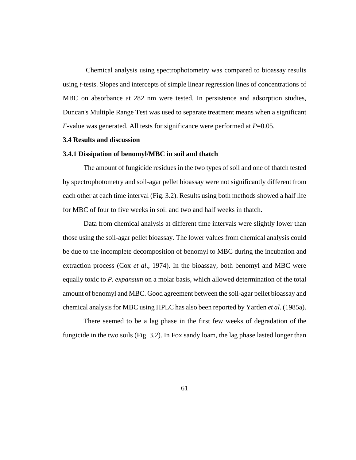Chemical analysis using spectrophotometry was compared to bioassay results using *t*-tests. Slopes and intercepts of simple linear regression lines of concentrations of MBC on absorbance at 282 nm were tested. In persistence and adsorption studies, Duncan's Multiple Range Test was used to separate treatment means when a significant *F*-value was generated. All tests for significance were performed at *P*=0.05.

#### **3.4 Results and discussion**

#### **3.4.1 Dissipation of benomyl/MBC in soil and thatch**

The amount of fungicide residues in the two types of soil and one of thatch tested by spectrophotometry and soil-agar pellet bioassay were not significantly different from each other at each time interval (Fig. 3.2). Results using both methods showed a half life for MBC of four to five weeks in soil and two and half weeks in thatch.

Data from chemical analysis at different time intervals were slightly lower than those using the soil-agar pellet bioassay. The lower values from chemical analysis could be due to the incomplete decomposition of benomyl to MBC during the incubation and extraction process (Cox *et al*., 1974). In the bioassay, both benomyl and MBC were equally toxic to *P. expansum* on a molar basis, which allowed determination of the total amount of benomyl and MBC. Good agreement between the soil-agar pellet bioassay and chemical analysis for MBC using HPLC has also been reported by Yarden *et al*. (1985a).

 There seemed to be a lag phase in the first few weeks of degradation of the fungicide in the two soils (Fig. 3.2). In Fox sandy loam, the lag phase lasted longer than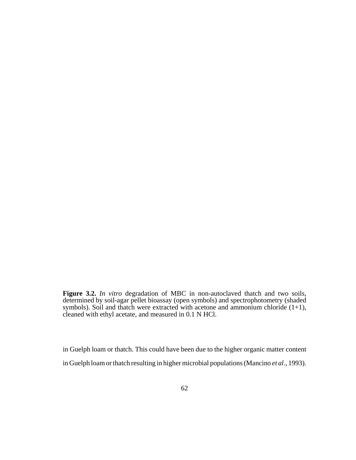**Figure 3.2.** *In vitro* degradation of MBC in non-autoclaved thatch and two soils, determined by soil-agar pellet bioassay (open symbols) and spectrophotometry (shaded symbols). Soil and thatch were extracted with acetone and ammonium chloride  $(1+1)$ , cleaned with ethyl acetate, and measured in 0.1 N HCl.

in Guelph loam or thatch. This could have been due to the higher organic matter content in Guelph loam or thatch resulting in higher microbial populations (Mancino *et al*., 1993).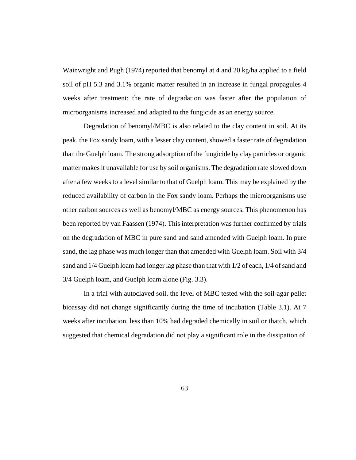Wainwright and Pugh (1974) reported that benomyl at 4 and 20 kg/ha applied to a field soil of pH 5.3 and 3.1% organic matter resulted in an increase in fungal propagules 4 weeks after treatment: the rate of degradation was faster after the population of microorganisms increased and adapted to the fungicide as an energy source.

Degradation of benomyl/MBC is also related to the clay content in soil. At its peak, the Fox sandy loam, with a lesser clay content, showed a faster rate of degradation than the Guelph loam. The strong adsorption of the fungicide by clay particles or organic matter makes it unavailable for use by soil organisms. The degradation rate slowed down after a few weeks to a level similar to that of Guelph loam. This may be explained by the reduced availability of carbon in the Fox sandy loam. Perhaps the microorganisms use other carbon sources as well as benomyl/MBC as energy sources. This phenomenon has been reported by van Faassen (1974). This interpretation was further confirmed by trials on the degradation of MBC in pure sand and sand amended with Guelph loam. In pure sand, the lag phase was much longer than that amended with Guelph loam. Soil with 3/4 sand and 1/4 Guelph loam had longer lag phase than that with 1/2 of each, 1/4 of sand and 3/4 Guelph loam, and Guelph loam alone (Fig. 3.3).

In a trial with autoclaved soil, the level of MBC tested with the soil-agar pellet bioassay did not change significantly during the time of incubation (Table 3.1). At 7 weeks after incubation, less than 10% had degraded chemically in soil or thatch, which suggested that chemical degradation did not play a significant role in the dissipation of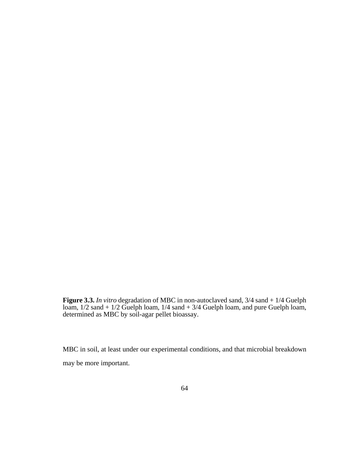**Figure 3.3.** *In vitro* degradation of MBC in non-autoclaved sand, 3/4 sand + 1/4 Guelph loam, 1/2 sand + 1/2 Guelph loam, 1/4 sand + 3/4 Guelph loam, and pure Guelph loam, determined as MBC by soil-agar pellet bioassay.

MBC in soil, at least under our experimental conditions, and that microbial breakdown may be more important.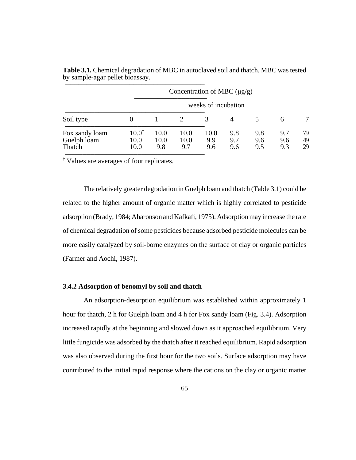|                                         |                                  |                     | Concentration of MBC $(\mu g/g)$ |                    |                   |                   |                   |                |  |  |
|-----------------------------------------|----------------------------------|---------------------|----------------------------------|--------------------|-------------------|-------------------|-------------------|----------------|--|--|
|                                         | weeks of incubation              |                     |                                  |                    |                   |                   |                   |                |  |  |
| Soil type                               |                                  |                     |                                  |                    | 4                 |                   | 6                 |                |  |  |
| Fox sandy loam<br>Guelph loam<br>Thatch | $10.0^{\dagger}$<br>10.0<br>10.0 | 10.0<br>10.0<br>9.8 | 10.0<br>10.0<br>9.7              | 10.0<br>9.9<br>9.6 | 9.8<br>9.7<br>9.6 | 9.8<br>9.6<br>9.5 | 9.7<br>9.6<br>9.3 | 79<br>49<br>29 |  |  |

**Table 3.1.** Chemical degradation of MBC in autoclaved soil and thatch. MBC was tested by sample-agar pellet bioassay.

 $\overline{\phantom{a}'}$  Values are averages of four replicates.

The relatively greater degradation in Guelph loam and thatch (Table 3.1) could be related to the higher amount of organic matter which is highly correlated to pesticide adsorption (Brady, 1984; Aharonson and Kafkafi, 1975). Adsorption may increase the rate of chemical degradation of some pesticides because adsorbed pesticide molecules can be more easily catalyzed by soil-borne enzymes on the surface of clay or organic particles (Farmer and Aochi, 1987).

## **3.4.2 Adsorption of benomyl by soil and thatch**

An adsorption-desorption equilibrium was established within approximately 1 hour for thatch, 2 h for Guelph loam and 4 h for Fox sandy loam (Fig. 3.4). Adsorption increased rapidly at the beginning and slowed down as it approached equilibrium. Very little fungicide was adsorbed by the thatch after it reached equilibrium. Rapid adsorption was also observed during the first hour for the two soils. Surface adsorption may have contributed to the initial rapid response where the cations on the clay or organic matter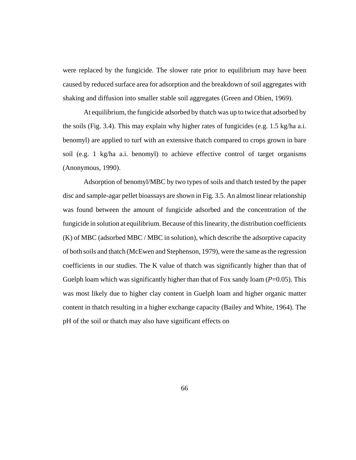were replaced by the fungicide. The slower rate prior to equilibrium may have been caused by reduced surface area for adsorption and the breakdown of soil aggregates with shaking and diffusion into smaller stable soil aggregates (Green and Obien, 1969).

At equilibrium, the fungicide adsorbed by thatch was up to twice that adsorbed by the soils (Fig. 3.4). This may explain why higher rates of fungicides (e.g. 1.5 kg/ha a.i. benomyl) are applied to turf with an extensive thatch compared to crops grown in bare soil (e.g. 1 kg/ha a.i. benomyl) to achieve effective control of target organisms (Anonymous, 1990).

Adsorption of benomyl/MBC by two types of soils and thatch tested by the paper disc and sample-agar pellet bioassays are shown in Fig. 3.5. An almost linear relationship was found between the amount of fungicide adsorbed and the concentration of the fungicide in solution at equilibrium. Because of this linearity, the distribution coefficients (K) of MBC (adsorbed MBC / MBC in solution), which describe the adsorptive capacity of both soils and thatch (McEwen and Stephenson, 1979), were the same as the regression coefficients in our studies. The K value of thatch was significantly higher than that of Guelph loam which was significantly higher than that of Fox sandy loam (*P*=0.05). This was most likely due to higher clay content in Guelph loam and higher organic matter content in thatch resulting in a higher exchange capacity (Bailey and White, 1964). The pH of the soil or thatch may also have significant effects on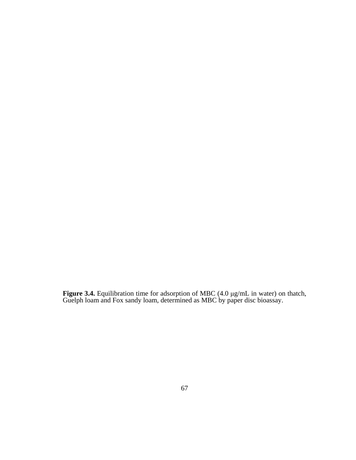**Figure 3.4.** Equilibration time for adsorption of MBC (4.0 μg/mL in water) on thatch, Guelph loam and Fox sandy loam, determined as MBC by paper disc bioassay.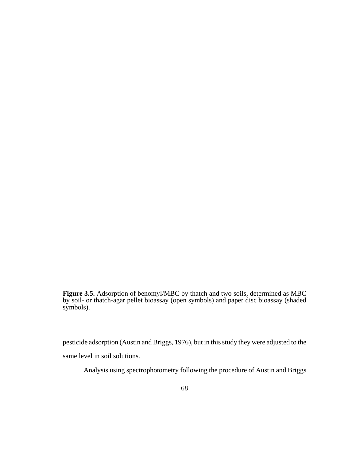**Figure 3.5.** Adsorption of benomyl/MBC by thatch and two soils, determined as MBC by soil- or thatch-agar pellet bioassay (open symbols) and paper disc bioassay (shaded symbols).

pesticide adsorption (Austin and Briggs, 1976), but in this study they were adjusted to the

same level in soil solutions.

Analysis using spectrophotometry following the procedure of Austin and Briggs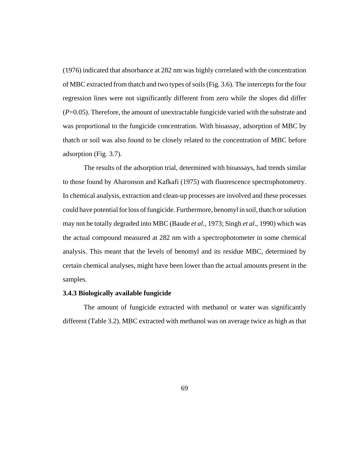(1976) indicated that absorbance at 282 nm was highly correlated with the concentration of MBC extracted from thatch and two types of soils (Fig. 3.6). The intercepts for the four regression lines were not significantly different from zero while the slopes did differ (*P*=0.05). Therefore, the amount of unextractable fungicide varied with the substrate and was proportional to the fungicide concentration. With bioassay, adsorption of MBC by thatch or soil was also found to be closely related to the concentration of MBC before adsorption (Fig. 3.7).

The results of the adsorption trial, determined with bioassays, had trends similar to those found by Aharonson and Kafkafi (1975) with fluorescence spectrophotometry. In chemical analysis, extraction and clean-up processes are involved and these processes could have potential for loss of fungicide. Furthermore, benomyl in soil, thatch or solution may not be totally degraded into MBC (Baude *et al*., 1973; Singh *et al*., 1990) which was the actual compound measured at 282 nm with a spectrophotometer in some chemical analysis. This meant that the levels of benomyl and its residue MBC, determined by certain chemical analyses, might have been lower than the actual amounts present in the samples.

## **3.4.3 Biologically available fungicide**

The amount of fungicide extracted with methanol or water was significantly different (Table 3.2). MBC extracted with methanol was on average twice as high as that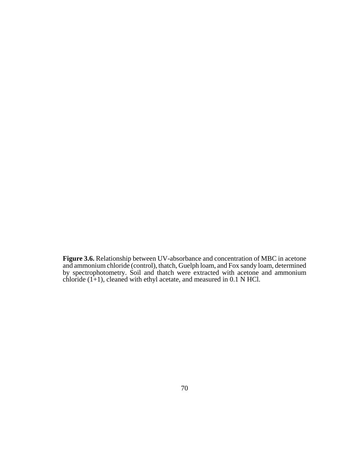**Figure 3.6.** Relationship between UV-absorbance and concentration of MBC in acetone and ammonium chloride (control), thatch, Guelph loam, and Fox sandy loam, determined by spectrophotometry. Soil and thatch were extracted with acetone and ammonium chloride  $(1+1)$ , cleaned with ethyl acetate, and measured in 0.1 N HCl.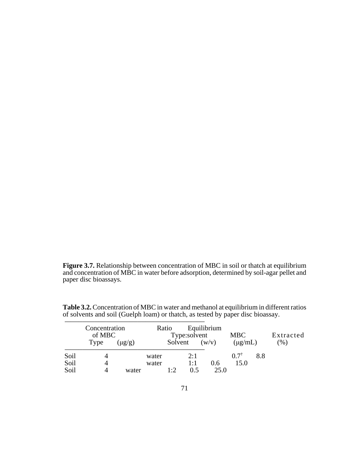**Figure 3.7.** Relationship between concentration of MBC in soil or thatch at equilibrium and concentration of MBC in water before adsorption, determined by soil-agar pellet and paper disc bioassays.

|      | Concentration<br>of MBC |             |       | Ratio       | Type:solvent | Equilibrium | <b>MBC</b>      |     | Extracted |
|------|-------------------------|-------------|-------|-------------|--------------|-------------|-----------------|-----|-----------|
|      | Type                    | $(\mu g/g)$ |       | Solvent     |              | (w/v)       | $(\mu g/mL)$    |     | (96)      |
| Soil |                         |             | water |             | 2:1          |             | $0.7^{\dagger}$ | 8.8 |           |
| Soil | 4                       |             | water |             | 1:1          | 0.6         | 15.0            |     |           |
| Soil |                         | water       |       | $1 \cdot 2$ | 0.5          | 25.0        |                 |     |           |

**Table 3.2.** Concentration of MBC in water and methanol at equilibrium in different ratios of solvents and soil (Guelph loam) or thatch, as tested by paper disc bioassay.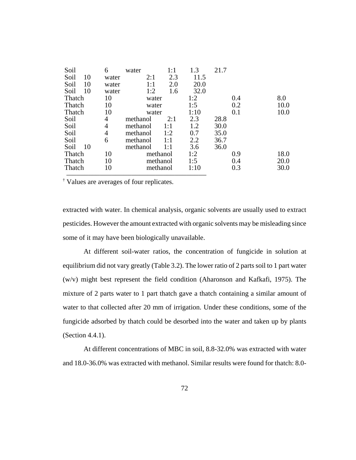| Soil       | 6     | water    | 1:1 | 1.3  | 21.7 |     |      |
|------------|-------|----------|-----|------|------|-----|------|
| Soil<br>10 | water | 2:1      | 2.3 | 11.5 |      |     |      |
| Soil<br>10 | water | 1:1      | 2.0 | 20.0 |      |     |      |
| 10<br>Soil | water | 1:2      | 1.6 | 32.0 |      |     |      |
| Thatch     | 10    | water    |     | 1:2  |      | 0.4 | 8.0  |
| Thatch     | 10    | water    |     | 1:5  |      | 0.2 | 10.0 |
| Thatch     | 10    | water    |     | 1:10 |      | 0.1 | 10.0 |
| Soil       | 4     | methanol | 2:1 | 2.3  | 28.8 |     |      |
| Soil       | 4     | methanol | 1:1 | 1.2  | 30.0 |     |      |
| Soil       | 4     | methanol | 1:2 | 0.7  | 35.0 |     |      |
| Soil       | 6     | methanol | 1:1 | 2.2  | 36.7 |     |      |
| 10<br>Soil |       | methanol | 1:1 | 3.6  | 36.0 |     |      |
| Thatch     | 10    | methanol |     | 1:2  |      | 0.9 | 18.0 |
| Thatch     | 10    | methanol |     | 1:5  |      | 0.4 | 20.0 |
| Thatch     | 10    | methanol |     | 1:10 |      | 0.3 | 30.0 |
|            |       |          |     |      |      |     |      |

 $\overline{\overline{\text{Values are averages of four replicates.}}}$ 

extracted with water. In chemical analysis, organic solvents are usually used to extract pesticides. However the amount extracted with organic solvents may be misleading since some of it may have been biologically unavailable.

At different soil-water ratios, the concentration of fungicide in solution at equilibrium did not vary greatly (Table 3.2). The lower ratio of 2 parts soil to 1 part water (w/v) might best represent the field condition (Aharonson and Kafkafi, 1975). The mixture of 2 parts water to 1 part thatch gave a thatch containing a similar amount of water to that collected after 20 mm of irrigation. Under these conditions, some of the fungicide adsorbed by thatch could be desorbed into the water and taken up by plants (Section 4.4.1).

At different concentrations of MBC in soil, 8.8-32.0% was extracted with water and 18.0-36.0% was extracted with methanol. Similar results were found for thatch: 8.0-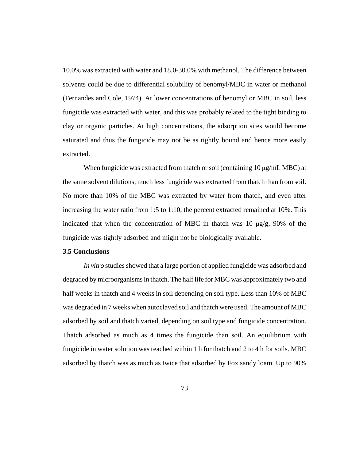10.0% was extracted with water and 18.0-30.0% with methanol. The difference between solvents could be due to differential solubility of benomyl/MBC in water or methanol (Fernandes and Cole, 1974). At lower concentrations of benomyl or MBC in soil, less fungicide was extracted with water, and this was probably related to the tight binding to clay or organic particles. At high concentrations, the adsorption sites would become saturated and thus the fungicide may not be as tightly bound and hence more easily extracted.

When fungicide was extracted from thatch or soil (containing  $10 \mu g/mL$  MBC) at the same solvent dilutions, much less fungicide was extracted from thatch than from soil. No more than 10% of the MBC was extracted by water from thatch, and even after increasing the water ratio from 1:5 to 1:10, the percent extracted remained at 10%. This indicated that when the concentration of MBC in thatch was 10  $\mu$ g/g, 90% of the fungicide was tightly adsorbed and might not be biologically available.

## **3.5 Conclusions**

*In vitro* studies showed that a large portion of applied fungicide was adsorbed and degraded by microorganisms in thatch. The half life for MBC was approximately two and half weeks in thatch and 4 weeks in soil depending on soil type. Less than 10% of MBC was degraded in 7 weeks when autoclaved soil and thatch were used. The amount of MBC adsorbed by soil and thatch varied, depending on soil type and fungicide concentration. Thatch adsorbed as much as 4 times the fungicide than soil. An equilibrium with fungicide in water solution was reached within 1 h for thatch and 2 to 4 h for soils. MBC adsorbed by thatch was as much as twice that adsorbed by Fox sandy loam. Up to 90%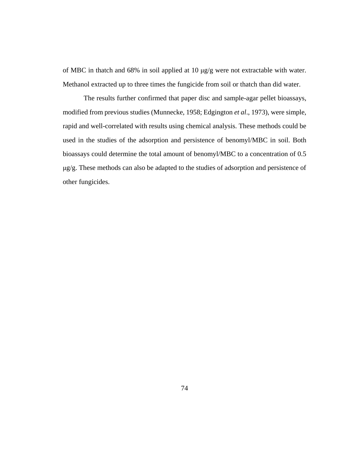of MBC in thatch and 68% in soil applied at 10 μg/g were not extractable with water. Methanol extracted up to three times the fungicide from soil or thatch than did water.

The results further confirmed that paper disc and sample-agar pellet bioassays, modified from previous studies (Munnecke, 1958; Edgington *et al*., 1973), were simple, rapid and well-correlated with results using chemical analysis. These methods could be used in the studies of the adsorption and persistence of benomyl/MBC in soil. Both bioassays could determine the total amount of benomyl/MBC to a concentration of 0.5 μg/g. These methods can also be adapted to the studies of adsorption and persistence of other fungicides.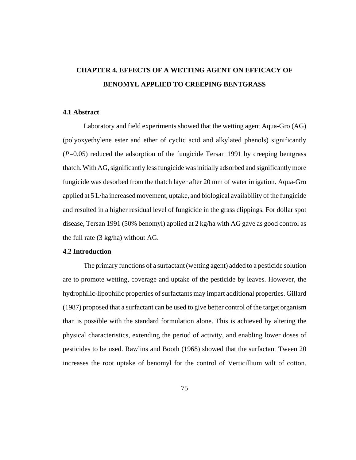## **CHAPTER 4. EFFECTS OF A WETTING AGENT ON EFFICACY OF BENOMYL APPLIED TO CREEPING BENTGRASS**

#### **4.1 Abstract**

Laboratory and field experiments showed that the wetting agent Aqua-Gro (AG) (polyoxyethylene ester and ether of cyclic acid and alkylated phenols) significantly (*P*=0.05) reduced the adsorption of the fungicide Tersan 1991 by creeping bentgrass thatch. With AG, significantly less fungicide was initially adsorbed and significantly more fungicide was desorbed from the thatch layer after 20 mm of water irrigation. Aqua-Gro applied at 5 L/ha increased movement, uptake, and biological availability of the fungicide and resulted in a higher residual level of fungicide in the grass clippings. For dollar spot disease, Tersan 1991 (50% benomyl) applied at 2 kg/ha with AG gave as good control as the full rate (3 kg/ha) without AG.

## **4.2 Introduction**

The primary functions of a surfactant (wetting agent) added to a pesticide solution are to promote wetting, coverage and uptake of the pesticide by leaves. However, the hydrophilic-lipophilic properties of surfactants may impart additional properties. Gillard (1987) proposed that a surfactant can be used to give better control of the target organism than is possible with the standard formulation alone. This is achieved by altering the physical characteristics, extending the period of activity, and enabling lower doses of pesticides to be used. Rawlins and Booth (1968) showed that the surfactant Tween 20 increases the root uptake of benomyl for the control of Verticillium wilt of cotton.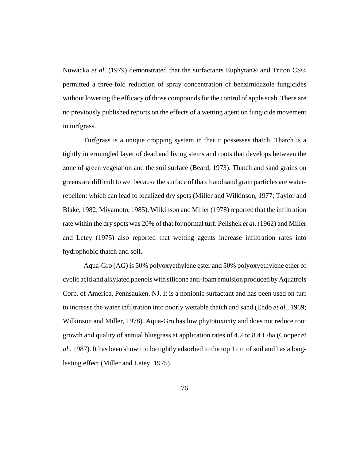Nowacka *et al*. (1979) demonstrated that the surfactants Euphytan® and Triton CS® permitted a three-fold reduction of spray concentration of benzimidazole fungicides without lowering the efficacy of those compounds for the control of apple scab. There are no previously published reports on the effects of a wetting agent on fungicide movement in turfgrass.

Turfgrass is a unique cropping system in that it possesses thatch. Thatch is a tightly intermingled layer of dead and living stems and roots that develops between the zone of green vegetation and the soil surface (Beard, 1973). Thatch and sand grains on greens are difficult to wet because the surface of thatch and sand grain particles are waterrepellent which can lead to localized dry spots (Miller and Wilkinson, 1977; Taylor and Blake, 1982; Miyamoto, 1985). Wilkinson and Miller (1978) reported that the infiltration rate within the dry spots was 20% of that for normal turf. Pelishek *et al*. (1962) and Miller and Letey (1975) also reported that wetting agents increase infiltration rates into hydrophobic thatch and soil.

Aqua-Gro (AG) is 50% polyoxyethylene ester and 50% polyoxyethylene ether of cyclic acid and alkylated phenols with silicone anti-foam emulsion produced by Aquatrols Corp. of America, Pennsauken, NJ. It is a nonionic surfactant and has been used on turf to increase the water infiltration into poorly wettable thatch and sand (Endo *et al*., 1969; Wilkinson and Miller, 1978). Aqua-Gro has low phytotoxicity and does not reduce root growth and quality of annual bluegrass at application rates of 4.2 or 8.4 L/ha (Cooper *et al*., 1987). It has been shown to be tightly adsorbed to the top 1 cm of soil and has a longlasting effect (Miller and Letey, 1975).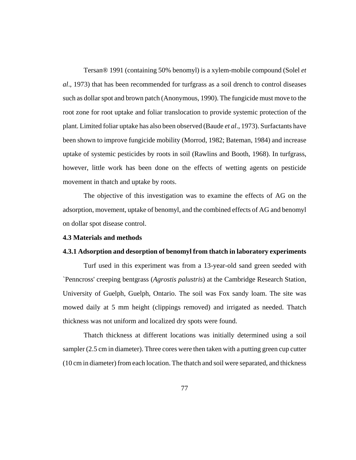Tersan® 1991 (containing 50% benomyl) is a xylem-mobile compound (Solel *et al*., 1973) that has been recommended for turfgrass as a soil drench to control diseases such as dollar spot and brown patch (Anonymous, 1990). The fungicide must move to the root zone for root uptake and foliar translocation to provide systemic protection of the plant. Limited foliar uptake has also been observed (Baude *et al*., 1973). Surfactants have been shown to improve fungicide mobility (Morrod, 1982; Bateman, 1984) and increase uptake of systemic pesticides by roots in soil (Rawlins and Booth, 1968). In turfgrass, however, little work has been done on the effects of wetting agents on pesticide movement in thatch and uptake by roots.

The objective of this investigation was to examine the effects of AG on the adsorption, movement, uptake of benomyl, and the combined effects of AG and benomyl on dollar spot disease control.

#### **4.3 Materials and methods**

#### **4.3.1 Adsorption and desorption of benomyl from thatch in laboratory experiments**

Turf used in this experiment was from a 13-year-old sand green seeded with `Penncross' creeping bentgrass (*Agrostis palustris*) at the Cambridge Research Station, University of Guelph, Guelph, Ontario. The soil was Fox sandy loam. The site was mowed daily at 5 mm height (clippings removed) and irrigated as needed. Thatch thickness was not uniform and localized dry spots were found.

Thatch thickness at different locations was initially determined using a soil sampler (2.5 cm in diameter). Three cores were then taken with a putting green cup cutter (10 cm in diameter) from each location. The thatch and soil were separated, and thickness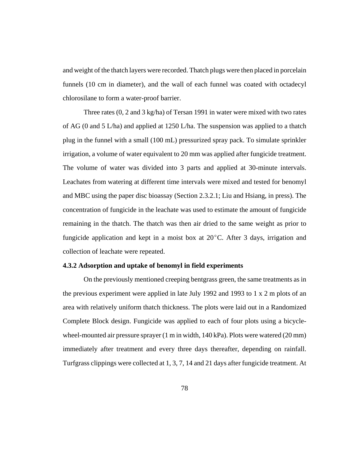and weight of the thatch layers were recorded. Thatch plugs were then placed in porcelain funnels (10 cm in diameter), and the wall of each funnel was coated with octadecyl chlorosilane to form a water-proof barrier.

Three rates (0, 2 and 3 kg/ha) of Tersan 1991 in water were mixed with two rates of AG (0 and 5 L/ha) and applied at 1250 L/ha. The suspension was applied to a thatch plug in the funnel with a small (100 mL) pressurized spray pack. To simulate sprinkler irrigation, a volume of water equivalent to 20 mm was applied after fungicide treatment. The volume of water was divided into 3 parts and applied at 30-minute intervals. Leachates from watering at different time intervals were mixed and tested for benomyl and MBC using the paper disc bioassay (Section 2.3.2.1; Liu and Hsiang, in press). The concentration of fungicide in the leachate was used to estimate the amount of fungicide remaining in the thatch. The thatch was then air dried to the same weight as prior to fungicide application and kept in a moist box at  $20^{\circ}$ C. After 3 days, irrigation and collection of leachate were repeated.

## **4.3.2 Adsorption and uptake of benomyl in field experiments**

On the previously mentioned creeping bentgrass green, the same treatments as in the previous experiment were applied in late July 1992 and 1993 to 1 x 2 m plots of an area with relatively uniform thatch thickness. The plots were laid out in a Randomized Complete Block design. Fungicide was applied to each of four plots using a bicyclewheel-mounted air pressure sprayer (1 m in width, 140 kPa). Plots were watered (20 mm) immediately after treatment and every three days thereafter, depending on rainfall. Turfgrass clippings were collected at 1, 3, 7, 14 and 21 days after fungicide treatment. At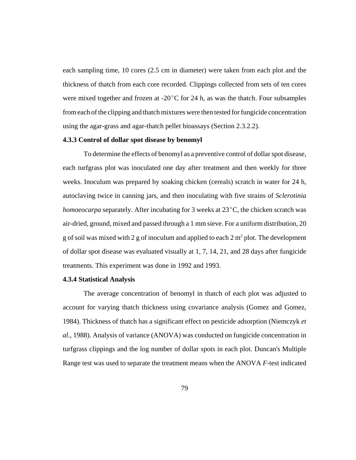each sampling time, 10 cores (2.5 cm in diameter) were taken from each plot and the thickness of thatch from each core recorded. Clippings collected from sets of ten cores were mixed together and frozen at  $-20^{\circ}$ C for 24 h, as was the thatch. Four subsamples from each of the clipping and thatch mixtures were then tested for fungicide concentration using the agar-grass and agar-thatch pellet bioassays (Section 2.3.2.2).

#### **4.3.3 Control of dollar spot disease by benomyl**

To determine the effects of benomyl as a preventive control of dollar spot disease, each turfgrass plot was inoculated one day after treatment and then weekly for three weeks. Inoculum was prepared by soaking chicken (cereals) scratch in water for 24 h, autoclaving twice in canning jars, and then inoculating with five strains of *Sclerotinia homoeocarpa* separately. After incubating for 3 weeks at 23<sup>o</sup>C, the chicken scratch was air-dried, ground, mixed and passed through a 1 mm sieve. For a uniform distribution, 20 g of soil was mixed with 2 g of inoculum and applied to each 2  $m<sup>2</sup>$  plot. The development of dollar spot disease was evaluated visually at 1, 7, 14, 21, and 28 days after fungicide treatments. This experiment was done in 1992 and 1993.

#### **4.3.4 Statistical Analysis**

The average concentration of benomyl in thatch of each plot was adjusted to account for varying thatch thickness using covariance analysis (Gomez and Gomez, 1984). Thickness of thatch has a significant effect on pesticide adsorption (Niemczyk *et al*., 1988). Analysis of variance (ANOVA) was conducted on fungicide concentration in turfgrass clippings and the log number of dollar spots in each plot. Duncan's Multiple Range test was used to separate the treatment means when the ANOVA *F*-test indicated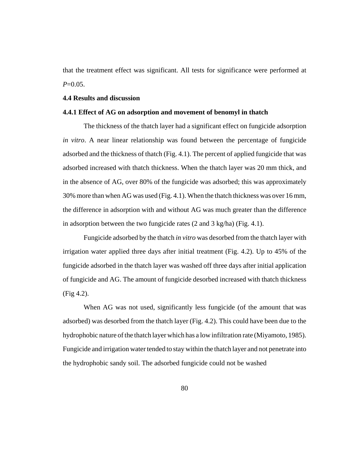that the treatment effect was significant. All tests for significance were performed at *P*=0.05.

#### **4.4 Results and discussion**

#### **4.4.1 Effect of AG on adsorption and movement of benomyl in thatch**

The thickness of the thatch layer had a significant effect on fungicide adsorption *in vitro*. A near linear relationship was found between the percentage of fungicide adsorbed and the thickness of thatch (Fig. 4.1). The percent of applied fungicide that was adsorbed increased with thatch thickness. When the thatch layer was 20 mm thick, and in the absence of AG, over 80% of the fungicide was adsorbed; this was approximately 30% more than when AG was used (Fig. 4.1). When the thatch thickness was over 16 mm, the difference in adsorption with and without AG was much greater than the difference in adsorption between the two fungicide rates (2 and 3 kg/ha) (Fig. 4.1).

Fungicide adsorbed by the thatch *in vitro* was desorbed from the thatch layer with irrigation water applied three days after initial treatment (Fig. 4.2). Up to 45% of the fungicide adsorbed in the thatch layer was washed off three days after initial application of fungicide and AG. The amount of fungicide desorbed increased with thatch thickness (Fig 4.2).

 When AG was not used, significantly less fungicide (of the amount that was adsorbed) was desorbed from the thatch layer (Fig. 4.2). This could have been due to the hydrophobic nature of the thatch layer which has a low infiltration rate (Miyamoto, 1985). Fungicide and irrigation water tended to stay within the thatch layer and not penetrate into the hydrophobic sandy soil. The adsorbed fungicide could not be washed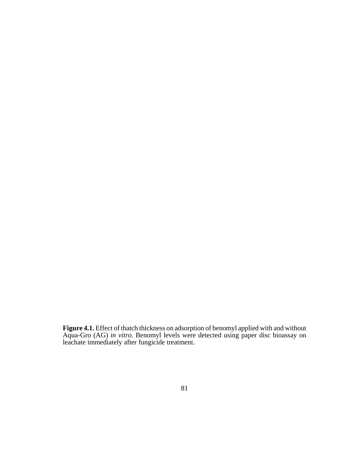**Figure 4.1.** Effect of thatch thickness on adsorption of benomyl applied with and without Aqua-Gro (AG) *in vitro*. Benomyl levels were detected using paper disc bioassay on leachate immediately after fungicide treatment.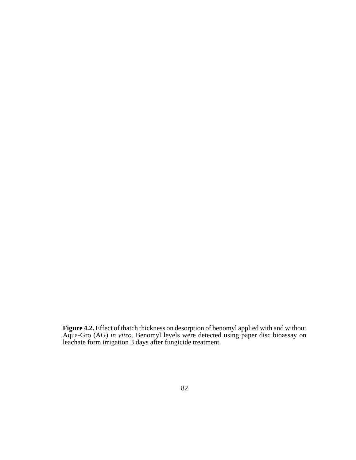**Figure 4.2.** Effect of thatch thickness on desorption of benomyl applied with and without Aqua-Gro (AG) *in vitro*. Benomyl levels were detected using paper disc bioassay on leachate form irrigation 3 days after fungicide treatment.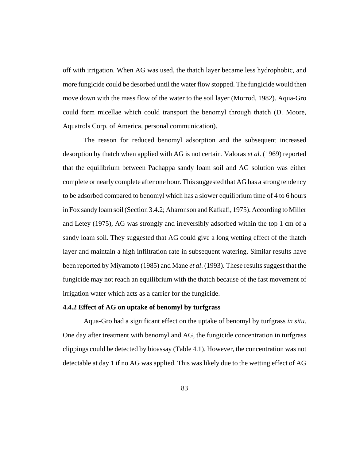off with irrigation. When AG was used, the thatch layer became less hydrophobic, and more fungicide could be desorbed until the water flow stopped. The fungicide would then move down with the mass flow of the water to the soil layer (Morrod, 1982). Aqua-Gro could form micellae which could transport the benomyl through thatch (D. Moore, Aquatrols Corp. of America, personal communication).

The reason for reduced benomyl adsorption and the subsequent increased desorption by thatch when applied with AG is not certain. Valoras *et al*. (1969) reported that the equilibrium between Pachappa sandy loam soil and AG solution was either complete or nearly complete after one hour. This suggested that AG has a strong tendency to be adsorbed compared to benomyl which has a slower equilibrium time of 4 to 6 hours in Fox sandy loam soil (Section 3.4.2; Aharonson and Kafkafi, 1975). According to Miller and Letey (1975), AG was strongly and irreversibly adsorbed within the top 1 cm of a sandy loam soil. They suggested that AG could give a long wetting effect of the thatch layer and maintain a high infiltration rate in subsequent watering. Similar results have been reported by Miyamoto (1985) and Mane *et al*. (1993). These results suggest that the fungicide may not reach an equilibrium with the thatch because of the fast movement of irrigation water which acts as a carrier for the fungicide.

## **4.4.2 Effect of AG on uptake of benomyl by turfgrass**

Aqua-Gro had a significant effect on the uptake of benomyl by turfgrass *in situ*. One day after treatment with benomyl and AG, the fungicide concentration in turfgrass clippings could be detected by bioassay (Table 4.1). However, the concentration was not detectable at day 1 if no AG was applied. This was likely due to the wetting effect of AG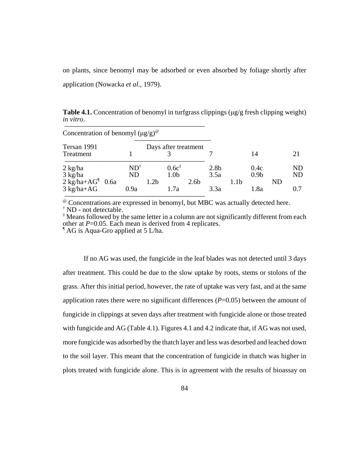on plants, since benomyl may be adsorbed or even absorbed by foliage shortly after application (Nowacka *et al*., 1979).

**Table 4.1.** Concentration of benomyl in turfgrass clippings (μg/g fresh clipping weight) *in vitro*.

| Concentration of benomyl $(\mu g/g)^{\omega}$                          |                              |                      |                                               |                  |                                  |                  |                                  |    |                         |
|------------------------------------------------------------------------|------------------------------|----------------------|-----------------------------------------------|------------------|----------------------------------|------------------|----------------------------------|----|-------------------------|
| Tersan 1991<br>Treatment                                               |                              | Days after treatment |                                               |                  |                                  |                  | 14                               |    | 21                      |
| $2$ kg/ha<br>3 kg/ha<br>$2$ kg/ha+AG <sup>1</sup> 0.6a<br>$3$ kg/ha+AG | $ND^{\dagger}$<br>ND<br>0.9a | 1.2 <sub>b</sub>     | 0.6c <sup>‡</sup><br>1.0 <sub>b</sub><br>1.7a | 2.6 <sub>b</sub> | 2.8 <sub>b</sub><br>3.5a<br>3.3a | 1.1 <sub>b</sub> | 0.4c<br>0.9 <sub>b</sub><br>1.8a | ND | ND.<br><b>ND</b><br>0.7 |

@ Concentrations are expressed in benomyl, but MBC was actually detected here. † ND - not detectable.

‡ Means followed by the same letter in a column are not significantly different from each other at  $P=0.05$ . Each mean is derived from 4 replicates.

AG is Aqua-Gro applied at 5 L/ha.

If no AG was used, the fungicide in the leaf blades was not detected until 3 days after treatment. This could be due to the slow uptake by roots, stems or stolons of the grass. After this initial period, however, the rate of uptake was very fast, and at the same application rates there were no significant differences  $(P=0.05)$  between the amount of fungicide in clippings at seven days after treatment with fungicide alone or those treated with fungicide and AG (Table 4.1). Figures 4.1 and 4.2 indicate that, if AG was not used, more fungicide was adsorbed by the thatch layer and less was desorbed and leached down to the soil layer. This meant that the concentration of fungicide in thatch was higher in plots treated with fungicide alone. This is in agreement with the results of bioassay on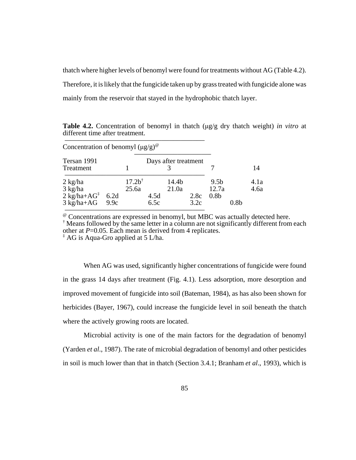thatch where higher levels of benomyl were found for treatments without AG (Table 4.2). Therefore, it is likely that the fungicide taken up by grass treated with fungicide alone was mainly from the reservoir that stayed in the hydrophobic thatch layer.

| Concentration of benomyl $(\mu g/g)^{\omega}$                    |              |                            |              |                      |              |                           |      |              |
|------------------------------------------------------------------|--------------|----------------------------|--------------|----------------------|--------------|---------------------------|------|--------------|
| Tersan 1991<br>Treatment                                         |              |                            |              | Days after treatment |              |                           |      | 14           |
| $2$ kg/ha<br>3 kg/ha                                             |              | 17.2 <sup>†</sup><br>25.6a |              | 14.4b<br>21.0a       |              | 9.5 <sub>b</sub><br>12.7a |      | 4.1a<br>4.6a |
| $2 \text{ kg/ha} + \text{AG}^{\ddagger}$<br>$3 \text{ kg/ha+AG}$ | 6.2d<br>9.9c |                            | 4.5d<br>6.5c |                      | 2.8c<br>3.2c | 0.8 <sub>b</sub>          | 0.8b |              |

**Table 4.2.** Concentration of benomyl in thatch (μg/g dry thatch weight) *in vitro* at different time after treatment.

@ Concentrations are expressed in benomyl, but MBC was actually detected here.

<sup>†</sup> Means followed by the same letter in a column are not significantly different from each other at  $P=0.05$ . Each mean is derived from 4 replicates.

 $*$  AG is Aqua-Gro applied at 5 L/ha.

S)))))))))))))))))))))))))))))))))))

When AG was used, significantly higher concentrations of fungicide were found in the grass 14 days after treatment (Fig. 4.1). Less adsorption, more desorption and improved movement of fungicide into soil (Bateman, 1984), as has also been shown for herbicides (Bayer, 1967), could increase the fungicide level in soil beneath the thatch where the actively growing roots are located.

Microbial activity is one of the main factors for the degradation of benomyl (Yarden *et al*., 1987). The rate of microbial degradation of benomyl and other pesticides in soil is much lower than that in thatch (Section 3.4.1; Branham *et al*., 1993), which is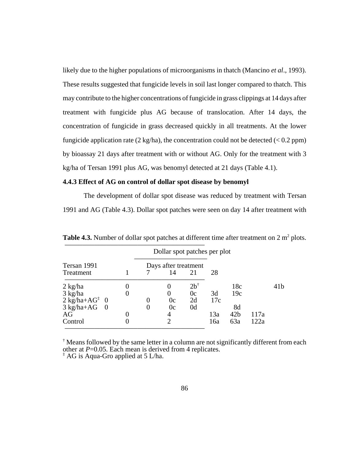likely due to the higher populations of microorganisms in thatch (Mancino *et al*., 1993). These results suggested that fungicide levels in soil last longer compared to thatch. This may contribute to the higher concentrations of fungicide in grass clippings at 14 days after treatment with fungicide plus AG because of translocation. After 14 days, the concentration of fungicide in grass decreased quickly in all treatments. At the lower fungicide application rate  $(2 \text{ kg/ha})$ , the concentration could not be detected  $(< 0.2$  ppm) by bioassay 21 days after treatment with or without AG. Only for the treatment with 3 kg/ha of Tersan 1991 plus AG, was benomyl detected at 21 days (Table 4.1).

## **4.4.3 Effect of AG on control of dollar spot disease by benomyl**

The development of dollar spot disease was reduced by treatment with Tersan 1991 and AG (Table 4.3). Dollar spot patches were seen on day 14 after treatment with

|                                                                                 |          | Dollar spot patches per plot           |                            |            |                              |              |                 |
|---------------------------------------------------------------------------------|----------|----------------------------------------|----------------------------|------------|------------------------------|--------------|-----------------|
| Tersan 1991<br>Treatment                                                        |          | Days after treatment<br>14             | 21                         | 28         |                              |              |                 |
| $2 \text{ kg/ha}$<br>3 kg/ha<br>$2$ kg/ha+AG <sup><math>\ddagger</math></sup> 0 |          | 0c                                     | $2b^{\dagger}$<br>0c<br>2d | 3d<br>17c  | 18c<br>19c                   |              | 41 <sub>b</sub> |
| $3 \text{ kg/ha+AG}$<br>$\overline{0}$<br>AG<br>Control                         | $\Omega$ | 0c<br>4<br>$\mathcal{D}_{\mathcal{A}}$ | 0 <sub>d</sub>             | 13a<br>16a | 8d<br>42 <sub>b</sub><br>63a | 117a<br>122a |                 |

**Table 4.3.** Number of dollar spot patches at different time after treatment on  $2 \text{ m}^2$  plots. S)))))))))))))))))))))))))))))))))))

† Means followed by the same letter in a column are not significantly different from each other at  $P=0.05$ . Each mean is derived from 4 replicates.  $\overline{A}$  AG is Aqua-Gro applied at 5 L/ha.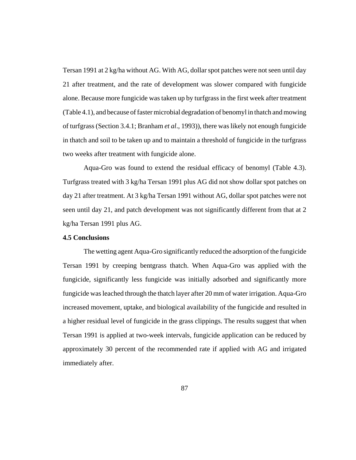Tersan 1991 at 2 kg/ha without AG. With AG, dollar spot patches were not seen until day 21 after treatment, and the rate of development was slower compared with fungicide alone. Because more fungicide was taken up by turfgrass in the first week after treatment (Table 4.1), and because of faster microbial degradation of benomyl in thatch and mowing of turfgrass (Section 3.4.1; Branham *et al*., 1993)), there was likely not enough fungicide in thatch and soil to be taken up and to maintain a threshold of fungicide in the turfgrass two weeks after treatment with fungicide alone.

Aqua-Gro was found to extend the residual efficacy of benomyl (Table 4.3). Turfgrass treated with 3 kg/ha Tersan 1991 plus AG did not show dollar spot patches on day 21 after treatment. At 3 kg/ha Tersan 1991 without AG, dollar spot patches were not seen until day 21, and patch development was not significantly different from that at 2 kg/ha Tersan 1991 plus AG.

## **4.5 Conclusions**

The wetting agent Aqua-Gro significantly reduced the adsorption of the fungicide Tersan 1991 by creeping bentgrass thatch. When Aqua-Gro was applied with the fungicide, significantly less fungicide was initially adsorbed and significantly more fungicide was leached through the thatch layer after 20 mm of water irrigation. Aqua-Gro increased movement, uptake, and biological availability of the fungicide and resulted in a higher residual level of fungicide in the grass clippings. The results suggest that when Tersan 1991 is applied at two-week intervals, fungicide application can be reduced by approximately 30 percent of the recommended rate if applied with AG and irrigated immediately after.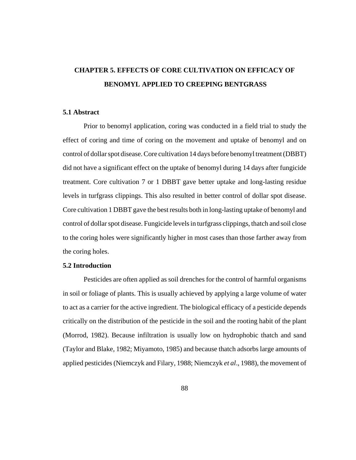# **CHAPTER 5. EFFECTS OF CORE CULTIVATION ON EFFICACY OF BENOMYL APPLIED TO CREEPING BENTGRASS**

#### **5.1 Abstract**

Prior to benomyl application, coring was conducted in a field trial to study the effect of coring and time of coring on the movement and uptake of benomyl and on control of dollar spot disease. Core cultivation 14 days before benomyl treatment (DBBT) did not have a significant effect on the uptake of benomyl during 14 days after fungicide treatment. Core cultivation 7 or 1 DBBT gave better uptake and long-lasting residue levels in turfgrass clippings. This also resulted in better control of dollar spot disease. Core cultivation 1 DBBT gave the best results both in long-lasting uptake of benomyl and control of dollar spot disease. Fungicide levels in turfgrass clippings, thatch and soil close to the coring holes were significantly higher in most cases than those farther away from the coring holes.

## **5.2 Introduction**

Pesticides are often applied as soil drenches for the control of harmful organisms in soil or foliage of plants. This is usually achieved by applying a large volume of water to act as a carrier for the active ingredient. The biological efficacy of a pesticide depends critically on the distribution of the pesticide in the soil and the rooting habit of the plant (Morrod, 1982). Because infiltration is usually low on hydrophobic thatch and sand (Taylor and Blake, 1982; Miyamoto, 1985) and because thatch adsorbs large amounts of applied pesticides (Niemczyk and Filary, 1988; Niemczyk *et al*., 1988), the movement of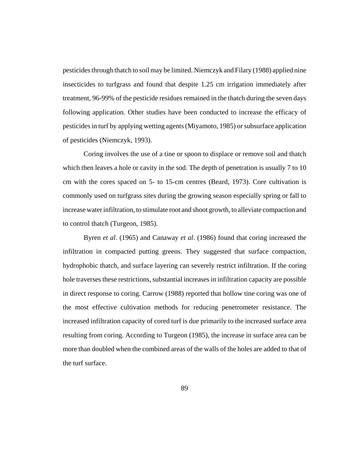pesticides through thatch to soil may be limited. Niemczyk and Filary (1988) applied nine insecticides to turfgrass and found that despite 1.25 cm irrigation immediately after treatment, 96-99% of the pesticide residues remained in the thatch during the seven days following application. Other studies have been conducted to increase the efficacy of pesticides in turf by applying wetting agents (Miyamoto, 1985) or subsurface application of pesticides (Niemczyk, 1993).

Coring involves the use of a tine or spoon to displace or remove soil and thatch which then leaves a hole or cavity in the sod. The depth of penetration is usually 7 to 10 cm with the cores spaced on 5- to 15-cm centres (Beard, 1973). Core cultivation is commonly used on turfgrass sites during the growing season especially spring or fall to increase water infiltration, to stimulate root and shoot growth, to alleviate compaction and to control thatch (Turgeon, 1985).

Byren *et al*. (1965) and Canaway *et al*. (1986) found that coring increased the infiltration in compacted putting greens. They suggested that surface compaction, hydrophobic thatch, and surface layering can severely restrict infiltration. If the coring hole traverses these restrictions, substantial increases in infiltration capacity are possible in direct response to coring. Carrow (1988) reported that hollow tine coring was one of the most effective cultivation methods for reducing penetrometer resistance. The increased infiltration capacity of cored turf is due primarily to the increased surface area resulting from coring. According to Turgeon (1985), the increase in surface area can be more than doubled when the combined areas of the walls of the holes are added to that of the turf surface.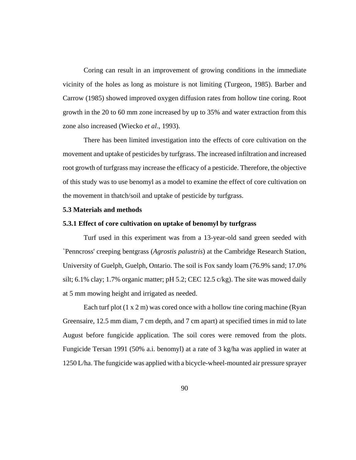Coring can result in an improvement of growing conditions in the immediate vicinity of the holes as long as moisture is not limiting (Turgeon, 1985). Barber and Carrow (1985) showed improved oxygen diffusion rates from hollow tine coring. Root growth in the 20 to 60 mm zone increased by up to 35% and water extraction from this zone also increased (Wiecko *et al*., 1993).

There has been limited investigation into the effects of core cultivation on the movement and uptake of pesticides by turfgrass. The increased infiltration and increased root growth of turfgrass may increase the efficacy of a pesticide. Therefore, the objective of this study was to use benomyl as a model to examine the effect of core cultivation on the movement in thatch/soil and uptake of pesticide by turfgrass.

#### **5.3 Materials and methods**

#### **5.3.1 Effect of core cultivation on uptake of benomyl by turfgrass**

Turf used in this experiment was from a 13-year-old sand green seeded with `Penncross' creeping bentgrass (*Agrostis palustris*) at the Cambridge Research Station, University of Guelph, Guelph, Ontario. The soil is Fox sandy loam (76.9% sand; 17.0% silt; 6.1% clay; 1.7% organic matter; pH 5.2; CEC 12.5 c/kg). The site was mowed daily at 5 mm mowing height and irrigated as needed.

Each turf plot  $(1 \times 2 \text{ m})$  was cored once with a hollow tine coring machine (Ryan) Greensaire, 12.5 mm diam, 7 cm depth, and 7 cm apart) at specified times in mid to late August before fungicide application. The soil cores were removed from the plots. Fungicide Tersan 1991 (50% a.i. benomyl) at a rate of 3 kg/ha was applied in water at 1250 L/ha. The fungicide was applied with a bicycle-wheel-mounted air pressure sprayer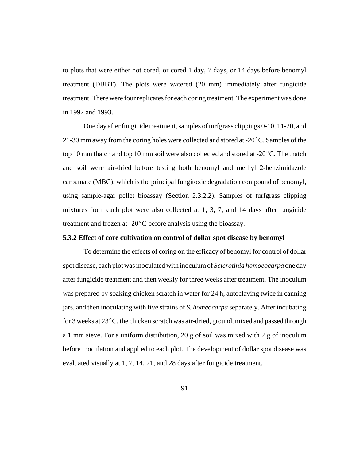to plots that were either not cored, or cored 1 day, 7 days, or 14 days before benomyl treatment (DBBT). The plots were watered (20 mm) immediately after fungicide treatment. There were four replicates for each coring treatment. The experiment was done in 1992 and 1993.

One day after fungicide treatment, samples of turfgrass clippings 0-10, 11-20, and 21-30 mm away from the coring holes were collected and stored at -20 $^{\circ}$ C. Samples of the top 10 mm thatch and top 10 mm soil were also collected and stored at  $-20^{\circ}$ C. The thatch and soil were air-dried before testing both benomyl and methyl 2-benzimidazole carbamate (MBC), which is the principal fungitoxic degradation compound of benomyl, using sample-agar pellet bioassay (Section 2.3.2.2). Samples of turfgrass clipping mixtures from each plot were also collected at 1, 3, 7, and 14 days after fungicide treatment and frozen at  $-20^{\circ}$ C before analysis using the bioassay.

#### **5.3.2 Effect of core cultivation on control of dollar spot disease by benomyl**

To determine the effects of coring on the efficacy of benomyl for control of dollar spot disease, each plot was inoculated with inoculum of *Sclerotinia homoeocarpa* one day after fungicide treatment and then weekly for three weeks after treatment. The inoculum was prepared by soaking chicken scratch in water for 24 h, autoclaving twice in canning jars, and then inoculating with five strains of *S. homeocarpa* separately. After incubating for 3 weeks at  $23^{\circ}$ C, the chicken scratch was air-dried, ground, mixed and passed through a 1 mm sieve. For a uniform distribution, 20 g of soil was mixed with 2 g of inoculum before inoculation and applied to each plot. The development of dollar spot disease was evaluated visually at 1, 7, 14, 21, and 28 days after fungicide treatment.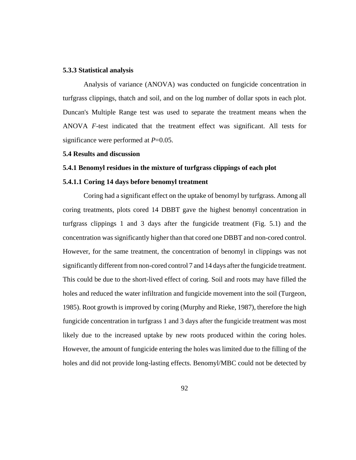#### **5.3.3 Statistical analysis**

Analysis of variance (ANOVA) was conducted on fungicide concentration in turfgrass clippings, thatch and soil, and on the log number of dollar spots in each plot. Duncan's Multiple Range test was used to separate the treatment means when the ANOVA *F*-test indicated that the treatment effect was significant. All tests for significance were performed at *P*=0.05.

#### **5.4 Results and discussion**

#### **5.4.1 Benomyl residues in the mixture of turfgrass clippings of each plot**

#### **5.4.1.1 Coring 14 days before benomyl treatment**

Coring had a significant effect on the uptake of benomyl by turfgrass. Among all coring treatments, plots cored 14 DBBT gave the highest benomyl concentration in turfgrass clippings 1 and 3 days after the fungicide treatment (Fig. 5.1) and the concentration was significantly higher than that cored one DBBT and non-cored control. However, for the same treatment, the concentration of benomyl in clippings was not significantly different from non-cored control 7 and 14 days after the fungicide treatment. This could be due to the short-lived effect of coring. Soil and roots may have filled the holes and reduced the water infiltration and fungicide movement into the soil (Turgeon, 1985). Root growth is improved by coring (Murphy and Rieke, 1987), therefore the high fungicide concentration in turfgrass 1 and 3 days after the fungicide treatment was most likely due to the increased uptake by new roots produced within the coring holes. However, the amount of fungicide entering the holes was limited due to the filling of the holes and did not provide long-lasting effects. Benomyl/MBC could not be detected by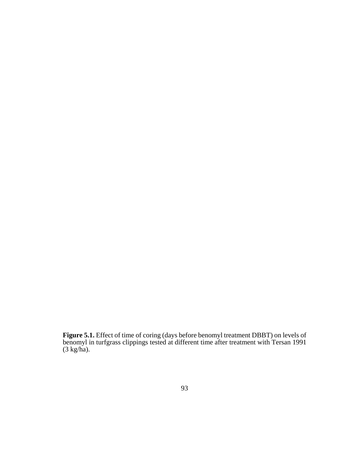**Figure 5.1.** Effect of time of coring (days before benomyl treatment DBBT) on levels of benomyl in turfgrass clippings tested at different time after treatment with Tersan 1991 (3 kg/ha).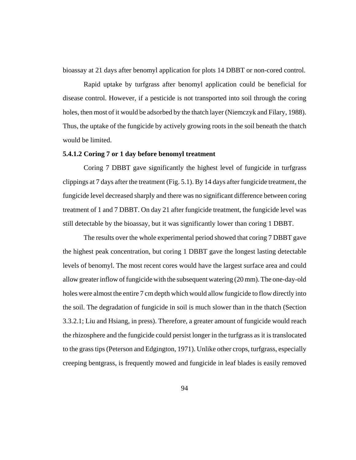bioassay at 21 days after benomyl application for plots 14 DBBT or non-cored control.

Rapid uptake by turfgrass after benomyl application could be beneficial for disease control. However, if a pesticide is not transported into soil through the coring holes, then most of it would be adsorbed by the thatch layer (Niemczyk and Filary, 1988). Thus, the uptake of the fungicide by actively growing roots in the soil beneath the thatch would be limited.

## **5.4.1.2 Coring 7 or 1 day before benomyl treatment**

Coring 7 DBBT gave significantly the highest level of fungicide in turfgrass clippings at 7 days after the treatment (Fig. 5.1). By 14 days after fungicide treatment, the fungicide level decreased sharply and there was no significant difference between coring treatment of 1 and 7 DBBT. On day 21 after fungicide treatment, the fungicide level was still detectable by the bioassay, but it was significantly lower than coring 1 DBBT.

The results over the whole experimental period showed that coring 7 DBBT gave the highest peak concentration, but coring 1 DBBT gave the longest lasting detectable levels of benomyl. The most recent cores would have the largest surface area and could allow greater inflow of fungicide with the subsequent watering (20 mm). The one-day-old holes were almost the entire 7 cm depth which would allow fungicide to flow directly into the soil. The degradation of fungicide in soil is much slower than in the thatch (Section 3.3.2.1; Liu and Hsiang, in press). Therefore, a greater amount of fungicide would reach the rhizosphere and the fungicide could persist longer in the turfgrass as it is translocated to the grass tips (Peterson and Edgington, 1971). Unlike other crops, turfgrass, especially creeping bentgrass, is frequently mowed and fungicide in leaf blades is easily removed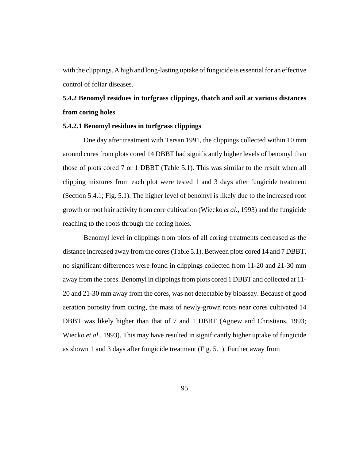with the clippings. A high and long-lasting uptake of fungicide is essential for an effective control of foliar diseases.

## **5.4.2 Benomyl residues in turfgrass clippings, thatch and soil at various distances from coring holes**

## **5.4.2.1 Benomyl residues in turfgrass clippings**

One day after treatment with Tersan 1991, the clippings collected within 10 mm around cores from plots cored 14 DBBT had significantly higher levels of benomyl than those of plots cored 7 or 1 DBBT (Table 5.1). This was similar to the result when all clipping mixtures from each plot were tested 1 and 3 days after fungicide treatment (Section 5.4.1; Fig. 5.1). The higher level of benomyl is likely due to the increased root growth or root hair activity from core cultivation (Wiecko *et al*., 1993) and the fungicide reaching to the roots through the coring holes.

Benomyl level in clippings from plots of all coring treatments decreased as the distance increased away from the cores (Table 5.1). Between plots cored 14 and 7 DBBT, no significant differences were found in clippings collected from 11-20 and 21-30 mm away from the cores. Benomyl in clippings from plots cored 1 DBBT and collected at 11- 20 and 21-30 mm away from the cores, was not detectable by bioassay. Because of good aeration porosity from coring, the mass of newly-grown roots near cores cultivated 14 DBBT was likely higher than that of 7 and 1 DBBT (Agnew and Christians, 1993; Wiecko *et al*., 1993). This may have resulted in significantly higher uptake of fungicide as shown 1 and 3 days after fungicide treatment (Fig. 5.1). Further away from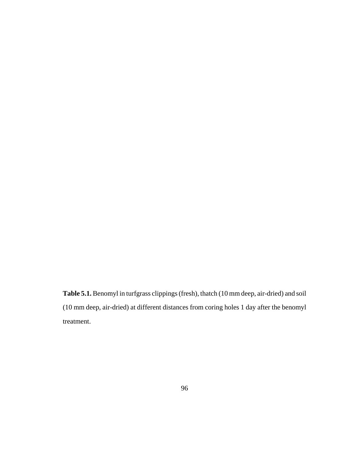**Table 5.1.** Benomyl in turfgrass clippings (fresh), thatch (10 mm deep, air-dried) and soil (10 mm deep, air-dried) at different distances from coring holes 1 day after the benomyl treatment.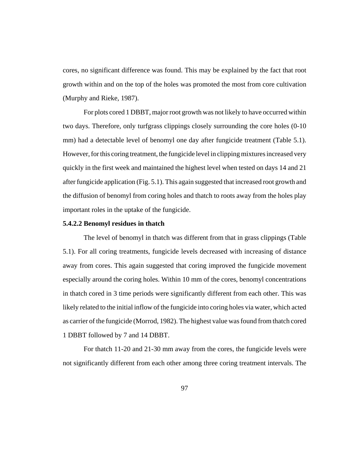cores, no significant difference was found. This may be explained by the fact that root growth within and on the top of the holes was promoted the most from core cultivation (Murphy and Rieke, 1987).

For plots cored 1 DBBT, major root growth was not likely to have occurred within two days. Therefore, only turfgrass clippings closely surrounding the core holes (0-10 mm) had a detectable level of benomyl one day after fungicide treatment (Table 5.1). However, for this coring treatment, the fungicide level in clipping mixtures increased very quickly in the first week and maintained the highest level when tested on days 14 and 21 after fungicide application (Fig. 5.1). This again suggested that increased root growth and the diffusion of benomyl from coring holes and thatch to roots away from the holes play important roles in the uptake of the fungicide.

## **5.4.2.2 Benomyl residues in thatch**

The level of benomyl in thatch was different from that in grass clippings (Table 5.1). For all coring treatments, fungicide levels decreased with increasing of distance away from cores. This again suggested that coring improved the fungicide movement especially around the coring holes. Within 10 mm of the cores, benomyl concentrations in thatch cored in 3 time periods were significantly different from each other. This was likely related to the initial inflow of the fungicide into coring holes via water, which acted as carrier of the fungicide (Morrod, 1982). The highest value was found from thatch cored 1 DBBT followed by 7 and 14 DBBT.

For thatch 11-20 and 21-30 mm away from the cores, the fungicide levels were not significantly different from each other among three coring treatment intervals. The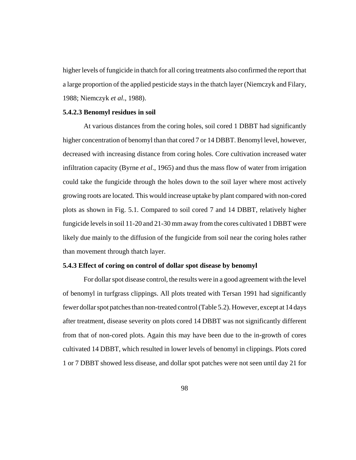higher levels of fungicide in thatch for all coring treatments also confirmed the report that a large proportion of the applied pesticide stays in the thatch layer (Niemczyk and Filary, 1988; Niemczyk *et al*., 1988).

#### **5.4.2.3 Benomyl residues in soil**

At various distances from the coring holes, soil cored 1 DBBT had significantly higher concentration of benomyl than that cored 7 or 14 DBBT. Benomyl level, however, decreased with increasing distance from coring holes. Core cultivation increased water infiltration capacity (Byrne *et al*., 1965) and thus the mass flow of water from irrigation could take the fungicide through the holes down to the soil layer where most actively growing roots are located. This would increase uptake by plant compared with non-cored plots as shown in Fig. 5.1. Compared to soil cored 7 and 14 DBBT, relatively higher fungicide levels in soil 11-20 and 21-30 mm away from the cores cultivated 1 DBBT were likely due mainly to the diffusion of the fungicide from soil near the coring holes rather than movement through thatch layer.

## **5.4.3 Effect of coring on control of dollar spot disease by benomyl**

For dollar spot disease control, the results were in a good agreement with the level of benomyl in turfgrass clippings. All plots treated with Tersan 1991 had significantly fewer dollar spot patches than non-treated control (Table 5.2). However, except at 14 days after treatment, disease severity on plots cored 14 DBBT was not significantly different from that of non-cored plots. Again this may have been due to the in-growth of cores cultivated 14 DBBT, which resulted in lower levels of benomyl in clippings. Plots cored 1 or 7 DBBT showed less disease, and dollar spot patches were not seen until day 21 for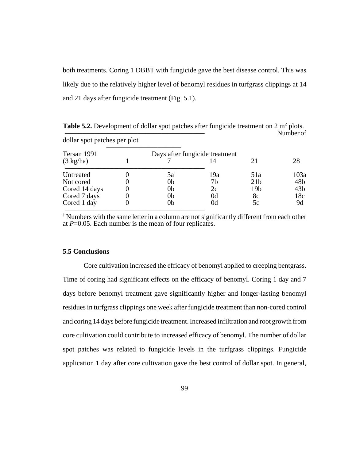both treatments. Coring 1 DBBT with fungicide gave the best disease control. This was likely due to the relatively higher level of benomyl residues in turfgrass clippings at 14 and 21 days after fungicide treatment (Fig. 5.1).

| dollar spot patches per plot |                |                                |                 | Number of       |
|------------------------------|----------------|--------------------------------|-----------------|-----------------|
| Tersan 1991                  |                | Days after fungicide treatment |                 |                 |
| $(3 \text{ kg/ha})$          |                |                                | 21              | 28              |
| Untreated                    | $3a^{\dagger}$ | 19a                            | 51a             | 103a            |
| Not cored                    | 0b             | 7b                             | 21 <sub>b</sub> | 48b             |
| Cored 14 days                | 0b             | 2c                             | 19 <sub>b</sub> | 43 <sub>b</sub> |
| Cored 7 days                 | 0b             | 0d                             | 8c              | 18c             |
| Cored 1 day                  | 0b             | 0d                             | 5c              | 9d              |

**Table 5.2.** Development of dollar spot patches after fungicide treatment on  $2 \text{ m}^2$  plots.

† Numbers with the same letter in a column are not significantly different from each other at  $P=0.05$ . Each number is the mean of four replicates.

#### **5.5 Conclusions**

Core cultivation increased the efficacy of benomyl applied to creeping bentgrass. Time of coring had significant effects on the efficacy of benomyl. Coring 1 day and 7 days before benomyl treatment gave significantly higher and longer-lasting benomyl residues in turfgrass clippings one week after fungicide treatment than non-cored control and coring 14 days before fungicide treatment. Increased infiltration and root growth from core cultivation could contribute to increased efficacy of benomyl. The number of dollar spot patches was related to fungicide levels in the turfgrass clippings. Fungicide application 1 day after core cultivation gave the best control of dollar spot. In general,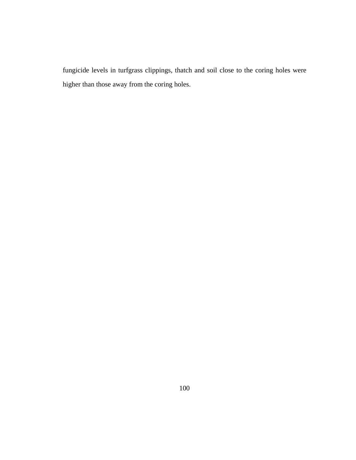fungicide levels in turfgrass clippings, thatch and soil close to the coring holes were higher than those away from the coring holes.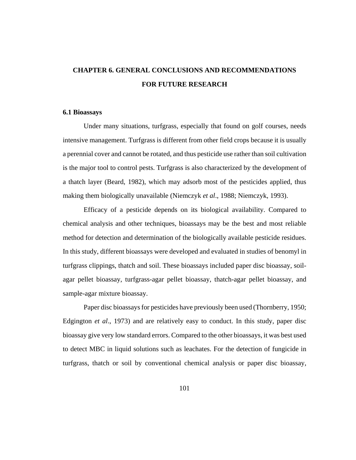# **CHAPTER 6. GENERAL CONCLUSIONS AND RECOMMENDATIONS FOR FUTURE RESEARCH**

## **6.1 Bioassays**

Under many situations, turfgrass, especially that found on golf courses, needs intensive management. Turfgrass is different from other field crops because it is usually a perennial cover and cannot be rotated, and thus pesticide use rather than soil cultivation is the major tool to control pests. Turfgrass is also characterized by the development of a thatch layer (Beard, 1982), which may adsorb most of the pesticides applied, thus making them biologically unavailable (Niemczyk *et al*., 1988; Niemczyk, 1993).

Efficacy of a pesticide depends on its biological availability. Compared to chemical analysis and other techniques, bioassays may be the best and most reliable method for detection and determination of the biologically available pesticide residues. In this study, different bioassays were developed and evaluated in studies of benomyl in turfgrass clippings, thatch and soil. These bioassays included paper disc bioassay, soilagar pellet bioassay, turfgrass-agar pellet bioassay, thatch-agar pellet bioassay, and sample-agar mixture bioassay.

Paper disc bioassays for pesticides have previously been used (Thornberry, 1950; Edgington *et al*., 1973) and are relatively easy to conduct. In this study, paper disc bioassay give very low standard errors. Compared to the other bioassays, it was best used to detect MBC in liquid solutions such as leachates. For the detection of fungicide in turfgrass, thatch or soil by conventional chemical analysis or paper disc bioassay,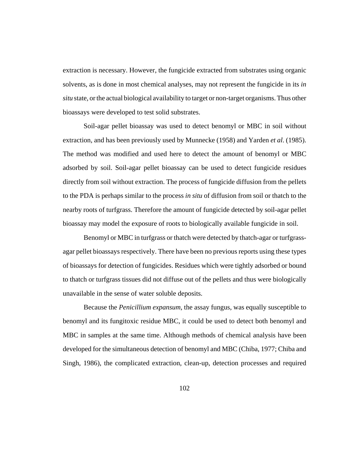extraction is necessary. However, the fungicide extracted from substrates using organic solvents, as is done in most chemical analyses, may not represent the fungicide in its *in situ* state, or the actual biological availability to target or non-target organisms. Thus other bioassays were developed to test solid substrates.

Soil-agar pellet bioassay was used to detect benomyl or MBC in soil without extraction, and has been previously used by Munnecke (1958) and Yarden *et al*. (1985). The method was modified and used here to detect the amount of benomyl or MBC adsorbed by soil. Soil-agar pellet bioassay can be used to detect fungicide residues directly from soil without extraction. The process of fungicide diffusion from the pellets to the PDA is perhaps similar to the process *in situ* of diffusion from soil or thatch to the nearby roots of turfgrass. Therefore the amount of fungicide detected by soil-agar pellet bioassay may model the exposure of roots to biologically available fungicide in soil.

Benomyl or MBC in turfgrass or thatch were detected by thatch-agar or turfgrassagar pellet bioassays respectively. There have been no previous reports using these types of bioassays for detection of fungicides. Residues which were tightly adsorbed or bound to thatch or turfgrass tissues did not diffuse out of the pellets and thus were biologically unavailable in the sense of water soluble deposits.

Because the *Penicillium expansum*, the assay fungus, was equally susceptible to benomyl and its fungitoxic residue MBC, it could be used to detect both benomyl and MBC in samples at the same time. Although methods of chemical analysis have been developed for the simultaneous detection of benomyl and MBC (Chiba, 1977; Chiba and Singh, 1986), the complicated extraction, clean-up, detection processes and required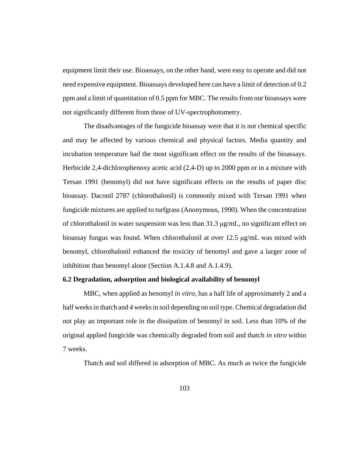equipment limit their use. Bioassays, on the other hand, were easy to operate and did not need expensive equipment. Bioassays developed here can have a limit of detection of 0.2 ppm and a limit of quantitation of 0.5 ppm for MBC. The results from our bioassays were not significantly different from those of UV-spectrophotometry.

The disadvantages of the fungicide bioassay were that it is not chemical specific and may be affected by various chemical and physical factors. Media quantity and incubation temperature had the most significant effect on the results of the bioassays. Herbicide 2,4-dichlorophenoxy acetic acid (2,4-D) up to 2000 ppm or in a mixture with Tersan 1991 (benomyl) did not have significant effects on the results of paper disc bioassay. Daconil 2787 (chlorothalonil) is commonly mixed with Tersan 1991 when fungicide mixtures are applied to turfgrass (Anonymous, 1990). When the concentration of chlorothalonil in water suspension was less than  $31.3 \mu g/mL$ , no significant effect on bioassay fungus was found. When chlorothalonil at over 12.5 μg/mL was mixed with benomyl, chlorothalonil enhanced the toxicity of benomyl and gave a larger zone of inhibition than benomyl alone (Section A.1.4.8 and A.1.4.9).

# **6.2 Degradation, adsorption and biological availability of benomyl**

MBC, when applied as benomyl *in vitro*, has a half life of approximately 2 and a half weeks in thatch and 4 weeks in soil depending on soil type. Chemical degradation did not play an important role in the dissipation of benomyl in soil. Less than 10% of the original applied fungicide was chemically degraded from soil and thatch *in vitro* within 7 weeks.

Thatch and soil differed in adsorption of MBC. As much as twice the fungicide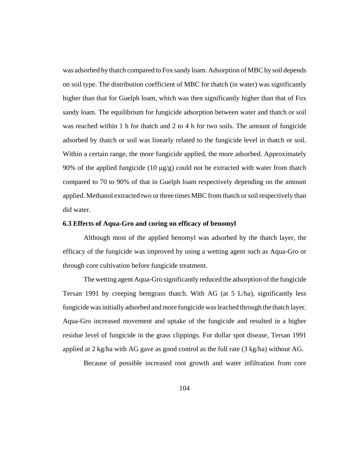was adsorbed by thatch compared to Fox sandy loam. Adsorption of MBC by soil depends on soil type. The distribution coefficient of MBC for thatch (in water) was significantly higher than that for Guelph loam, which was then significantly higher than that of Fox sandy loam. The equilibrium for fungicide adsorption between water and thatch or soil was reached within 1 h for thatch and 2 to 4 h for two soils. The amount of fungicide adsorbed by thatch or soil was linearly related to the fungicide level in thatch or soil. Within a certain range, the more fungicide applied, the more adsorbed. Approximately 90% of the applied fungicide (10 μg/g) could not be extracted with water from thatch compared to 70 to 90% of that in Guelph loam respectively depending on the amount applied. Methanol extracted two or three times MBC from thatch or soil respectively than did water.

#### **6.3 Effects of Aqua-Gro and coring on efficacy of benomyl**

Although most of the applied benomyl was adsorbed by the thatch layer, the efficacy of the fungicide was improved by using a wetting agent such as Aqua-Gro or through core cultivation before fungicide treatment.

The wetting agent Aqua-Gro significantly reduced the adsorption of the fungicide Tersan 1991 by creeping bentgrass thatch. With AG (at 5 L/ha), significantly less fungicide was initially adsorbed and more fungicide was leached through the thatch layer. Aqua-Gro increased movement and uptake of the fungicide and resulted in a higher residue level of fungicide in the grass clippings. For dollar spot disease, Tersan 1991 applied at 2 kg/ha with AG gave as good control as the full rate (3 kg/ha) without AG.

Because of possible increased root growth and water infiltration from core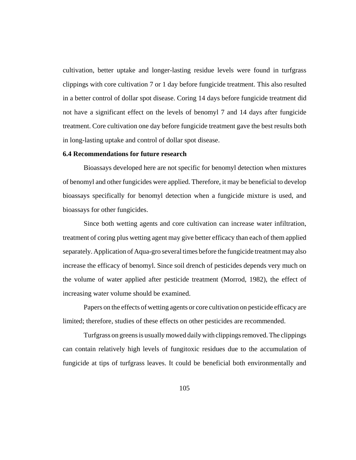cultivation, better uptake and longer-lasting residue levels were found in turfgrass clippings with core cultivation 7 or 1 day before fungicide treatment. This also resulted in a better control of dollar spot disease. Coring 14 days before fungicide treatment did not have a significant effect on the levels of benomyl 7 and 14 days after fungicide treatment. Core cultivation one day before fungicide treatment gave the best results both in long-lasting uptake and control of dollar spot disease.

### **6.4 Recommendations for future research**

Bioassays developed here are not specific for benomyl detection when mixtures of benomyl and other fungicides were applied. Therefore, it may be beneficial to develop bioassays specifically for benomyl detection when a fungicide mixture is used, and bioassays for other fungicides.

Since both wetting agents and core cultivation can increase water infiltration, treatment of coring plus wetting agent may give better efficacy than each of them applied separately. Application of Aqua-gro several times before the fungicide treatment may also increase the efficacy of benomyl. Since soil drench of pesticides depends very much on the volume of water applied after pesticide treatment (Morrod, 1982), the effect of increasing water volume should be examined.

Papers on the effects of wetting agents or core cultivation on pesticide efficacy are limited; therefore, studies of these effects on other pesticides are recommended.

Turfgrass on greens is usually mowed daily with clippings removed. The clippings can contain relatively high levels of fungitoxic residues due to the accumulation of fungicide at tips of turfgrass leaves. It could be beneficial both environmentally and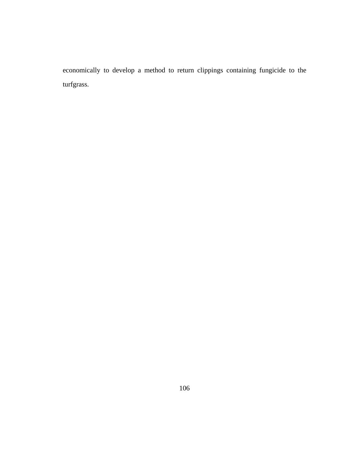economically to develop a method to return clippings containing fungicide to the turfgrass.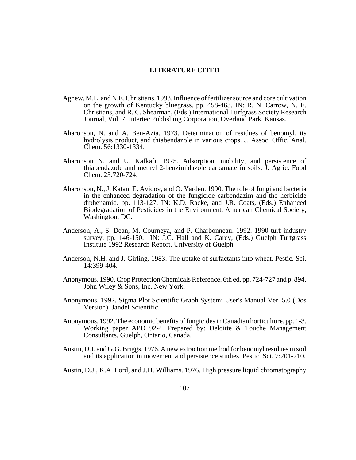## **LITERATURE CITED**

- Agnew, M.L. and N.E. Christians. 1993. Influence of fertilizer source and core cultivation on the growth of Kentucky bluegrass. pp. 458-463. IN: R. N. Carrow, N. E. Christians, and R. C. Shearman, (Eds.) International Turfgrass Society Research Journal, Vol. 7. Intertec Publishing Corporation, Overland Park, Kansas.
- Aharonson, N. and A. Ben-Azia. 1973. Determination of residues of benomyl, its hydrolysis product, and thiabendazole in various crops. J. Assoc. Offic. Anal. Chem. 56:1330-1334.
- Aharonson N. and U. Kafkafi. 1975. Adsorption, mobility, and persistence of thiabendazole and methyl 2-benzimidazole carbamate in soils. J. Agric. Food Chem. 23:720-724.
- Aharonson, N., J. Katan, E. Avidov, and O. Yarden. 1990. The role of fungi and bacteria in the enhanced degradation of the fungicide carbendazim and the herbicide diphenamid. pp. 113-127. IN: K.D. Racke, and J.R. Coats, (Eds.) Enhanced Biodegradation of Pesticides in the Environment. American Chemical Society, Washington, DC.
- Anderson, A., S. Dean, M. Courneya, and P. Charbonneau. 1992. 1990 turf industry survey. pp. 146-150. IN: J.C. Hall and K. Carey, (Eds.) Guelph Turfgrass Institute 1992 Research Report. University of Guelph.
- Anderson, N.H. and J. Girling. 1983. The uptake of surfactants into wheat. Pestic. Sci. 14:399-404.
- Anonymous. 1990. Crop Protection Chemicals Reference. 6th ed. pp. 724-727 and p. 894. John Wiley & Sons, Inc. New York.
- Anonymous. 1992. Sigma Plot Scientific Graph System: User's Manual Ver. 5.0 (Dos Version). Jandel Scientific.
- Anonymous. 1992. The economic benefits of fungicides in Canadian horticulture. pp. 1-3. Working paper APD 92-4. Prepared by: Deloitte & Touche Management Consultants, Guelph, Ontario, Canada.
- Austin, D.J. and G.G. Briggs. 1976. A new extraction method for benomyl residues in soil and its application in movement and persistence studies. Pestic. Sci. 7:201-210.
- Austin, D.J., K.A. Lord, and J.H. Williams. 1976. High pressure liquid chromatography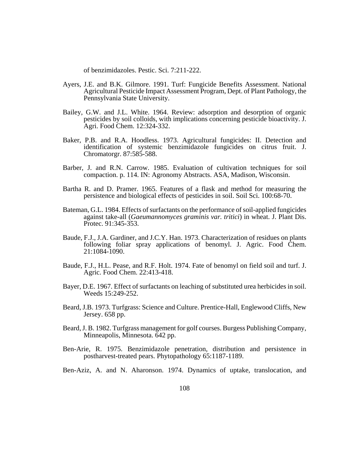of benzimidazoles. Pestic. Sci. 7:211-222.

- Ayers, J.E. and B.K. Gilmore. 1991. Turf: Fungicide Benefits Assessment. National Agricultural Pesticide Impact Assessment Program, Dept. of Plant Pathology, the Pennsylvania State University.
- Bailey, G.W. and J.L. White. 1964. Review: adsorption and desorption of organic pesticides by soil colloids, with implications concerning pesticide bioactivity. J. Agri. Food Chem. 12:324-332.
- Baker, P.B. and R.A. Hoodless. 1973. Agricultural fungicides: II. Detection and identification of systemic benzimidazole fungicides on citrus fruit. J. Chromatorgr. 87:585-588.
- Barber, J. and R.N. Carrow. 1985. Evaluation of cultivation techniques for soil compaction. p. 114. IN: Agronomy Abstracts. ASA, Madison, Wisconsin.
- Bartha R. and D. Pramer. 1965. Features of a flask and method for measuring the persistence and biological effects of pesticides in soil. Soil Sci. 100:68-70.
- Bateman, G.L. 1984. Effects of surfactants on the performance of soil-applied fungicides against take-all (*Gaeumannomyces graminis var. tritici*) in wheat. J. Plant Dis. Protec. 91:345-353.
- Baude, F.J., J.A. Gardiner, and J.C.Y. Han. 1973. Characterization of residues on plants following foliar spray applications of benomyl. J. Agric. Food Chem. 21:1084-1090.
- Baude, F.J., H.L. Pease, and R.F. Holt. 1974. Fate of benomyl on field soil and turf. J. Agric. Food Chem. 22:413-418.
- Bayer, D.E. 1967. Effect of surfactants on leaching of substituted urea herbicides in soil. Weeds 15:249-252.
- Beard, J.B. 1973. Turfgrass: Science and Culture. Prentice-Hall, Englewood Cliffs, New Jersey. 658 pp.
- Beard, J. B. 1982. Turfgrass management for golf courses. Burgess Publishing Company, Minneapolis, Minnesota. 642 pp.
- Ben-Arie, R. 1975. Benzimidazole penetration, distribution and persistence in postharvest-treated pears. Phytopathology 65:1187-1189.
- Ben-Aziz, A. and N. Aharonson. 1974. Dynamics of uptake, translocation, and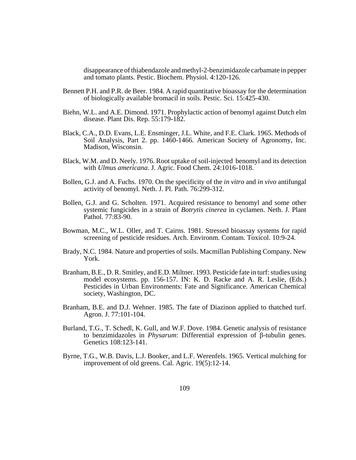disappearance of thiabendazole and methyl-2-benzimidazole carbamate in pepper and tomato plants. Pestic. Biochem. Physiol. 4:120-126.

- Bennett P.H. and P.R. de Beer. 1984. A rapid quantitative bioassay for the determination of biologically available bromacil in soils. Pestic. Sci. 15:425-430.
- Biehn, W.L. and A.E. Dimond. 1971. Prophylactic action of benomyl against Dutch elm disease. Plant Dis. Rep. 55:179-182.
- Black, C.A., D.D. Evans, L.E. Ensminger, J.L. White, and F.E. Clark. 1965. Methods of Soil Analysis, Part 2. pp. 1460-1466. American Society of Agronomy, Inc. Madison, Wisconsin.
- Black, W.M. and D. Neely. 1976. Root uptake of soil-injected benomyl and its detection with *Ulmus americana*. J. Agric. Food Chem. 24:1016-1018.
- Bollen, G.J. and A. Fuchs. 1970. On the specificity of the *in vitro* and *in vivo* antifungal activity of benomyl. Neth. J. Pl. Path. 76:299-312.
- Bollen, G.J. and G. Scholten. 1971. Acquired resistance to benomyl and some other systemic fungicides in a strain of *Botrytis cinerea* in cyclamen. Neth. J. Plant Pathol. 77:83-90.
- Bowman, M.C., W.L. Oller, and T. Cairns. 1981. Stressed bioassay systems for rapid screening of pesticide residues. Arch. Environm. Contam. Toxicol. 10:9-24.
- Brady, N.C. 1984. Nature and properties of soils. Macmillan Publishing Company. New York.
- Branham, B.E., D. R. Smitley, and E.D. Miltner. 1993. Pesticide fate in turf: studies using model ecosystems. pp. 156-157. IN: K. D. Racke and A. R. Leslie, (Eds.) Pesticides in Urban Environments: Fate and Significance. American Chemical society, Washington, DC.
- Branham, B.E. and D.J. Wehner. 1985. The fate of Diazinon applied to thatched turf. Agron. J. 77:101-104.
- Burland, T.G., T. Schedl, K. Gull, and W.F. Dove. 1984. Genetic analysis of resistance to benzimidazoles in *Physarum*: Differential expression of β-tubulin genes. Genetics 108:123-141.
- Byrne, T.G., W.B. Davis, L.J. Booker, and L.F. Werenfels. 1965. Vertical mulching for improvement of old greens. Cal. Agric. 19(5):12-14.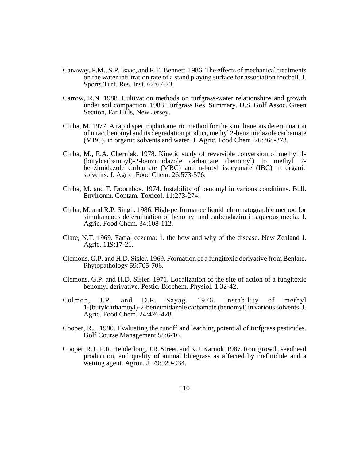- Canaway, P.M., S.P. Isaac, and R.E. Bennett. 1986. The effects of mechanical treatments on the water infiltration rate of a stand playing surface for association football. J. Sports Turf. Res. Inst. 62:67-73.
- Carrow, R.N. 1988. Cultivation methods on turfgrass-water relationships and growth under soil compaction. 1988 Turfgrass Res. Summary. U.S. Golf Assoc. Green Section, Far Hills, New Jersey.
- Chiba, M. 1977. A rapid spectrophotometric method for the simultaneous determination of intact benomyl and its degradation product, methyl 2-benzimidazole carbamate (MBC), in organic solvents and water. J. Agric. Food Chem. 26:368-373.
- Chiba, M., E.A. Cherniak. 1978. Kinetic study of reversible conversion of methyl 1- (butylcarbamoyl)-2-benzimidazole carbamate (benomyl) to methyl 2 benzimidazole carbamate (MBC) and n-butyl isocyanate (IBC) in organic solvents. J. Agric. Food Chem. 26:573-576.
- Chiba, M. and F. Doornbos. 1974. Instability of benomyl in various conditions. Bull. Environm. Contam. Toxicol. 11:273-274.
- Chiba, M. and R.P. Singh. 1986. High-performance liquid chromatographic method for simultaneous determination of benomyl and carbendazim in aqueous media. J. Agric. Food Chem. 34:108-112.
- Clare, N.T. 1969. Facial eczema: 1. the how and why of the disease. New Zealand J. Agric. 119:17-21.
- Clemons, G.P. and H.D. Sisler. 1969. Formation of a fungitoxic derivative from Benlate. Phytopathology 59:705-706.
- Clemons, G.P. and H.D. Sisler. 1971. Localization of the site of action of a fungitoxic benomyl derivative. Pestic. Biochem. Physiol. 1:32-42.
- Colmon, J.P. and D.R. Sayag. 1976. Instability of methyl 1-(butylcarbamoyl)-2-benzimidazole carbamate (benomyl) in various solvents. J. Agric. Food Chem. 24:426-428.
- Cooper, R.J. 1990. Evaluating the runoff and leaching potential of turfgrass pesticides. Golf Course Management 58:6-16.
- Cooper, R.J., P.R. Henderlong, J.R. Street, and K.J. Karnok. 1987. Root growth, seedhead production, and quality of annual bluegrass as affected by mefluidide and a wetting agent. Agron. J. 79:929-934.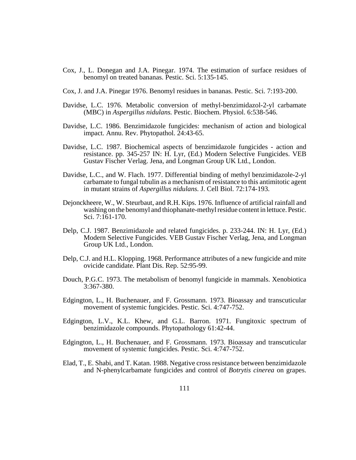- Cox, J., L. Donegan and J.A. Pinegar. 1974. The estimation of surface residues of benomyl on treated bananas. Pestic. Sci. 5:135-145.
- Cox, J. and J.A. Pinegar 1976. Benomyl residues in bananas. Pestic. Sci. 7:193-200.
- Davidse, L.C. 1976. Metabolic conversion of methyl-benzimidazol-2-yl carbamate (MBC) in *Aspergillus nidulans.* Pestic. Biochem. Physiol. 6:538-546.
- Davidse, L.C. 1986. Benzimidazole fungicides: mechanism of action and biological impact. Annu. Rev. Phytopathol. 24:43-65.
- Davidse, L.C. 1987. Biochemical aspects of benzimidazole fungicides action and resistance. pp. 345-257 IN: H. Lyr, (Ed.) Modern Selective Fungicides. VEB Gustav Fischer Verlag. Jena, and Longman Group UK Ltd., London.
- Davidse, L.C., and W. Flach. 1977. Differential binding of methyl benzimidazole-2-yl carbamate to fungal tubulin as a mechanism of resistance to this antimitotic agent in mutant strains of *Aspergillus nidulans.* J. Cell Biol. 72:174-193.
- Dejonckheere, W., W. Steurbaut, and R.H. Kips. 1976. Influence of artificial rainfall and washing on the benomyl and thiophanate-methyl residue content in lettuce. Pestic. Sci. 7:161-170.
- Delp, C.J. 1987. Benzimidazole and related fungicides. p. 233-244. IN: H. Lyr, (Ed.) Modern Selective Fungicides. VEB Gustav Fischer Verlag, Jena, and Longman Group UK Ltd., London.
- Delp, C.J. and H.L. Klopping. 1968. Performance attributes of a new fungicide and mite ovicide candidate. Plant Dis. Rep. 52:95-99.
- Douch, P.G.C. 1973. The metabolism of benomyl fungicide in mammals. Xenobiotica 3:367-380.
- Edgington, L., H. Buchenauer, and F. Grossmann. 1973. Bioassay and transcuticular movement of systemic fungicides. Pestic. Sci. 4:747-752.
- Edgington, L.V., K.L. Khew, and G.L. Barron. 1971. Fungitoxic spectrum of benzimidazole compounds. Phytopathology 61:42-44.
- Edgington, L., H. Buchenauer, and F. Grossmann. 1973. Bioassay and transcuticular movement of systemic fungicides. Pestic. Sci. 4:747-752.
- Elad, T., E. Shabi, and T. Katan. 1988. Negative cross resistance between benzimidazole and N-phenylcarbamate fungicides and control of *Botrytis cinerea* on grapes.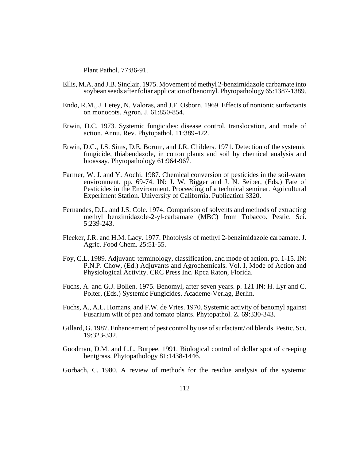Plant Pathol. 77:86-91.

- Ellis, M.A. and J.B. Sinclair. 1975. Movement of methyl 2-benzimidazole carbamate into soybean seeds after foliar application of benomyl. Phytopathology 65:1387-1389.
- Endo, R.M., J. Letey, N. Valoras, and J.F. Osborn. 1969. Effects of nonionic surfactants on monocots. Agron. J. 61:850-854.
- Erwin, D.C. 1973. Systemic fungicides: disease control, translocation, and mode of action. Annu. Rev. Phytopathol. 11:389-422.
- Erwin, D.C., J.S. Sims, D.E. Borum, and J.R. Childers. 1971. Detection of the systemic fungicide, thiabendazole, in cotton plants and soil by chemical analysis and bioassay. Phytopathology 61:964-967.
- Farmer, W. J. and Y. Aochi. 1987. Chemical conversion of pesticides in the soil-water environment. pp. 69-74. IN: J. W. Bigger and J. N. Seiber, (Eds.) Fate of Pesticides in the Environment. Proceeding of a technical seminar. Agricultural Experiment Station. University of California. Publication 3320.
- Fernandes, D.L. and J.S. Cole. 1974. Comparison of solvents and methods of extracting methyl benzimidazole-2-yl-carbamate (MBC) from Tobacco. Pestic. Sci. 5:239-243.
- Fleeker, J.R. and H.M. Lacy. 1977. Photolysis of methyl 2-benzimidazole carbamate. J. Agric. Food Chem. 25:51-55.
- Foy, C.L. 1989. Adjuvant: terminology, classification, and mode of action. pp. 1-15. IN: P.N.P. Chow, (Ed.) Adjuvants and Agrochemicals. Vol. I. Mode of Action and Physiological Activity. CRC Press Inc. Rpca Raton, Florida.
- Fuchs, A. and G.J. Bollen. 1975. Benomyl, after seven years. p. 121 IN: H. Lyr and C. Polter, (Eds.) Systemic Fungicides. Academe-Verlag, Berlin.
- Fuchs, A., A.L. Homans, and F.W. de Vries. 1970. Systemic activity of benomyl against Fusarium wilt of pea and tomato plants. Phytopathol. Z. 69:330-343.
- Gillard, G. 1987. Enhancement of pest control by use of surfactant/ oil blends. Pestic. Sci. 19:323-332.
- Goodman, D.M. and L.L. Burpee. 1991. Biological control of dollar spot of creeping bentgrass. Phytopathology 81:1438-1446.
- Gorbach, C. 1980. A review of methods for the residue analysis of the systemic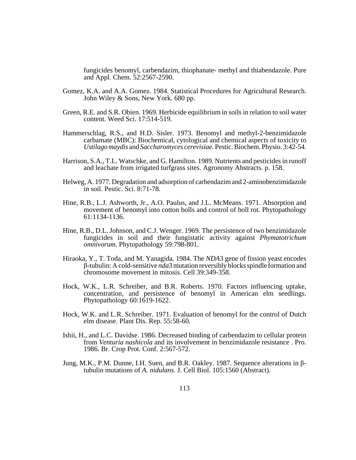fungicides benomyl, carbendazim, thiophanate- methyl and thiabendazole. Pure and Appl. Chem. 52:2567-2590.

- Gomez, K.A. and A.A. Gomez. 1984. Statistical Procedures for Agricultural Research. John Wiley & Sons, New York. 680 pp.
- Green, R.E. and S.R. Obien. 1969. Herbicide equilibrium in soils in relation to soil water content. Weed Sci. 17:514-519.
- Hammerschlag, R.S., and H.D. Sisler. 1973. Benomyl and methyl-2-benzimidazole carbamate (MBC): Biochemical, cytological and chemical aspects of toxicity to *Ustilago maydis* and *Saccharomyces cerevisiae.* Pestic. Biochem. Physio. 3:42-54.
- Harrison, S.A., T.L. Watschke, and G. Hamilton. 1989. Nutrients and pesticides in runoff and leachate from irrigated turfgrass sites. Agronomy Abstracts. p. 158.
- Helweg, A. 1977. Degradation and adsorption of carbendazim and 2-aminobenzimidazole in soil. Pestic. Sci. 8:71-78.
- Hine, R.B., L.J. Ashworth, Jr., A.O. Paulus, and J.L. McMeans. 1971. Absorption and movement of benomyl into cotton bolls and control of boll rot. Phytopathology 61:1134-1136.
- Hine, R.B., D.L. Johnson, and C.J. Wenger. 1969. The persistence of two benzimidazole fungicides in soil and their fungistatic activity against *Phymatotrichum omnivorum*. Phytopathology 59:798-801.
- Hiraoka, Y., T. Toda, and M. Yanagida. 1984. The *NDA*3 gene of fission yeast encodes β-tubulin: A cold-sensitive *nda*3 mutation reversibly blocks spindle formation and chromosome movement in mitosis. Cell 39:349-358.
- Hock, W.K., L.R. Schreiber, and B.R. Roberts. 1970. Factors influencing uptake, concentration, and persistence of benomyl in American elm seedlings. Phytopathology 60:1619-1622.
- Hock, W.K. and L.R. Schreiber. 1971. Evaluation of benomyl for the control of Dutch elm disease. Plant Dis. Rep. 55:58-60.
- Ishii, H., and L.C. Davidse. 1986. Decreased binding of carbendazim to cellular protein from *Venturia nashicola* and its involvement in benzimidazole resistance . Pro. 1986. Br. Crop Prot. Conf. 2:567-572.
- Jung, M.K., P.M. Dunne, I.H. Suen, and B.R. Oakley. 1987. Sequence alterations in βtubulin mutations of *A. nidulans.* J. Cell Biol. 105:1560 (Abstract).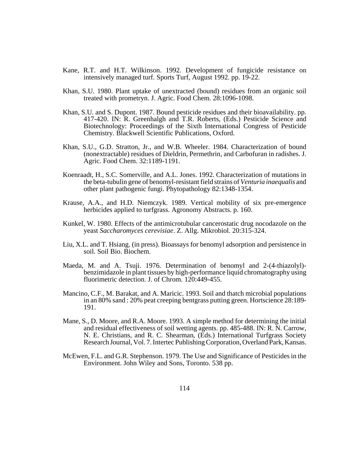- Kane, R.T. and H.T. Wilkinson. 1992. Development of fungicide resistance on intensively managed turf. Sports Turf, August 1992. pp. 19-22.
- Khan, S.U. 1980. Plant uptake of unextracted (bound) residues from an organic soil treated with prometryn. J. Agric. Food Chem. 28:1096-1098.
- Khan, S.U. and S. Dupont. 1987. Bound pesticide residues and their bioavailability. pp. 417-420. IN: R. Greenhalgh and T.R. Roberts, (Eds.) Pesticide Science and Biotechnology: Proceedings of the Sixth International Congress of Pesticide Chemistry. Blackwell Scientific Publications, Oxford.
- Khan, S.U., G.D. Stratton, Jr., and W.B. Wheeler. 1984. Characterization of bound (nonextractable) residues of Dieldrin, Permethrin, and Carbofuran in radishes. J. Agric. Food Chem. 32:1189-1191.
- Koenraadt, H., S.C. Somerville, and A.L. Jones. 1992. Characterization of mutations in the beta-tubulin gene of benomyl-resistant field strains of *Venturia inaequalis* and other plant pathogenic fungi. Phytopathology 82:1348-1354.
- Krause, A.A., and H.D. Niemczyk. 1989. Vertical mobility of six pre-emergence herbicides applied to turfgrass. Agronomy Abstracts. p. 160.
- Kunkel, W. 1980. Effects of the antimicrotubular cancerostatic drug nocodazole on the yeast *Saccharomyces cerevisiae*. Z. Allg. Mikrobiol. 20:315-324.
- Liu, X.L. and T. Hsiang. (in press). Bioassays for benomyl adsorption and persistence in soil. Soil Bio. Biochem.
- Maeda, M. and A. Tsuji. 1976. Determination of benomyl and 2-(4-thiazolyl) benzimidazole in plant tissues by high-performance liquid chromatography using fluorimetric detection. J. of Chrom. 120:449-455.
- Mancino, C.F., M. Barakat, and A. Maricic. 1993. Soil and thatch microbial populations in an 80% sand : 20% peat creeping bentgrass putting green. Hortscience 28:189- 191.
- Mane, S., D. Moore, and R.A. Moore. 1993. A simple method for determining the initial and residual effectiveness of soil wetting agents. pp. 485-488. IN: R. N. Carrow, N. E. Christians, and R. C. Shearman, (Eds.) International Turfgrass Society Research Journal, Vol. 7. Intertec Publishing Corporation, Overland Park, Kansas.
- McEwen, F.L. and G.R. Stephenson. 1979. The Use and Significance of Pesticides in the Environment. John Wiley and Sons, Toronto. 538 pp.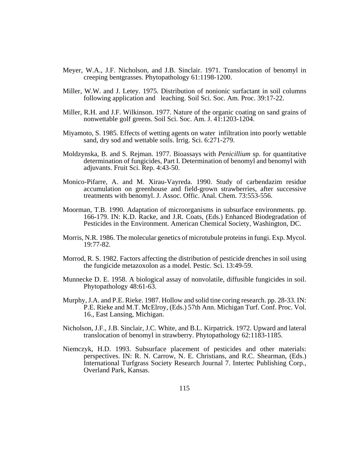- Meyer, W.A., J.F. Nicholson, and J.B. Sinclair. 1971. Translocation of benomyl in creeping bentgrasses. Phytopathology 61:1198-1200.
- Miller, W.W. and J. Letey. 1975. Distribution of nonionic surfactant in soil columns following application and leaching. Soil Sci. Soc. Am. Proc. 39:17-22.
- Miller, R.H. and J.F. Wilkinson. 1977. Nature of the organic coating on sand grains of nonwettable golf greens. Soil Sci. Soc. Am. J. 41:1203-1204.
- Miyamoto, S. 1985. Effects of wetting agents on water infiltration into poorly wettable sand, dry sod and wettable soils. Irrig. Sci. 6:271-279.
- Moldzynska, B. and S. Rejman. 1977. Bioassays with *Penicillium* sp. for quantitative determination of fungicides, Part I. Determination of benomyl and benomyl with adjuvants. Fruit Sci. Rep. 4:43-50.
- Monico-Pifarre, A. and M. Xirau-Vayreda. 1990. Study of carbendazim residue accumulation on greenhouse and field-grown strawberries, after successive treatments with benomyl. J. Assoc. Offic. Anal. Chem. 73:553-556.
- Moorman, T.B. 1990. Adaptation of microorganisms in subsurface environments. pp. 166-179. IN: K.D. Racke, and J.R. Coats, (Eds.) Enhanced Biodegradation of Pesticides in the Environment. American Chemical Society, Washington, DC.
- Morris, N.R. 1986. The molecular genetics of microtubule proteins in fungi. Exp. Mycol. 19:77-82.
- Morrod, R. S. 1982. Factors affecting the distribution of pesticide drenches in soil using the fungicide metazoxolon as a model. Pestic. Sci. 13:49-59.
- Munnecke D. E. 1958. A biological assay of nonvolatile, diffusible fungicides in soil. Phytopathology 48:61-63.
- Murphy, J.A. and P.E. Rieke. 1987. Hollow and solid tine coring research. pp. 28-33. IN: P.E. Rieke and M.T. McElroy, (Eds.) 57th Ann. Michigan Turf. Conf. Proc. Vol. 16., East Lansing, Michigan.
- Nicholson, J.F., J.B. Sinclair, J.C. White, and B.L. Kirpatrick. 1972. Upward and lateral translocation of benomyl in strawberry. Phytopathology 62:1183-1185.
- Niemczyk, H.D. 1993. Subsurface placement of pesticides and other materials: perspectives. IN: R. N. Carrow, N. E. Christians, and R.C. Shearman, (Eds.) International Turfgrass Society Research Journal 7. Intertec Publishing Corp., Overland Park, Kansas.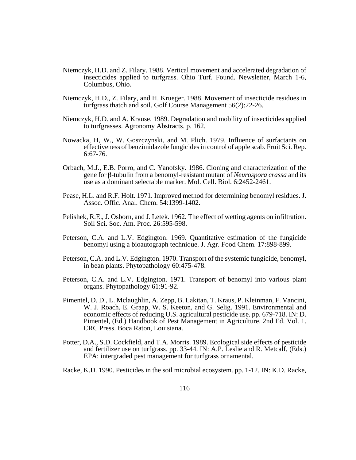- Niemczyk, H.D. and Z. Filary. 1988. Vertical movement and accelerated degradation of insecticides applied to turfgrass. Ohio Turf. Found. Newsletter, March 1-6, Columbus, Ohio.
- Niemczyk, H.D., Z. Filary, and H. Krueger. 1988. Movement of insecticide residues in turfgrass thatch and soil. Golf Course Management 56(2):22-26.
- Niemczyk, H.D. and A. Krause. 1989. Degradation and mobility of insecticides applied to turfgrasses. Agronomy Abstracts. p. 162.
- Nowacka, H, W., W. Goszczynski, and M. Plich. 1979. Influence of surfactants on effectiveness of benzimidazole fungicides in control of apple scab. Fruit Sci. Rep. 6:67-76.
- Orbach, M.J., E.B. Porro, and C. Yanofsky. 1986. Cloning and characterization of the gene for β-tubulin from a benomyl-resistant mutant of *Neurospora crassa* and its use as a dominant selectable marker. Mol. Cell. Biol. 6:2452-2461.
- Pease, H.L. and R.F. Holt. 1971. Improved method for determining benomyl residues. J. Assoc. Offic. Anal. Chem. 54:1399-1402.
- Pelishek, R.E., J. Osborn, and J. Letek. 1962. The effect of wetting agents on infiltration. Soil Sci. Soc. Am. Proc. 26:595-598.
- Peterson, C.A. and L.V. Edgington. 1969. Quantitative estimation of the fungicide benomyl using a bioautograph technique. J. Agr. Food Chem. 17:898-899.
- Peterson, C.A. and L.V. Edgington. 1970. Transport of the systemic fungicide, benomyl, in bean plants. Phytopathology 60:475-478.
- Peterson, C.A. and L.V. Edgington. 1971. Transport of benomyl into various plant organs. Phytopathology 61:91-92.
- Pimentel, D. D., L. Mclaughlin, A. Zepp, B. Lakitan, T. Kraus, P. Kleinman, F. Vancini, W. J. Roach, E. Graap, W. S. Keeton, and G. Selig. 1991. Environmental and economic effects of reducing U.S. agricultural pesticide use. pp. 679-718. IN: D. Pimentel, (Ed.) Handbook of Pest Management in Agriculture. 2nd Ed. Vol. 1. CRC Press. Boca Raton, Louisiana.
- Potter, D.A., S.D. Cockfield, and T.A. Morris. 1989. Ecological side effects of pesticide and fertilizer use on turfgrass. pp. 33-44. IN: A.P. Leslie and R. Metcalf, (Eds.) EPA: intergraded pest management for turfgrass ornamental.
- Racke, K.D. 1990. Pesticides in the soil microbial ecosystem. pp. 1-12. IN: K.D. Racke,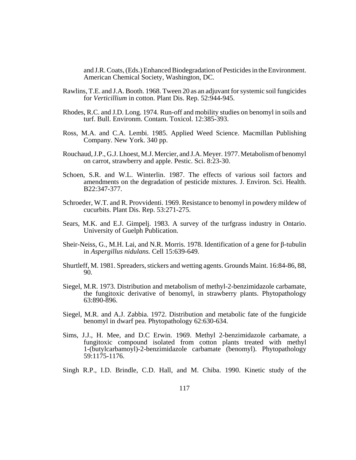and J.R. Coats, (Eds.) Enhanced Biodegradation of Pesticides in the Environment. American Chemical Society, Washington, DC.

- Rawlins, T.E. and J.A. Booth. 1968. Tween 20 as an adjuvant for systemic soil fungicides for *Verticillium* in cotton. Plant Dis. Rep. 52:944-945.
- Rhodes, R.C. and J.D. Long. 1974. Run-off and mobility studies on benomyl in soils and turf. Bull. Environm. Contam. Toxicol. 12:385-393.
- Ross, M.A. and C.A. Lembi. 1985. Applied Weed Science. Macmillan Publishing Company. New York. 340 pp.
- Rouchaud, J.P., G.J. Lhoest, M.J. Mercier, and J.A. Meyer. 1977. Metabolism of benomyl on carrot, strawberry and apple. Pestic. Sci. 8:23-30.
- Schoen, S.R. and W.L. Winterlin. 1987. The effects of various soil factors and amendments on the degradation of pesticide mixtures. J. Environ. Sci. Health. B22:347-377.
- Schroeder, W.T. and R. Provvidenti. 1969. Resistance to benomyl in powdery mildew of cucurbits. Plant Dis. Rep. 53:271-275.
- Sears, M.K. and E.J. Gimpelj. 1983. A survey of the turfgrass industry in Ontario. University of Guelph Publication.
- Sheir-Neiss, G., M.H. Lai, and N.R. Morris. 1978. Identification of a gene for β-tubulin in *Aspergillus nidulans.* Cell 15:639-649.
- Shurtleff, M. 1981. Spreaders, stickers and wetting agents. Grounds Maint. 16:84-86, 88, 90.
- Siegel, M.R. 1973. Distribution and metabolism of methyl-2-benzimidazole carbamate, the fungitoxic derivative of benomyl, in strawberry plants. Phytopathology 63:890-896.
- Siegel, M.R. and A.J. Zabbia. 1972. Distribution and metabolic fate of the fungicide benomyl in dwarf pea. Phytopathology 62:630-634.
- Sims, J.J., H. Mee, and D.C Erwin. 1969. Methyl 2-benzimidazole carbamate, a fungitoxic compound isolated from cotton plants treated with methyl 1-(butylcarbamoyl)-2-benzimidazole carbamate (benomyl). Phytopathology 59:1175-1176.
- Singh R.P., I.D. Brindle, C.D. Hall, and M. Chiba. 1990. Kinetic study of the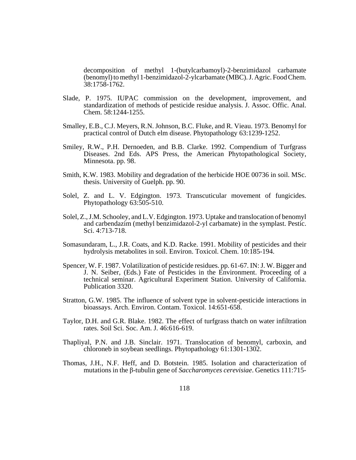decomposition of methyl 1-(butylcarbamoyl)-2-benzimidazol carbamate (benomyl) to methyl 1-benzimidazol-2-ylcarbamate (MBC). J. Agric. Food Chem. 38:1758-1762.

- Slade, P. 1975. IUPAC commission on the development, improvement, and standardization of methods of pesticide residue analysis. J. Assoc. Offic. Anal. Chem. 58:1244-1255.
- Smalley, E.B., C.J. Meyers, R.N. Johnson, B.C. Fluke, and R. Vieau. 1973. Benomyl for practical control of Dutch elm disease. Phytopathology 63:1239-1252.
- Smiley, R.W., P.H. Dernoeden, and B.B. Clarke. 1992. Compendium of Turfgrass Diseases. 2nd Eds. APS Press, the American Phytopathological Society, Minnesota. pp. 98.
- Smith, K.W. 1983. Mobility and degradation of the herbicide HOE 00736 in soil. MSc. thesis. University of Guelph. pp. 90.
- Solel, Z. and L. V. Edgington. 1973. Transcuticular movement of fungicides. Phytopathology 63:505-510.
- Solel, Z., J.M. Schooley, and L.V. Edgington. 1973. Uptake and translocation of benomyl and carbendazim (methyl benzimidazol-2-yl carbamate) in the symplast. Pestic. Sci. 4:713-718.
- Somasundaram, L., J.R. Coats, and K.D. Racke. 1991. Mobility of pesticides and their hydrolysis metabolites in soil. Environ. Toxicol. Chem. 10:185-194.
- Spencer, W. F. 1987. Volatilization of pesticide residues. pp. 61-67. IN: J. W. Bigger and J. N. Seiber, (Eds.) Fate of Pesticides in the Environment. Proceeding of a technical seminar. Agricultural Experiment Station. University of California. Publication 3320.
- Stratton, G.W. 1985. The influence of solvent type in solvent-pesticide interactions in bioassays. Arch. Environ. Contam. Toxicol. 14:651-658.
- Taylor, D.H. and G.R. Blake. 1982. The effect of turfgrass thatch on water infiltration rates. Soil Sci. Soc. Am. J. 46:616-619.
- Thapliyal, P.N. and J.B. Sinclair. 1971. Translocation of benomyl, carboxin, and chloroneb in soybean seedlings. Phytopathology 61:1301-1302.
- Thomas, J.H., N.F. Heff, and D. Botstein. 1985. Isolation and characterization of mutations in the β-tubulin gene of *Saccharomyces cerevisiae*. Genetics 111:715-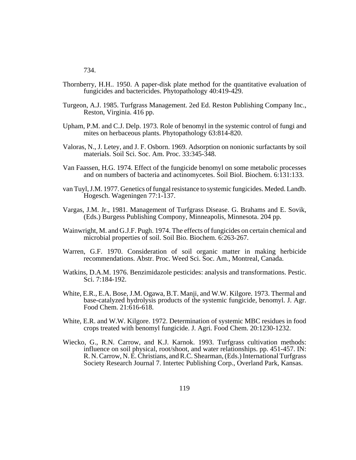734.

- Thornberry, H.H.. 1950. A paper-disk plate method for the quantitative evaluation of fungicides and bactericides. Phytopathology 40:419-429.
- Turgeon, A.J. 1985. Turfgrass Management. 2ed Ed. Reston Publishing Company Inc., Reston, Virginia. 416 pp.
- Upham, P.M. and C.J. Delp. 1973. Role of benomyl in the systemic control of fungi and mites on herbaceous plants. Phytopathology 63:814-820.
- Valoras, N., J. Letey, and J. F. Osborn. 1969. Adsorption on nonionic surfactants by soil materials. Soil Sci. Soc. Am. Proc. 33:345-348.
- Van Faassen, H.G. 1974. Effect of the fungicide benomyl on some metabolic processes and on numbers of bacteria and actinomycetes. Soil Biol. Biochem. 6:131:133.
- van Tuyl, J.M. 1977. Genetics of fungal resistance to systemic fungicides. Meded. Landb. Hogesch. Wageningen 77:1-137.
- Vargas, J.M. Jr., 1981. Management of Turfgrass Disease. G. Brahams and E. Sovik, (Eds.) Burgess Publishing Compony, Minneapolis, Minnesota. 204 pp.
- Wainwright, M. and G.J.F. Pugh. 1974. The effects of fungicides on certain chemical and microbial properties of soil. Soil Bio. Biochem. 6:263-267.
- Warren, G.F. 1970. Consideration of soil organic matter in making herbicide recommendations. Abstr. Proc. Weed Sci. Soc. Am., Montreal, Canada.
- Watkins, D.A.M. 1976. Benzimidazole pesticides: analysis and transformations. Pestic. Sci. 7:184-192.
- White, E.R., E.A. Bose, J.M. Ogawa, B.T. Manji, and W.W. Kilgore. 1973. Thermal and base-catalyzed hydrolysis products of the systemic fungicide, benomyl. J. Agr. Food Chem. 21:616-618.
- White, E.R. and W.W. Kilgore. 1972. Determination of systemic MBC residues in food crops treated with benomyl fungicide. J. Agri. Food Chem. 20:1230-1232.
- Wiecko, G., R.N. Carrow, and K.J. Karnok. 1993. Turfgrass cultivation methods: influence on soil physical, root/shoot, and water relationships. pp. 451-457. IN: R. N. Carrow, N. E. Christians, and R.C. Shearman, (Eds.) International Turfgrass Society Research Journal 7. Intertec Publishing Corp., Overland Park, Kansas.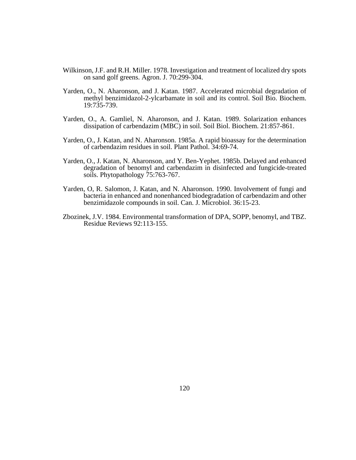- Wilkinson, J.F. and R.H. Miller. 1978. Investigation and treatment of localized dry spots on sand golf greens. Agron. J. 70:299-304.
- Yarden, O., N. Aharonson, and J. Katan. 1987. Accelerated microbial degradation of methyl benzimidazol-2-ylcarbamate in soil and its control. Soil Bio. Biochem. 19:735-739.
- Yarden, O., A. Gamliel, N. Aharonson, and J. Katan. 1989. Solarization enhances dissipation of carbendazim (MBC) in soil. Soil Biol. Biochem. 21:857-861.
- Yarden, O., J. Katan, and N. Aharonson. 1985a. A rapid bioassay for the determination of carbendazim residues in soil. Plant Pathol. 34:69-74.
- Yarden, O., J. Katan, N. Aharonson, and Y. Ben-Yephet. 1985b. Delayed and enhanced degradation of benomyl and carbendazim in disinfected and fungicide-treated soils. Phytopathology 75:763-767.
- Yarden, O, R. Salomon, J. Katan, and N. Aharonson. 1990. Involvement of fungi and bacteria in enhanced and nonenhanced biodegradation of carbendazim and other benzimidazole compounds in soil. Can. J. Microbiol. 36:15-23.
- Zbozinek, J.V. 1984. Environmental transformation of DPA, SOPP, benomyl, and TBZ. Residue Reviews 92:113-155.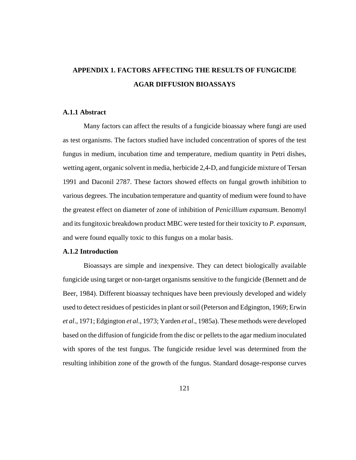# **APPENDIX 1. FACTORS AFFECTING THE RESULTS OF FUNGICIDE AGAR DIFFUSION BIOASSAYS**

#### **A.1.1 Abstract**

Many factors can affect the results of a fungicide bioassay where fungi are used as test organisms. The factors studied have included concentration of spores of the test fungus in medium, incubation time and temperature, medium quantity in Petri dishes, wetting agent, organic solvent in media, herbicide 2,4-D, and fungicide mixture of Tersan 1991 and Daconil 2787. These factors showed effects on fungal growth inhibition to various degrees. The incubation temperature and quantity of medium were found to have the greatest effect on diameter of zone of inhibition of *Penicillium expansum*. Benomyl and its fungitoxic breakdown product MBC were tested for their toxicity to *P. expansum*, and were found equally toxic to this fungus on a molar basis.

## **A.1.2 Introduction**

Bioassays are simple and inexpensive. They can detect biologically available fungicide using target or non-target organisms sensitive to the fungicide (Bennett and de Beer, 1984). Different bioassay techniques have been previously developed and widely used to detect residues of pesticides in plant or soil (Peterson and Edgington, 1969; Erwin *et al*., 1971; Edgington *et al*., 1973; Yarden *et al*., 1985a). These methods were developed based on the diffusion of fungicide from the disc or pellets to the agar medium inoculated with spores of the test fungus. The fungicide residue level was determined from the resulting inhibition zone of the growth of the fungus. Standard dosage-response curves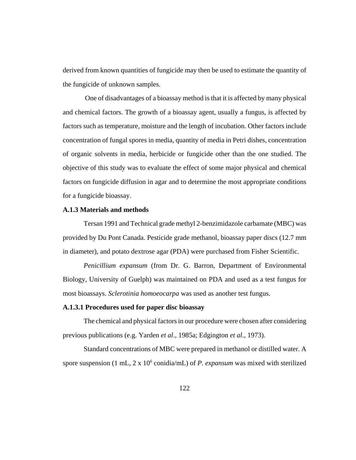derived from known quantities of fungicide may then be used to estimate the quantity of the fungicide of unknown samples.

 One of disadvantages of a bioassay method is that it is affected by many physical and chemical factors. The growth of a bioassay agent, usually a fungus, is affected by factors such as temperature, moisture and the length of incubation. Other factors include concentration of fungal spores in media, quantity of media in Petri dishes, concentration of organic solvents in media, herbicide or fungicide other than the one studied. The objective of this study was to evaluate the effect of some major physical and chemical factors on fungicide diffusion in agar and to determine the most appropriate conditions for a fungicide bioassay.

#### **A.1.3 Materials and methods**

Tersan 1991 and Technical grade methyl 2-benzimidazole carbamate (MBC) was provided by Du Pont Canada. Pesticide grade methanol, bioassay paper discs (12.7 mm in diameter), and potato dextrose agar (PDA) were purchased from Fisher Scientific.

*Penicillium expansum* (from Dr. G. Barron, Department of Environmental Biology, University of Guelph) was maintained on PDA and used as a test fungus for most bioassays. *Sclerotinia homoeocarpa* was used as another test fungus.

## **A.1.3.1 Procedures used for paper disc bioassay**

The chemical and physical factors in our procedure were chosen after considering previous publications (e.g. Yarden *et al*., 1985a; Edgington *et al*., 1973).

Standard concentrations of MBC were prepared in methanol or distilled water. A spore suspension (1 mL, 2 x 10<sup>6</sup> conidia/mL) of *P. expansum* was mixed with sterilized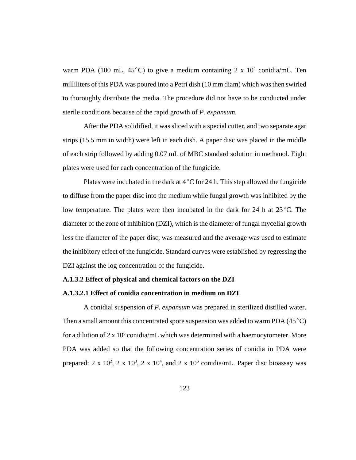warm PDA (100 mL, 45°C) to give a medium containing 2 x  $10^4$  conidia/mL. Ten milliliters of this PDA was poured into a Petri dish (10 mm diam) which was then swirled to thoroughly distribute the media. The procedure did not have to be conducted under sterile conditions because of the rapid growth of *P. expansum*.

After the PDA solidified, it was sliced with a special cutter, and two separate agar strips (15.5 mm in width) were left in each dish. A paper disc was placed in the middle of each strip followed by adding 0.07 mL of MBC standard solution in methanol. Eight plates were used for each concentration of the fungicide.

Plates were incubated in the dark at  $4^{\circ}$ C for 24 h. This step allowed the fungicide to diffuse from the paper disc into the medium while fungal growth was inhibited by the low temperature. The plates were then incubated in the dark for 24 h at  $23^{\circ}$ C. The diameter of the zone of inhibition (DZI), which is the diameter of fungal mycelial growth less the diameter of the paper disc, was measured and the average was used to estimate the inhibitory effect of the fungicide. Standard curves were established by regressing the DZI against the log concentration of the fungicide.

## **A.1.3.2 Effect of physical and chemical factors on the DZI**

# **A.1.3.2.1 Effect of conidia concentration in medium on DZI**

A conidial suspension of *P. expansum* was prepared in sterilized distilled water. Then a small amount this concentrated spore suspension was added to warm PDA  $(45^{\circ}C)$ for a dilution of  $2 \times 10^6$  conidia/mL which was determined with a haemocytometer. More PDA was added so that the following concentration series of conidia in PDA were prepared:  $2 \times 10^2$ ,  $2 \times 10^3$ ,  $2 \times 10^4$ , and  $2 \times 10^5$  conidia/mL. Paper disc bioassay was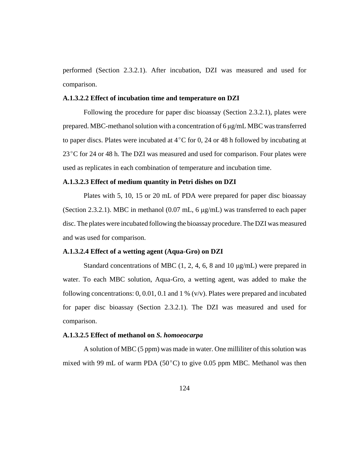performed (Section 2.3.2.1). After incubation, DZI was measured and used for comparison.

#### **A.1.3.2.2 Effect of incubation time and temperature on DZI**

Following the procedure for paper disc bioassay (Section 2.3.2.1), plates were prepared. MBC-methanol solution with a concentration of 6 μg/mL MBC was transferred to paper discs. Plates were incubated at  $4^{\circ}$ C for 0, 24 or 48 h followed by incubating at  $23^{\circ}$ C for 24 or 48 h. The DZI was measured and used for comparison. Four plates were used as replicates in each combination of temperature and incubation time.

## **A.1.3.2.3 Effect of medium quantity in Petri dishes on DZI**

Plates with 5, 10, 15 or 20 mL of PDA were prepared for paper disc bioassay (Section 2.3.2.1). MBC in methanol (0.07 mL, 6 μg/mL) was transferred to each paper disc. The plates were incubated following the bioassay procedure. The DZI was measured and was used for comparison.

#### **A.1.3.2.4 Effect of a wetting agent (Aqua-Gro) on DZI**

Standard concentrations of MBC  $(1, 2, 4, 6, 8, 10 \mu g/mL)$  were prepared in water. To each MBC solution, Aqua-Gro, a wetting agent, was added to make the following concentrations:  $0, 0.01, 0.1$  and  $1\%$  (v/v). Plates were prepared and incubated for paper disc bioassay (Section 2.3.2.1). The DZI was measured and used for comparison.

## **A.1.3.2.5 Effect of methanol on** *S. homoeocarpa*

A solution of MBC (5 ppm) was made in water. One milliliter of this solution was mixed with 99 mL of warm PDA ( $50^{\circ}$ C) to give 0.05 ppm MBC. Methanol was then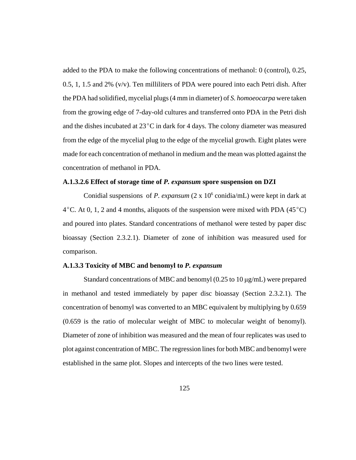added to the PDA to make the following concentrations of methanol: 0 (control), 0.25, 0.5, 1, 1.5 and 2% (v/v). Ten milliliters of PDA were poured into each Petri dish. After the PDA had solidified, mycelial plugs (4 mm in diameter) of *S. homoeocarpa* were taken from the growing edge of 7-day-old cultures and transferred onto PDA in the Petri dish and the dishes incubated at  $23^{\circ}$ C in dark for 4 days. The colony diameter was measured from the edge of the mycelial plug to the edge of the mycelial growth. Eight plates were made for each concentration of methanol in medium and the mean was plotted against the concentration of methanol in PDA.

# **A.1.3.2.6 Effect of storage time of** *P. expansum* **spore suspension on DZI**

Conidial suspensions of *P. expansum* (2 x 10<sup>6</sup> conidia/mL) were kept in dark at  $4^{\circ}$ C. At 0, 1, 2 and 4 months, aliquots of the suspension were mixed with PDA (45 $^{\circ}$ C) and poured into plates. Standard concentrations of methanol were tested by paper disc bioassay (Section 2.3.2.1). Diameter of zone of inhibition was measured used for comparison.

## **A.1.3.3 Toxicity of MBC and benomyl to** *P. expansum*

Standard concentrations of MBC and benomyl (0.25 to 10 μg/mL) were prepared in methanol and tested immediately by paper disc bioassay (Section 2.3.2.1). The concentration of benomyl was converted to an MBC equivalent by multiplying by 0.659 (0.659 is the ratio of molecular weight of MBC to molecular weight of benomyl). Diameter of zone of inhibition was measured and the mean of four replicates was used to plot against concentration of MBC. The regression lines for both MBC and benomyl were established in the same plot. Slopes and intercepts of the two lines were tested.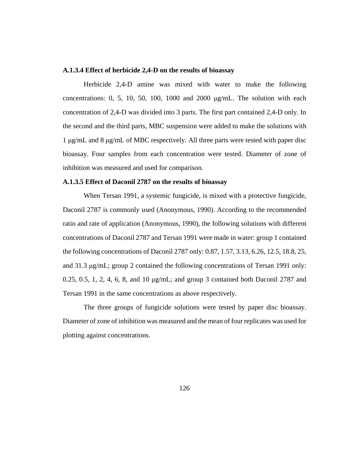#### **A.1.3.4 Effect of herbicide 2,4-D on the results of bioassay**

Herbicide 2,4-D amine was mixed with water to make the following concentrations: 0, 5, 10, 50, 100, 1000 and 2000 μg/mL. The solution with each concentration of 2,4-D was divided into 3 parts. The first part contained 2,4-D only. In the second and the third parts, MBC suspension were added to make the solutions with 1 μg/mL and 8 μg/mL of MBC respectively. All three parts were tested with paper disc bioassay. Four samples from each concentration were tested. Diameter of zone of inhibition was measured and used for comparison.

#### **A.1.3.5 Effect of Daconil 2787 on the results of bioassay**

When Tersan 1991, a systemic fungicide, is mixed with a protective fungicide, Daconil 2787 is commonly used (Anonymous, 1990). According to the recommended ratio and rate of application (Anonymous, 1990), the following solutions with different concentrations of Daconil 2787 and Tersan 1991 were made in water: group 1 contained the following concentrations of Daconil 2787 only: 0.87, 1.57, 3.13, 6.26, 12.5, 18.8, 25, and 31.3 μg/mL; group 2 contained the following concentrations of Tersan 1991 only: 0.25, 0.5, 1, 2, 4, 6, 8, and 10 μg/mL; and group 3 contained both Daconil 2787 and Tersan 1991 in the same concentrations as above respectively.

The three groups of fungicide solutions were tested by paper disc bioassay. Diameter of zone of inhibition was measured and the mean of four replicates was used for plotting against concentrations.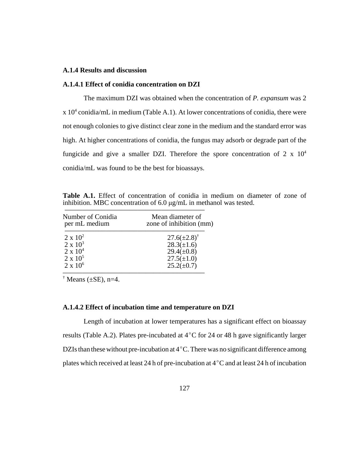# **A.1.4 Results and discussion**

## **A.1.4.1 Effect of conidia concentration on DZI**

The maximum DZI was obtained when the concentration of *P. expansum* was 2  $x 10<sup>4</sup>$  conidia/mL in medium (Table A.1). At lower concentrations of conidia, there were not enough colonies to give distinct clear zone in the medium and the standard error was high. At higher concentrations of conidia, the fungus may adsorb or degrade part of the fungicide and give a smaller DZI. Therefore the spore concentration of  $2 \times 10^4$ conidia/mL was found to be the best for bioassays.

| Number of Conidia<br>per mL medium | Mean diameter of<br>zone of inhibition (mm) |  |
|------------------------------------|---------------------------------------------|--|
| $2 \times 10^2$                    | $27.6(\pm 2.8)^{\dagger}$                   |  |
| $2 \times 10^3$                    | $28.3(\pm 1.6)$                             |  |
| $2 \times 10^4$                    | $29.4(\pm 0.8)$                             |  |
| $2 \times 10^5$                    | $27.5(\pm 1.0)$                             |  |
| $2 \times 10^6$                    | $25.2(\pm 0.7)$                             |  |

**Table A.1.** Effect of concentration of conidia in medium on diameter of zone of inhibition. MBC concentration of 6.0 μg/mL in methanol was tested.

 $\dagger$  Means ( $\pm$ SE), n=4.

#### **A.1.4.2 Effect of incubation time and temperature on DZI**

Length of incubation at lower temperatures has a significant effect on bioassay results (Table A.2). Plates pre-incubated at  $4^{\circ}$ C for 24 or 48 h gave significantly larger DZIs than these without pre-incubation at  $4^{\circ}$ C. There was no significant difference among plates which received at least 24 h of pre-incubation at  $4^{\circ}$ C and at least 24 h of incubation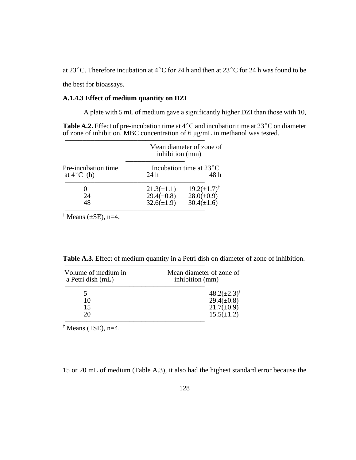at 23<sup>°</sup>C. Therefore incubation at 4<sup>°</sup>C for 24 h and then at 23<sup>°</sup>C for 24 h was found to be

the best for bioassays.

## **A.1.4.3 Effect of medium quantity on DZI**

A plate with 5 mL of medium gave a significantly higher DZI than those with 10,

**Table A.2.** Effect of pre-incubation time at  $4^{\circ}$ C and incubation time at  $23^{\circ}$ C on diameter of zone of inhibition. MBC concentration of 6 μg/mL in methanol was tested.

|                                             |                                                   | Mean diameter of zone of<br>inhibition (mm)  |  |
|---------------------------------------------|---------------------------------------------------|----------------------------------------------|--|
| Pre-incubation time<br>at $4^{\circ}$ C (h) | Incubation time at $23^{\circ}$ C<br>48 h<br>24 h |                                              |  |
| 24                                          | $21.3(\pm 1.1)$<br>$29.4(\pm 0.8)$                | $19.2(\pm 1.7)^{\dagger}$<br>$28.0(\pm 0.9)$ |  |
| 48                                          | $32.6(\pm 1.9)$                                   | $30.4(\pm 1.6)$                              |  |

 $\dagger$  Means ( $\pm$ SE), n=4.

**Table A.3.** Effect of medium quantity in a Petri dish on diameter of zone of inhibition.

| Volume of medium in<br>a Petri dish (mL) | Mean diameter of zone of<br>inhibition (mm) |  |
|------------------------------------------|---------------------------------------------|--|
|                                          | $48.2(\pm 2.3)^{\dagger}$                   |  |
| 10                                       | $29.4(\pm 0.8)$                             |  |
| 15                                       | $21.7(\pm 0.9)$                             |  |
| 20                                       | $15.5(\pm 1.2)$                             |  |

 $\dagger$  Means ( $\pm$ SE), n=4.

15 or 20 mL of medium (Table A.3), it also had the highest standard error because the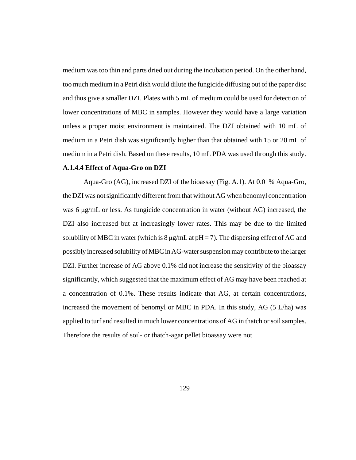medium was too thin and parts dried out during the incubation period. On the other hand, too much medium in a Petri dish would dilute the fungicide diffusing out of the paper disc and thus give a smaller DZI. Plates with 5 mL of medium could be used for detection of lower concentrations of MBC in samples. However they would have a large variation unless a proper moist environment is maintained. The DZI obtained with 10 mL of medium in a Petri dish was significantly higher than that obtained with 15 or 20 mL of medium in a Petri dish. Based on these results, 10 mL PDA was used through this study.

#### **A.1.4.4 Effect of Aqua-Gro on DZI**

Aqua-Gro (AG), increased DZI of the bioassay (Fig. A.1). At 0.01% Aqua-Gro, the DZI was not significantly different from that without AG when benomyl concentration was 6 μg/mL or less. As fungicide concentration in water (without AG) increased, the DZI also increased but at increasingly lower rates. This may be due to the limited solubility of MBC in water (which is  $8 \mu g/mL$  at  $pH = 7$ ). The dispersing effect of AG and possibly increased solubility of MBC in AG-water suspension may contribute to the larger DZI. Further increase of AG above 0.1% did not increase the sensitivity of the bioassay significantly, which suggested that the maximum effect of AG may have been reached at a concentration of 0.1%. These results indicate that AG, at certain concentrations, increased the movement of benomyl or MBC in PDA. In this study, AG (5 L/ha) was applied to turf and resulted in much lower concentrations of AG in thatch or soil samples. Therefore the results of soil- or thatch-agar pellet bioassay were not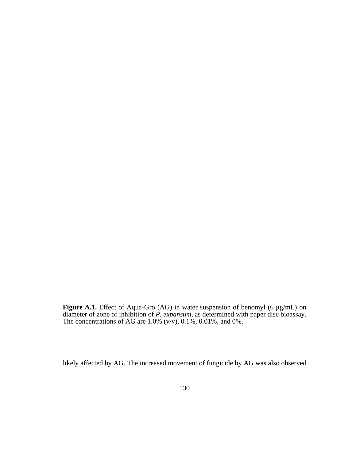**Figure A.1.** Effect of Aqua-Gro (AG) in water suspension of benomyl (6 μg/mL) on diameter of zone of inhibition of *P. expansum*, as determined with paper disc bioassay. The concentrations of AG are  $1.0\%$  (v/v),  $0.1\%$ ,  $0.01\%$ , and  $0\%$ .

likely affected by AG. The increased movement of fungicide by AG was also observed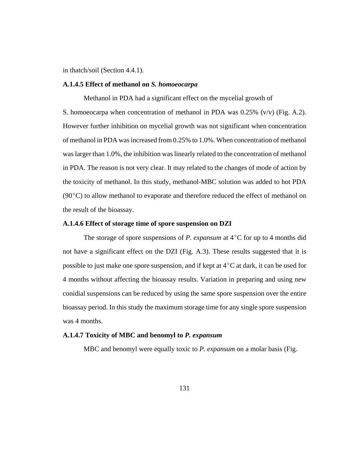in thatch/soil (Section 4.4.1).

#### **A.1.4.5 Effect of methanol on** *S. homoeocarpa*

Methanol in PDA had a significant effect on the mycelial growth of S. homoeocarpa when concentration of methanol in PDA was 0.25% (v/v) (Fig. A.2). However further inhibition on mycelial growth was not significant when concentration of methanol in PDA was increased from 0.25% to 1.0%. When concentration of methanol was larger than 1.0%, the inhibition was linearly related to the concentration of methanol in PDA. The reason is not very clear. It may related to the changes of mode of action by the toxicity of methanol. In this study, methanol-MBC solution was added to hot PDA  $(90^{\circ}$ C) to allow methanol to evaporate and therefore reduced the effect of methanol on the result of the bioassay.

## **A.1.4.6 Effect of storage time of spore suspension on DZI**

The storage of spore suspensions of *P. expansum* at  $4^{\circ}$ C for up to 4 months did not have a significant effect on the DZI (Fig. A.3). These results suggested that it is possible to just make one spore suspension, and if kept at  $4^{\circ}$ C at dark, it can be used for 4 months without affecting the bioassay results. Variation in preparing and using new conidial suspensions can be reduced by using the same spore suspension over the entire bioassay period. In this study the maximum storage time for any single spore suspension was 4 months.

## **A.1.4.7 Toxicity of MBC and benomyl to** *P. expansum*

MBC and benomyl were equally toxic to *P. expansum* on a molar basis (Fig.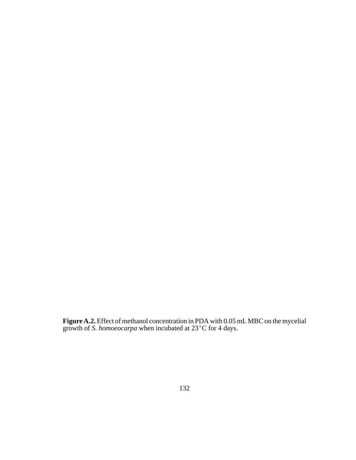**Figure A.2.** Effect of methanol concentration in PDA with 0.05 mL MBC on the mycelial growth of *S. homoeocarpa* when incubated at 23°C for 4 days.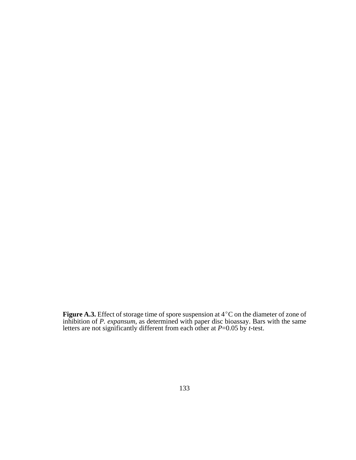**Figure A.3.** Effect of storage time of spore suspension at  $4^{\circ}$ C on the diameter of zone of inhibition of *P. expansum*, as determined with paper disc bioassay. Bars with the same letters are not significantly different from each other at *P*=0.05 by *t*-test.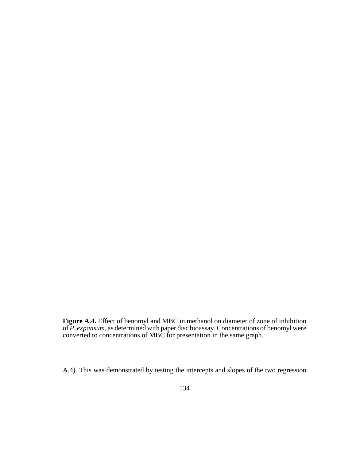**Figure A.4.** Effect of benomyl and MBC in methanol on diameter of zone of inhibition of *P. expansum*, as determined with paper disc bioassay. Concentrations of benomyl were converted to concentrations of MBC for presentation in the same graph.

A.4). This was demonstrated by testing the intercepts and slopes of the two regression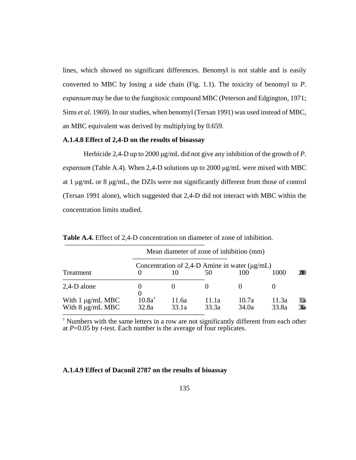lines, which showed no significant differences. Benomyl is not stable and is easily converted to MBC by losing a side chain (Fig. 1.1). The toxicity of benomyl to *P. expansum* may be due to the fungitoxic compound MBC (Peterson and Edgington, 1971; Sims *et al*. 1969). In our studies, when benomyl (Tersan 1991) was used instead of MBC, an MBC equivalent was derived by multiplying by 0.659.

### **A.1.4.8 Effect of 2,4-D on the results of bioassay**

Herbicide 2,4-D up to 2000 μg/mL did not give any inhibition of the growth of *P. expansum* (Table A.4). When 2,4-D solutions up to 2000 μg/mL were mixed with MBC at 1 μg/mL or 8 μg/mL, the DZIs were not significantly different from those of control (Tersan 1991 alone), which suggested that 2,4-D did not interact with MBC within the concentration limits studied.

|                                                | Mean diameter of zone of inhibition (mm)           |                |                |                |                |                         |  |  |  |
|------------------------------------------------|----------------------------------------------------|----------------|----------------|----------------|----------------|-------------------------|--|--|--|
|                                                | Concentration of 2,4-D Amine in water $(\mu g/mL)$ |                |                |                |                |                         |  |  |  |
| Treatment                                      |                                                    | 10             | 50             | 100            | 1000           | 200                     |  |  |  |
| 2,4-D alone                                    |                                                    |                | 0              |                |                |                         |  |  |  |
| With $1 \mu g/mL$ MBC<br>With $8 \mu g/mL$ MBC | $10.8a^{\dagger}$<br>32.8a                         | 11.6a<br>33.1a | 11.1a<br>33.3a | 10.7a<br>34.0a | 11.3a<br>33.8a | lla<br>$\mathfrak{B}_a$ |  |  |  |

**Table A.4.** Effect of 2,4-D concentration on diameter of zone of inhibition.

† Numbers with the same letters in a row are not significantly different from each other at *P*=0.05 by *t*-test. Each number is the average of four replicates.

#### **A.1.4.9 Effect of Daconil 2787 on the results of bioassay**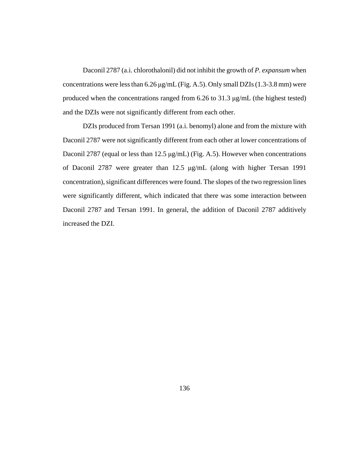Daconil 2787 (a.i. chlorothalonil) did not inhibit the growth of *P. expansum* when concentrations were less than  $6.26 \mu g/mL$  (Fig. A.5). Only small DZIs (1.3-3.8 mm) were produced when the concentrations ranged from 6.26 to 31.3 μg/mL (the highest tested) and the DZIs were not significantly different from each other.

DZIs produced from Tersan 1991 (a.i. benomyl) alone and from the mixture with Daconil 2787 were not significantly different from each other at lower concentrations of Daconil 2787 (equal or less than 12.5 μg/mL) (Fig. A.5). However when concentrations of Daconil 2787 were greater than 12.5 μg/mL (along with higher Tersan 1991 concentration), significant differences were found. The slopes of the two regression lines were significantly different, which indicated that there was some interaction between Daconil 2787 and Tersan 1991. In general, the addition of Daconil 2787 additively increased the DZI.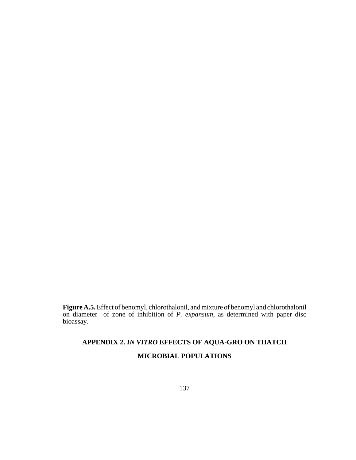**Figure A.5.** Effect of benomyl, chlorothalonil, and mixture of benomyl and chlorothalonil on diameter of zone of inhibition of *P. expansum*, as determined with paper disc bioassay.

# **APPENDIX 2.** *IN VITRO* **EFFECTS OF AQUA-GRO ON THATCH MICROBIAL POPULATIONS**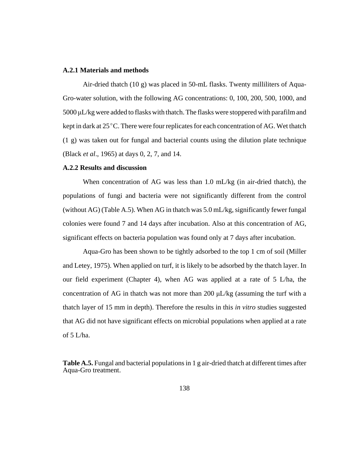#### **A.2.1 Materials and methods**

Air-dried thatch (10 g) was placed in 50-mL flasks. Twenty milliliters of Aqua-Gro-water solution, with the following AG concentrations: 0, 100, 200, 500, 1000, and 5000 μL/kg were added to flasks with thatch. The flasks were stoppered with parafilm and kept in dark at  $25^{\circ}$ C. There were four replicates for each concentration of AG. Wet thatch (1 g) was taken out for fungal and bacterial counts using the dilution plate technique (Black *et al*., 1965) at days 0, 2, 7, and 14.

#### **A.2.2 Results and discussion**

When concentration of AG was less than 1.0 mL/kg (in air-dried thatch), the populations of fungi and bacteria were not significantly different from the control (without AG) (Table A.5). When AG in thatch was 5.0 mL/kg, significantly fewer fungal colonies were found 7 and 14 days after incubation. Also at this concentration of AG, significant effects on bacteria population was found only at 7 days after incubation.

Aqua-Gro has been shown to be tightly adsorbed to the top 1 cm of soil (Miller and Letey, 1975). When applied on turf, it is likely to be adsorbed by the thatch layer. In our field experiment (Chapter 4), when AG was applied at a rate of 5 L/ha, the concentration of AG in thatch was not more than 200 μL/kg (assuming the turf with a thatch layer of 15 mm in depth). Therefore the results in this *in vitro* studies suggested that AG did not have significant effects on microbial populations when applied at a rate of 5 L/ha.

**Table A.5.** Fungal and bacterial populations in 1 g air-dried thatch at different times after Aqua-Gro treatment.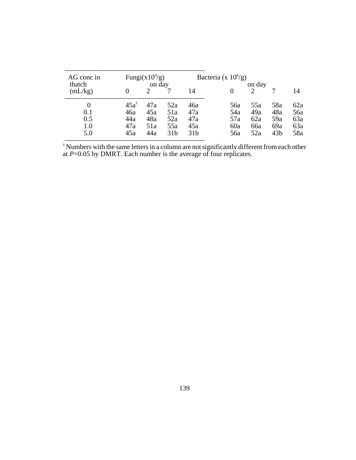| AG conc in |                 | Fungi(x $10^{4}/g$ ) |                 |                 | Bacteria (x $10^6$ /g) |     |                 |     |
|------------|-----------------|----------------------|-----------------|-----------------|------------------------|-----|-----------------|-----|
| thatch     | on day          |                      |                 | on day          |                        |     |                 |     |
| (mL/kg)    |                 |                      |                 | 14              |                        |     |                 | 14  |
| $\theta$   | $45a^{\dagger}$ | 47a                  | 52a             | 46a             | 56a                    | 55a | 58a             | 62a |
| 0.1        | 46a             | 45a                  | 51a             | 47a             | 54a                    | 49a | 48a             | 56a |
| 0.5        | 44a             | 48a                  | 52a             | 47a             | 57a                    | 62a | 59a             | 63a |
| 1.0        | 47a             | 51a                  | 55a             | 45a             | 60a                    | 66a | 69a             | 63a |
| 5.0        | 45a             | 44a                  | 31 <sub>b</sub> | 31 <sub>b</sub> | 56a                    | 52a | 43 <sub>b</sub> | 58a |

<sup>†</sup> Numbers with the same letters in a column are not significantly different from each other at *P*=0.05 by DMRT. Each number is the average of four replicates.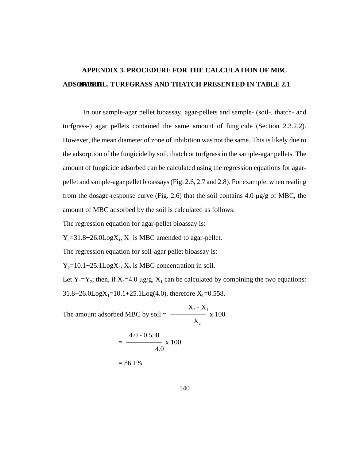# **APPENDIX 3. PROCEDURE FOR THE CALCULATION OF MBC ADSORBEDIL, TURFGRASS AND THATCH PRESENTED IN TABLE 2.1**

In our sample-agar pellet bioassay, agar-pellets and sample- (soil-, thatch- and turfgrass-) agar pellets contained the same amount of fungicide (Section 2.3.2.2). However, the mean diameter of zone of inhibition was not the same. This is likely due to the adsorption of the fungicide by soil, thatch or turfgrass in the sample-agar pellets. The amount of fungicide adsorbed can be calculated using the regression equations for agarpellet and sample-agar pellet bioassays (Fig. 2.6, 2.7 and 2.8). For example, when reading from the dosage-response curve (Fig. 2.6) that the soil contains 4.0 μg/g of MBC, the amount of MBC adsorbed by the soil is calculated as follows:

The regression equation for agar-pellet bioassay is:

 $Y_1 = 31.8 + 26.0 \text{Log} X_1$ ,  $X_1$  is MBC amended to agar-pellet.

The regression equation for soil-agar pellet bioassay is:

 $Y_2=10.1+25.1 \text{Log} X_2$ ,  $X_2$  is MBC concentration in soil.

Let  $Y_1 = Y_2$ ; then, if  $X_2 = 4.0 \mu g/g$ ,  $X_1$  can be calculated by combining the two equations:  $31.8+26.0 \text{Log}X_1=10.1+25.1 \text{Log}(4.0)$ , therefore  $X_1=0.558$ .

 $X_2 - X_1$ The amount adsorbed MBC by soil  $=$   $\frac{\ }{\ }$  x 100  $\mathrm{X}_2$  $4.0 - 0.558$  $=$   $\frac{\ }{}$  x 100 4.0  $= 86.1\%$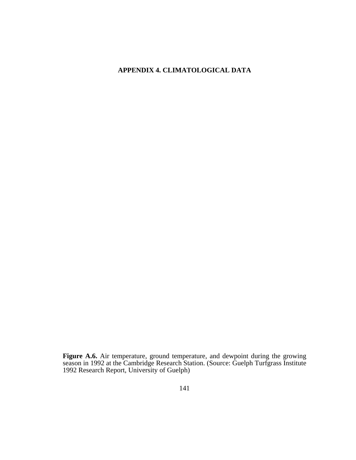### **APPENDIX 4. CLIMATOLOGICAL DATA**

**Figure A.6.** Air temperature, ground temperature, and dewpoint during the growing season in 1992 at the Cambridge Research Station. (Source: Guelph Turfgrass Institute 1992 Research Report, University of Guelph)